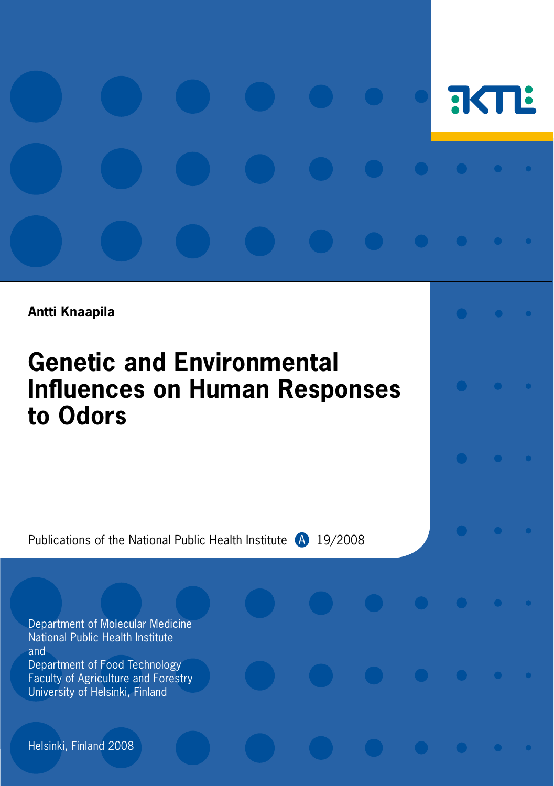# **FIKTLE**

**Antti Knaapila**

# **Genetic and Environmental Influences on Human Responses to Odors**

Publications of the National Public Health Institute <sup>4</sup> 19/2008

Department of Molecular Medicine National Public Health Institute and Department of Food Technology Faculty of Agriculture and Forestry University of Helsinki, Finland

Helsinki, Finland 2008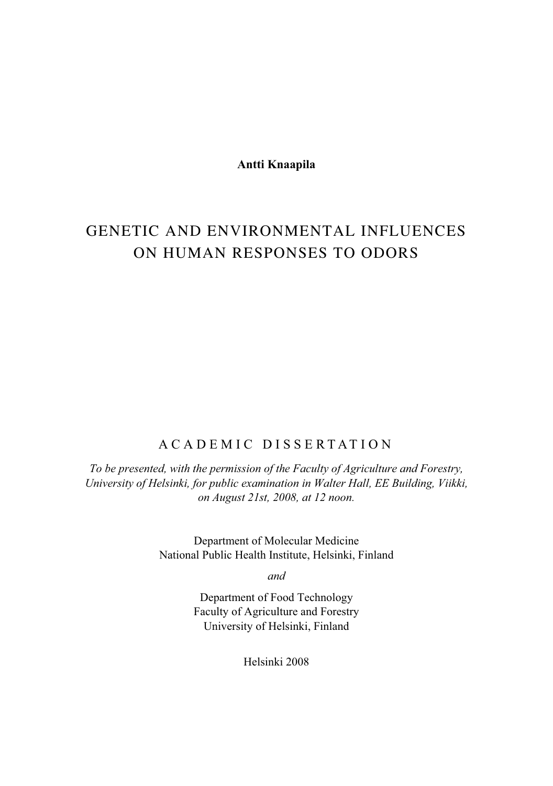**Antti Knaapila** 

# GENETIC AND ENVIRONMENTAL INFLUENCES ON HUMAN RESPONSES TO ODORS

# ACADEMIC DISSERTATION

*To be presented, with the permission of the Faculty of Agriculture and Forestry, University of Helsinki, for public examination in Walter Hall, EE Building, Viikki, on August 21st, 2008, at 12 noon.* 

> Department of Molecular Medicine National Public Health Institute, Helsinki, Finland

> > *and*

Department of Food Technology Faculty of Agriculture and Forestry University of Helsinki, Finland

Helsinki 2008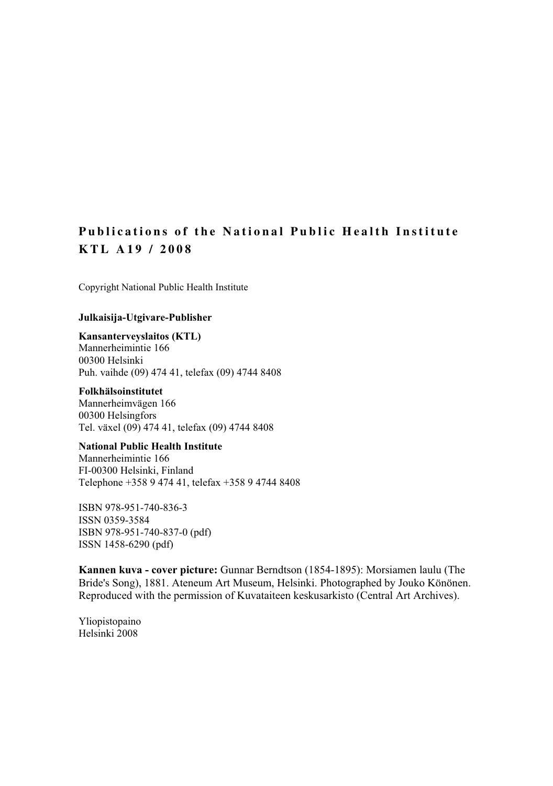# **Publications of the National Public Health Institute KTL A19 / 2008**

Copyright National Public Health Institute

#### **Julkaisija-Utgivare-Publisher**

# **Kansanterveyslaitos (KTL)**

Mannerheimintie 166 00300 Helsinki Puh. vaihde (09) 474 41, telefax (09) 4744 8408

#### **Folkhälsoinstitutet**

Mannerheimvägen 166 00300 Helsingfors Tel. växel (09) 474 41, telefax (09) 4744 8408

#### **National Public Health Institute**

Mannerheimintie 166 FI-00300 Helsinki, Finland Telephone +358 9 474 41, telefax +358 9 4744 8408

ISBN 978-951-740-836-3 ISSN 0359-3584 ISBN 978-951-740-837-0 (pdf) ISSN 1458-6290 (pdf)

**Kannen kuva - cover picture:** Gunnar Berndtson (1854-1895): Morsiamen laulu (The Bride's Song), 1881. Ateneum Art Museum, Helsinki. Photographed by Jouko Könönen. Reproduced with the permission of Kuvataiteen keskusarkisto (Central Art Archives).

Yliopistopaino Helsinki 2008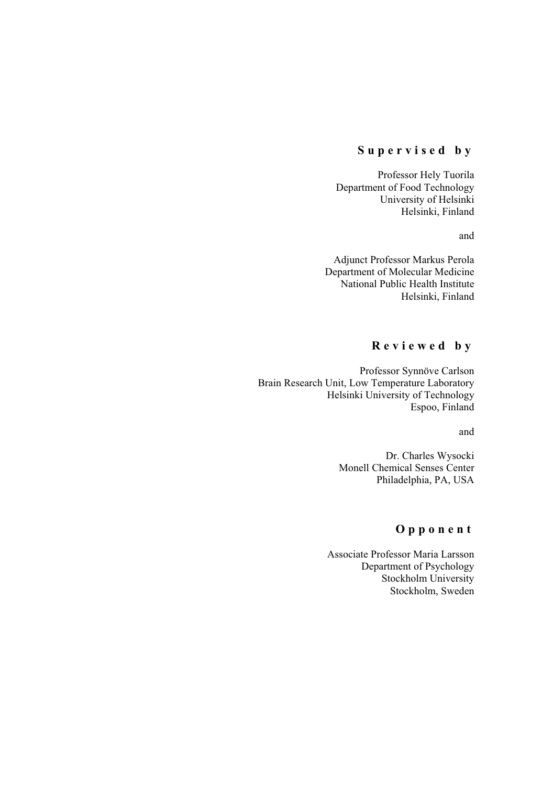### **Supervised by**

Professor Hely Tuorila Department of Food Technology University of Helsinki Helsinki, Finland

and

Adjunct Professor Markus Perola Department of Molecular Medicine National Public Health Institute Helsinki, Finland

# **Reviewed by**

Professor Synnöve Carlson Brain Research Unit, Low Temperature Laboratory Helsinki University of Technology Espoo, Finland

and

Dr. Charles Wysocki Monell Chemical Senses Center Philadelphia, PA, USA

# **Opponent**

Associate Professor Maria Larsson Department of Psychology Stockholm University Stockholm, Sweden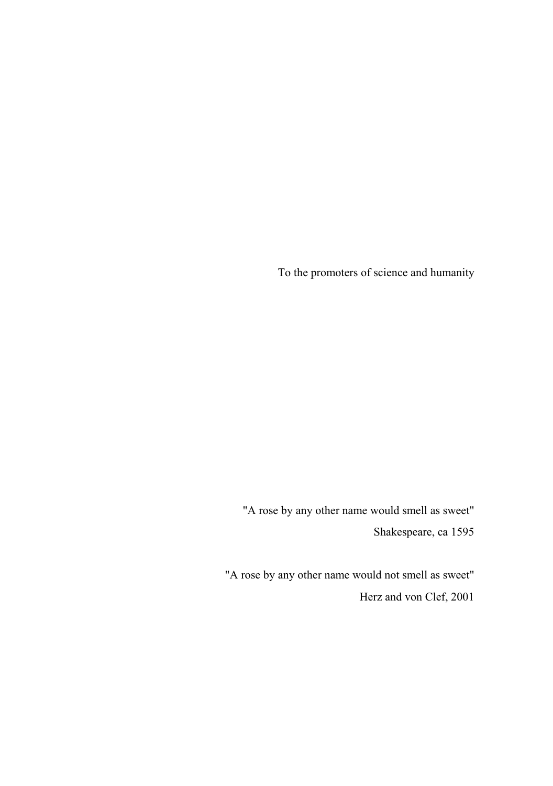To the promoters of science and humanity

"A rose by any other name would smell as sweet" Shakespeare, ca 1595

"A rose by any other name would not smell as sweet" Herz and von Clef, 2001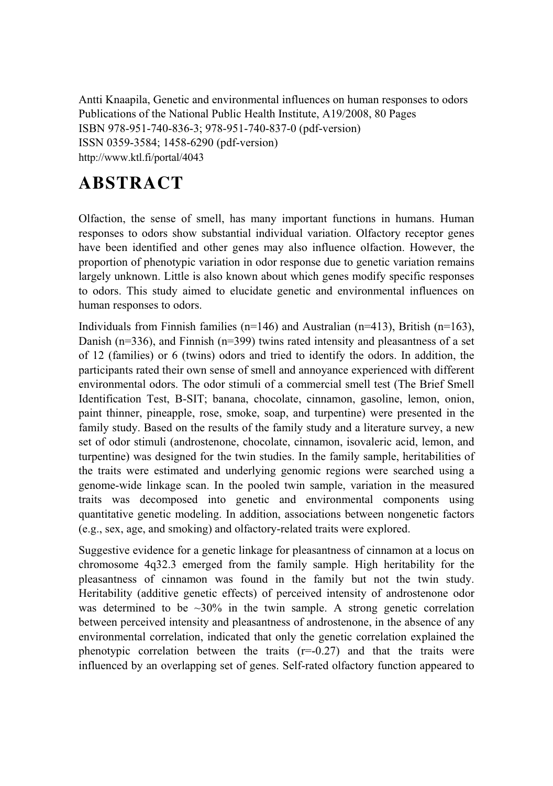Antti Knaapila, Genetic and environmental influences on human responses to odors Publications of the National Public Health Institute, A19/2008, 80 Pages ISBN 978-951-740-836-3; 978-951-740-837-0 (pdf-version) ISSN 0359-3584; 1458-6290 (pdf-version) http://www.ktl.fi/portal/4043

# **ABSTRACT**

Olfaction, the sense of smell, has many important functions in humans. Human responses to odors show substantial individual variation. Olfactory receptor genes have been identified and other genes may also influence olfaction. However, the proportion of phenotypic variation in odor response due to genetic variation remains largely unknown. Little is also known about which genes modify specific responses to odors. This study aimed to elucidate genetic and environmental influences on human responses to odors.

Individuals from Finnish families ( $n=146$ ) and Australian ( $n=413$ ), British ( $n=163$ ), Danish (n=336), and Finnish (n=399) twins rated intensity and pleasantness of a set of 12 (families) or 6 (twins) odors and tried to identify the odors. In addition, the participants rated their own sense of smell and annoyance experienced with different environmental odors. The odor stimuli of a commercial smell test (The Brief Smell Identification Test, B-SIT; banana, chocolate, cinnamon, gasoline, lemon, onion, paint thinner, pineapple, rose, smoke, soap, and turpentine) were presented in the family study. Based on the results of the family study and a literature survey, a new set of odor stimuli (androstenone, chocolate, cinnamon, isovaleric acid, lemon, and turpentine) was designed for the twin studies. In the family sample, heritabilities of the traits were estimated and underlying genomic regions were searched using a genome-wide linkage scan. In the pooled twin sample, variation in the measured traits was decomposed into genetic and environmental components using quantitative genetic modeling. In addition, associations between nongenetic factors (e.g., sex, age, and smoking) and olfactory-related traits were explored.

Suggestive evidence for a genetic linkage for pleasantness of cinnamon at a locus on chromosome 4q32.3 emerged from the family sample. High heritability for the pleasantness of cinnamon was found in the family but not the twin study. Heritability (additive genetic effects) of perceived intensity of androstenone odor was determined to be  $\sim 30\%$  in the twin sample. A strong genetic correlation between perceived intensity and pleasantness of androstenone, in the absence of any environmental correlation, indicated that only the genetic correlation explained the phenotypic correlation between the traits  $(r=-0.27)$  and that the traits were influenced by an overlapping set of genes. Self-rated olfactory function appeared to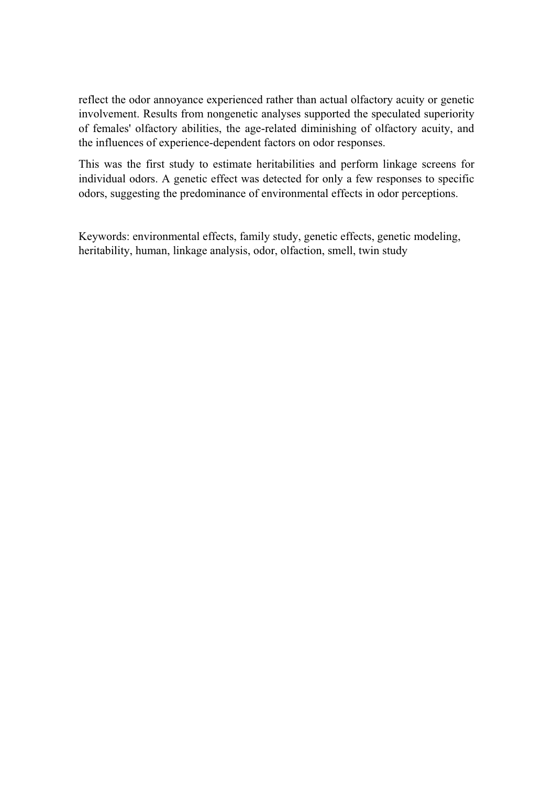reflect the odor annoyance experienced rather than actual olfactory acuity or genetic involvement. Results from nongenetic analyses supported the speculated superiority of females' olfactory abilities, the age-related diminishing of olfactory acuity, and the influences of experience-dependent factors on odor responses.

This was the first study to estimate heritabilities and perform linkage screens for individual odors. A genetic effect was detected for only a few responses to specific odors, suggesting the predominance of environmental effects in odor perceptions.

Keywords: environmental effects, family study, genetic effects, genetic modeling, heritability, human, linkage analysis, odor, olfaction, smell, twin study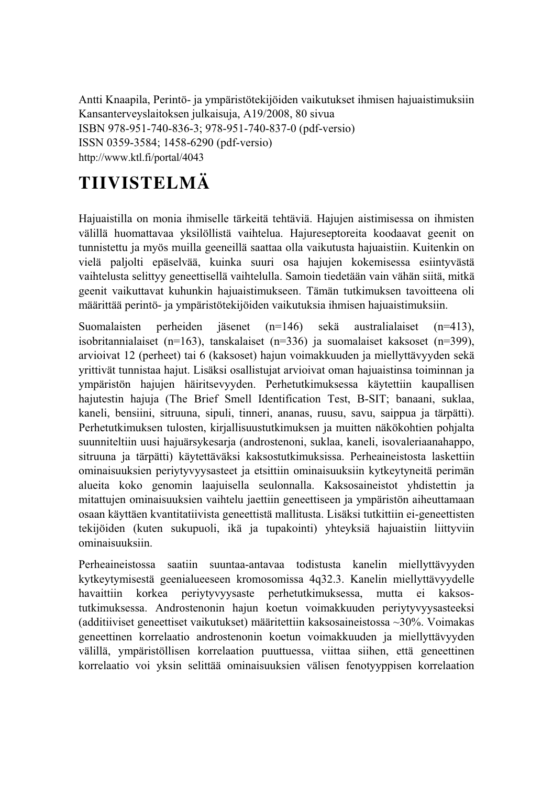Antti Knaapila, Perintö- ja ympäristötekijöiden vaikutukset ihmisen hajuaistimuksiin Kansanterveyslaitoksen julkaisuja, A19/2008, 80 sivua ISBN 978-951-740-836-3; 978-951-740-837-0 (pdf-versio) ISSN 0359-3584; 1458-6290 (pdf-versio) http://www.ktl.fi/portal/4043

# **TIIVISTELMÄ**

Hajuaistilla on monia ihmiselle tärkeitä tehtäviä. Hajujen aistimisessa on ihmisten välillä huomattavaa yksilöllistä vaihtelua. Hajureseptoreita koodaavat geenit on tunnistettu ja myös muilla geeneillä saattaa olla vaikutusta hajuaistiin. Kuitenkin on vielä paljolti epäselvää, kuinka suuri osa hajujen kokemisessa esiintyvästä vaihtelusta selittyy geneettisellä vaihtelulla. Samoin tiedetään vain vähän siitä, mitkä geenit vaikuttavat kuhunkin hajuaistimukseen. Tämän tutkimuksen tavoitteena oli määrittää perintö- ja ympäristötekijöiden vaikutuksia ihmisen hajuaistimuksiin.

Suomalaisten perheiden jäsenet (n=146) sekä australialaiset (n=413), isobritannialaiset (n=163), tanskalaiset (n=336) ja suomalaiset kaksoset (n=399), arvioivat 12 (perheet) tai 6 (kaksoset) hajun voimakkuuden ja miellyttävyyden sekä yrittivät tunnistaa hajut. Lisäksi osallistujat arvioivat oman hajuaistinsa toiminnan ja ympäristön hajujen häiritsevyyden. Perhetutkimuksessa käytettiin kaupallisen hajutestin hajuja (The Brief Smell Identification Test, B-SIT; banaani, suklaa, kaneli, bensiini, sitruuna, sipuli, tinneri, ananas, ruusu, savu, saippua ja tärpätti). Perhetutkimuksen tulosten, kirjallisuustutkimuksen ja muitten näkökohtien pohjalta suunniteltiin uusi hajuärsykesarja (androstenoni, suklaa, kaneli, isovaleriaanahappo, sitruuna ja tärpätti) käytettäväksi kaksostutkimuksissa. Perheaineistosta laskettiin ominaisuuksien periytyvyysasteet ja etsittiin ominaisuuksiin kytkeytyneitä perimän alueita koko genomin laajuisella seulonnalla. Kaksosaineistot yhdistettin ja mitattujen ominaisuuksien vaihtelu jaettiin geneettiseen ja ympäristön aiheuttamaan osaan käyttäen kvantitatiivista geneettistä mallitusta. Lisäksi tutkittiin ei-geneettisten tekijöiden (kuten sukupuoli, ikä ja tupakointi) yhteyksiä hajuaistiin liittyviin ominaisuuksiin.

Perheaineistossa saatiin suuntaa-antavaa todistusta kanelin miellyttävyyden kytkeytymisestä geenialueeseen kromosomissa 4q32.3. Kanelin miellyttävyydelle havaittiin korkea periytyvyysaste perhetutkimuksessa, mutta ei kaksostutkimuksessa. Androstenonin hajun koetun voimakkuuden periytyvyysasteeksi (additiiviset geneettiset vaikutukset) määritettiin kaksosaineistossa ~30%. Voimakas geneettinen korrelaatio androstenonin koetun voimakkuuden ja miellyttävyyden välillä, ympäristöllisen korrelaation puuttuessa, viittaa siihen, että geneettinen korrelaatio voi yksin selittää ominaisuuksien välisen fenotyyppisen korrelaation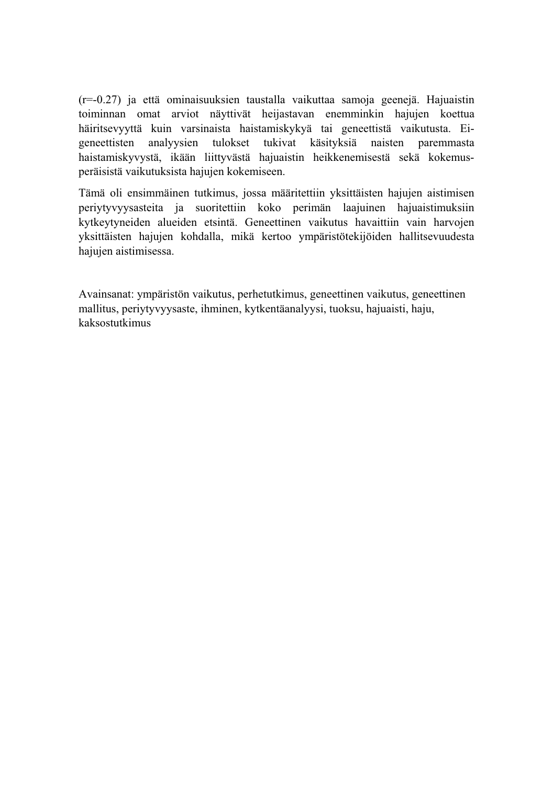(r=-0.27) ja että ominaisuuksien taustalla vaikuttaa samoja geenejä. Hajuaistin toiminnan omat arviot näyttivät heijastavan enemminkin hajujen koettua häiritsevyyttä kuin varsinaista haistamiskykyä tai geneettistä vaikutusta. Eigeneettisten analyysien tulokset tukivat käsityksiä naisten paremmasta haistamiskyvystä, ikään liittyvästä hajuaistin heikkenemisestä sekä kokemusperäisistä vaikutuksista hajujen kokemiseen.

Tämä oli ensimmäinen tutkimus, jossa määritettiin yksittäisten hajujen aistimisen periytyvyysasteita ja suoritettiin koko perimän laajuinen hajuaistimuksiin kytkeytyneiden alueiden etsintä. Geneettinen vaikutus havaittiin vain harvojen yksittäisten hajujen kohdalla, mikä kertoo ympäristötekijöiden hallitsevuudesta hajujen aistimisessa.

Avainsanat: ympäristön vaikutus, perhetutkimus, geneettinen vaikutus, geneettinen mallitus, periytyvyysaste, ihminen, kytkentäanalyysi, tuoksu, hajuaisti, haju, kaksostutkimus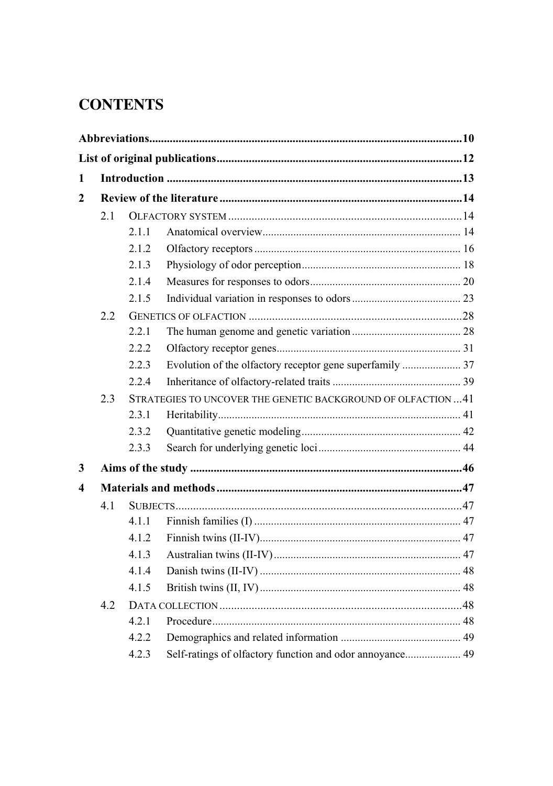# **CONTENTS**

| 1              |     |       |                                                               |  |  |
|----------------|-----|-------|---------------------------------------------------------------|--|--|
| $\overline{2}$ |     |       |                                                               |  |  |
|                | 2.1 |       |                                                               |  |  |
|                |     | 2.1.1 |                                                               |  |  |
|                |     | 2.1.2 |                                                               |  |  |
|                |     | 2.1.3 |                                                               |  |  |
|                |     | 2.1.4 |                                                               |  |  |
|                |     | 2.1.5 |                                                               |  |  |
|                | 2.2 |       |                                                               |  |  |
|                |     | 2.2.1 |                                                               |  |  |
|                |     | 2.2.2 |                                                               |  |  |
|                |     | 2.2.3 |                                                               |  |  |
|                |     | 2.2.4 |                                                               |  |  |
|                | 2.3 |       | STRATEGIES TO UNCOVER THE GENETIC BACKGROUND OF OLFACTION  41 |  |  |
|                |     | 2.3.1 |                                                               |  |  |
|                |     | 2.3.2 |                                                               |  |  |
|                |     | 2.3.3 |                                                               |  |  |
| 3              |     |       |                                                               |  |  |
| 4              |     |       |                                                               |  |  |
|                | 4.1 |       |                                                               |  |  |
|                |     | 4.1.1 |                                                               |  |  |
|                |     | 4.1.2 |                                                               |  |  |
|                |     | 4.1.3 |                                                               |  |  |
|                |     | 4.1.4 |                                                               |  |  |
|                |     | 4.1.5 |                                                               |  |  |
|                | 4.2 |       |                                                               |  |  |
|                |     | 4.2.1 |                                                               |  |  |
|                |     | 4.2.2 |                                                               |  |  |
|                |     | 4.2.3 | Self-ratings of olfactory function and odor annoyance 49      |  |  |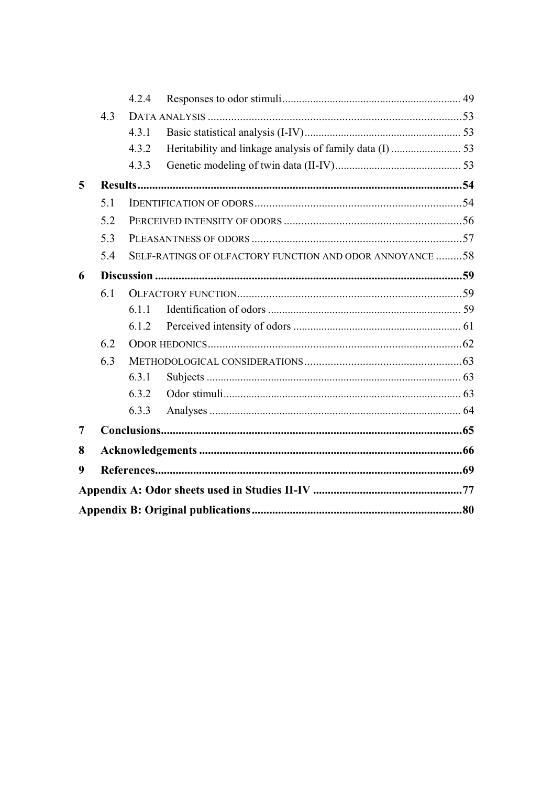|   |     | 4.2.4                                                   |  |  |  |  |
|---|-----|---------------------------------------------------------|--|--|--|--|
|   | 4.3 |                                                         |  |  |  |  |
|   |     | 4.3.1                                                   |  |  |  |  |
|   |     | 4.3.2                                                   |  |  |  |  |
|   |     | 4.3.3                                                   |  |  |  |  |
| 5 |     |                                                         |  |  |  |  |
|   | 5.1 |                                                         |  |  |  |  |
|   | 5.2 |                                                         |  |  |  |  |
|   | 5.3 |                                                         |  |  |  |  |
|   | 5.4 | SELF-RATINGS OF OLFACTORY FUNCTION AND ODOR ANNOYANCE58 |  |  |  |  |
| 6 |     |                                                         |  |  |  |  |
|   | 6.1 |                                                         |  |  |  |  |
|   |     | 6.1.1                                                   |  |  |  |  |
|   |     | 6.1.2                                                   |  |  |  |  |
|   | 6.2 |                                                         |  |  |  |  |
|   | 6.3 |                                                         |  |  |  |  |
|   |     | 6.3.1                                                   |  |  |  |  |
|   |     | 6.3.2                                                   |  |  |  |  |
|   |     | 6.3.3                                                   |  |  |  |  |
| 7 |     |                                                         |  |  |  |  |
| 8 |     |                                                         |  |  |  |  |
| 9 |     |                                                         |  |  |  |  |
|   |     |                                                         |  |  |  |  |
|   |     |                                                         |  |  |  |  |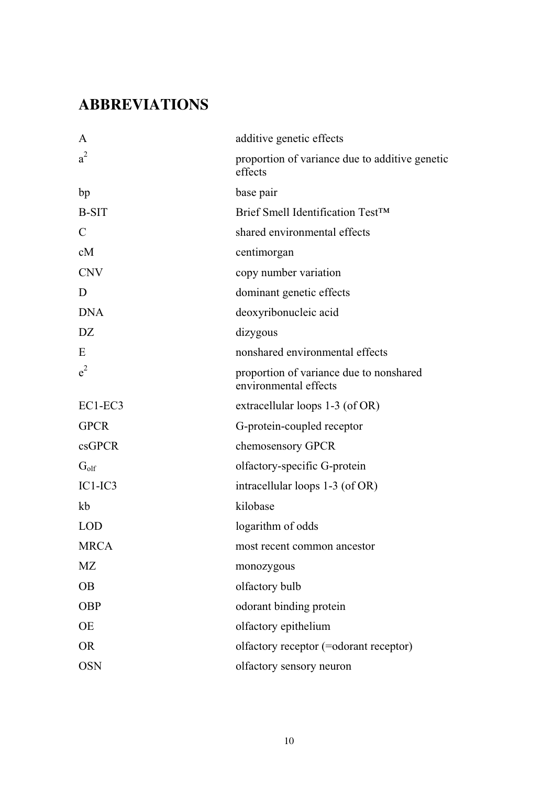# **ABBREVIATIONS**

| A                | additive genetic effects                                         |
|------------------|------------------------------------------------------------------|
| $a^2$            | proportion of variance due to additive genetic<br>effects        |
| bp               | base pair                                                        |
| <b>B-SIT</b>     | Brief Smell Identification Test™                                 |
| $\mathcal{C}$    | shared environmental effects                                     |
| cM               | centimorgan                                                      |
| <b>CNV</b>       | copy number variation                                            |
| D                | dominant genetic effects                                         |
| <b>DNA</b>       | deoxyribonucleic acid                                            |
| DZ.              | dizygous                                                         |
| E                | nonshared environmental effects                                  |
| $e^2$            | proportion of variance due to nonshared<br>environmental effects |
| $EC1-EC3$        | extracellular loops 1-3 (of OR)                                  |
| <b>GPCR</b>      | G-protein-coupled receptor                                       |
| csGPCR           | chemosensory GPCR                                                |
| $G_{\text{olf}}$ | olfactory-specific G-protein                                     |
| $IC1-IC3$        | intracellular loops 1-3 (of OR)                                  |
| kb               | kilobase                                                         |
| <b>LOD</b>       | logarithm of odds                                                |
| <b>MRCA</b>      | most recent common ancestor                                      |
| MZ               | monozygous                                                       |
| <b>OB</b>        | olfactory bulb                                                   |
| <b>OBP</b>       | odorant binding protein                                          |
| OE               | olfactory epithelium                                             |
| OR.              | olfactory receptor (=odorant receptor)                           |
| <b>OSN</b>       | olfactory sensory neuron                                         |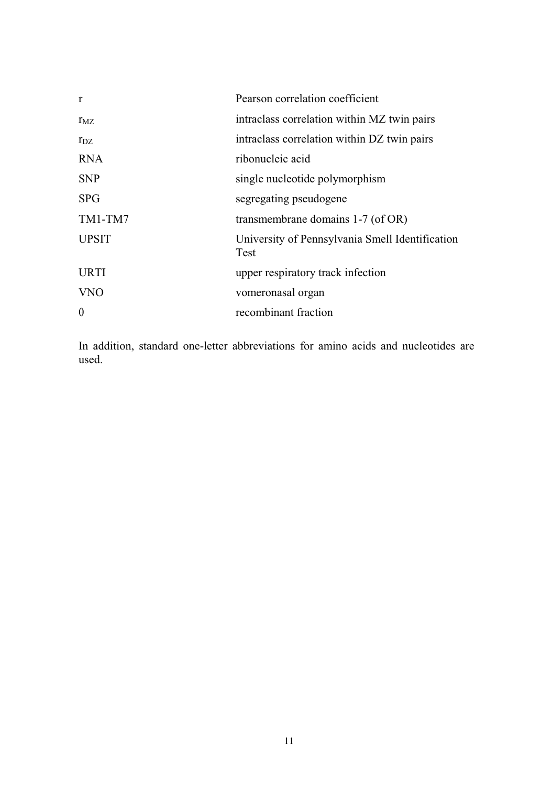| r            | Pearson correlation coefficient                         |
|--------------|---------------------------------------------------------|
| $r_{\rm MZ}$ | intraclass correlation within MZ twin pairs             |
| $r_{DZ}$     | intraclass correlation within DZ twin pairs             |
| <b>RNA</b>   | ribonucleic acid                                        |
| <b>SNP</b>   | single nucleotide polymorphism                          |
| <b>SPG</b>   | segregating pseudogene                                  |
| TM1-TM7      | transmembrane domains 1-7 (of OR)                       |
| <b>UPSIT</b> | University of Pennsylvania Smell Identification<br>Test |
| <b>URTI</b>  | upper respiratory track infection                       |
| <b>VNO</b>   | vomeronasal organ                                       |
| $\theta$     | recombinant fraction                                    |

In addition, standard one-letter abbreviations for amino acids and nucleotides are used.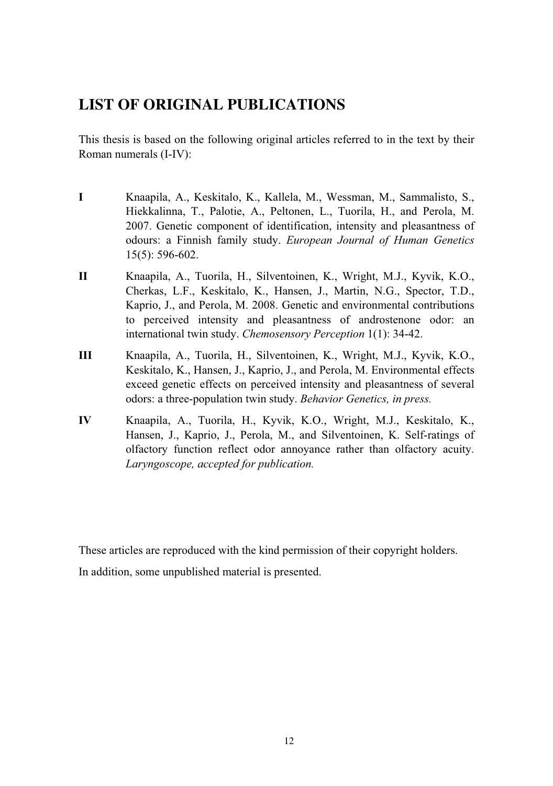# **LIST OF ORIGINAL PUBLICATIONS**

This thesis is based on the following original articles referred to in the text by their Roman numerals (I-IV):

- **I** Knaapila, A., Keskitalo, K., Kallela, M., Wessman, M., Sammalisto, S., Hiekkalinna, T., Palotie, A., Peltonen, L., Tuorila, H., and Perola, M. 2007. Genetic component of identification, intensity and pleasantness of odours: a Finnish family study. *European Journal of Human Genetics* 15(5): 596-602.
- **II** Knaapila, A., Tuorila, H., Silventoinen, K., Wright, M.J., Kyvik, K.O., Cherkas, L.F., Keskitalo, K., Hansen, J., Martin, N.G., Spector, T.D., Kaprio, J., and Perola, M. 2008. Genetic and environmental contributions to perceived intensity and pleasantness of androstenone odor: an international twin study. *Chemosensory Perception* 1(1): 34-42.
- **III** Knaapila, A., Tuorila, H., Silventoinen, K., Wright, M.J., Kyvik, K.O., Keskitalo, K., Hansen, J., Kaprio, J., and Perola, M. Environmental effects exceed genetic effects on perceived intensity and pleasantness of several odors: a three-population twin study. *Behavior Genetics, in press.*
- **IV** Knaapila, A., Tuorila, H., Kyvik, K.O., Wright, M.J., Keskitalo, K., Hansen, J., Kaprio, J., Perola, M., and Silventoinen, K. Self-ratings of olfactory function reflect odor annoyance rather than olfactory acuity. *Laryngoscope, accepted for publication.*

These articles are reproduced with the kind permission of their copyright holders.

In addition, some unpublished material is presented.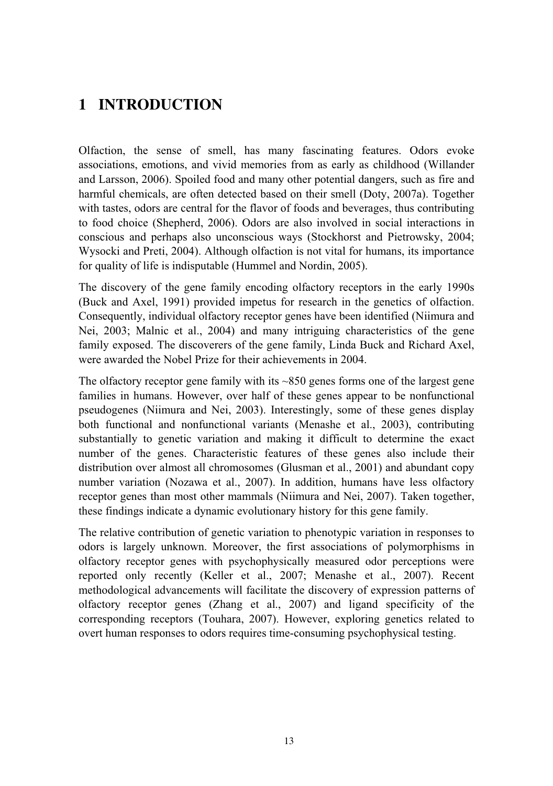# **1 INTRODUCTION**

Olfaction, the sense of smell, has many fascinating features. Odors evoke associations, emotions, and vivid memories from as early as childhood (Willander and Larsson, 2006). Spoiled food and many other potential dangers, such as fire and harmful chemicals, are often detected based on their smell (Doty, 2007a). Together with tastes, odors are central for the flavor of foods and beverages, thus contributing to food choice (Shepherd, 2006). Odors are also involved in social interactions in conscious and perhaps also unconscious ways (Stockhorst and Pietrowsky, 2004; Wysocki and Preti, 2004). Although olfaction is not vital for humans, its importance for quality of life is indisputable (Hummel and Nordin, 2005).

The discovery of the gene family encoding olfactory receptors in the early 1990s (Buck and Axel, 1991) provided impetus for research in the genetics of olfaction. Consequently, individual olfactory receptor genes have been identified (Niimura and Nei, 2003; Malnic et al., 2004) and many intriguing characteristics of the gene family exposed. The discoverers of the gene family, Linda Buck and Richard Axel, were awarded the Nobel Prize for their achievements in 2004.

The olfactory receptor gene family with its ~850 genes forms one of the largest gene families in humans. However, over half of these genes appear to be nonfunctional pseudogenes (Niimura and Nei, 2003). Interestingly, some of these genes display both functional and nonfunctional variants (Menashe et al., 2003), contributing substantially to genetic variation and making it difficult to determine the exact number of the genes. Characteristic features of these genes also include their distribution over almost all chromosomes (Glusman et al., 2001) and abundant copy number variation (Nozawa et al., 2007). In addition, humans have less olfactory receptor genes than most other mammals (Niimura and Nei, 2007). Taken together, these findings indicate a dynamic evolutionary history for this gene family.

The relative contribution of genetic variation to phenotypic variation in responses to odors is largely unknown. Moreover, the first associations of polymorphisms in olfactory receptor genes with psychophysically measured odor perceptions were reported only recently (Keller et al., 2007; Menashe et al., 2007). Recent methodological advancements will facilitate the discovery of expression patterns of olfactory receptor genes (Zhang et al., 2007) and ligand specificity of the corresponding receptors (Touhara, 2007). However, exploring genetics related to overt human responses to odors requires time-consuming psychophysical testing.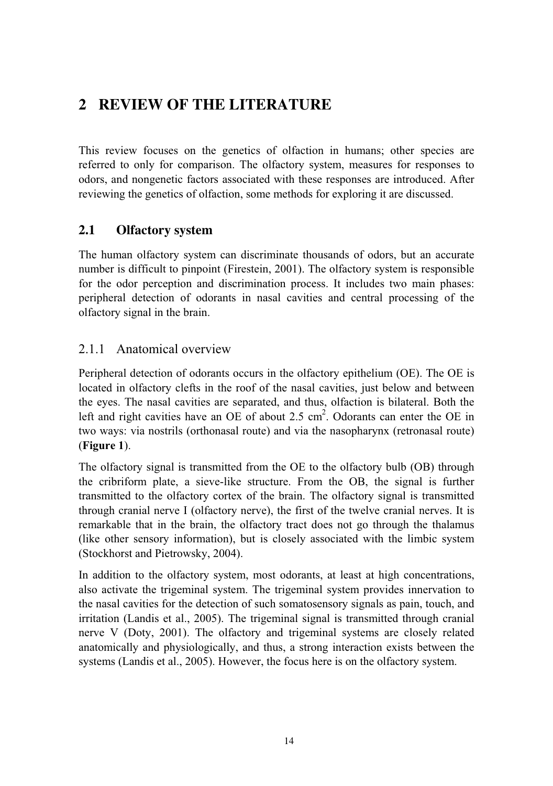# **2 REVIEW OF THE LITERATURE**

This review focuses on the genetics of olfaction in humans; other species are referred to only for comparison. The olfactory system, measures for responses to odors, and nongenetic factors associated with these responses are introduced. After reviewing the genetics of olfaction, some methods for exploring it are discussed.

# **2.1 Olfactory system**

The human olfactory system can discriminate thousands of odors, but an accurate number is difficult to pinpoint (Firestein, 2001). The olfactory system is responsible for the odor perception and discrimination process. It includes two main phases: peripheral detection of odorants in nasal cavities and central processing of the olfactory signal in the brain.

# 2.1.1 Anatomical overview

Peripheral detection of odorants occurs in the olfactory epithelium (OE). The OE is located in olfactory clefts in the roof of the nasal cavities, just below and between the eyes. The nasal cavities are separated, and thus, olfaction is bilateral. Both the left and right cavities have an OE of about 2.5  $\text{cm}^2$ . Odorants can enter the OE in two ways: via nostrils (orthonasal route) and via the nasopharynx (retronasal route) (**Figure 1**).

The olfactory signal is transmitted from the OE to the olfactory bulb (OB) through the cribriform plate, a sieve-like structure. From the OB, the signal is further transmitted to the olfactory cortex of the brain. The olfactory signal is transmitted through cranial nerve I (olfactory nerve), the first of the twelve cranial nerves. It is remarkable that in the brain, the olfactory tract does not go through the thalamus (like other sensory information), but is closely associated with the limbic system (Stockhorst and Pietrowsky, 2004).

In addition to the olfactory system, most odorants, at least at high concentrations, also activate the trigeminal system. The trigeminal system provides innervation to the nasal cavities for the detection of such somatosensory signals as pain, touch, and irritation (Landis et al., 2005). The trigeminal signal is transmitted through cranial nerve V (Doty, 2001). The olfactory and trigeminal systems are closely related anatomically and physiologically, and thus, a strong interaction exists between the systems (Landis et al., 2005). However, the focus here is on the olfactory system.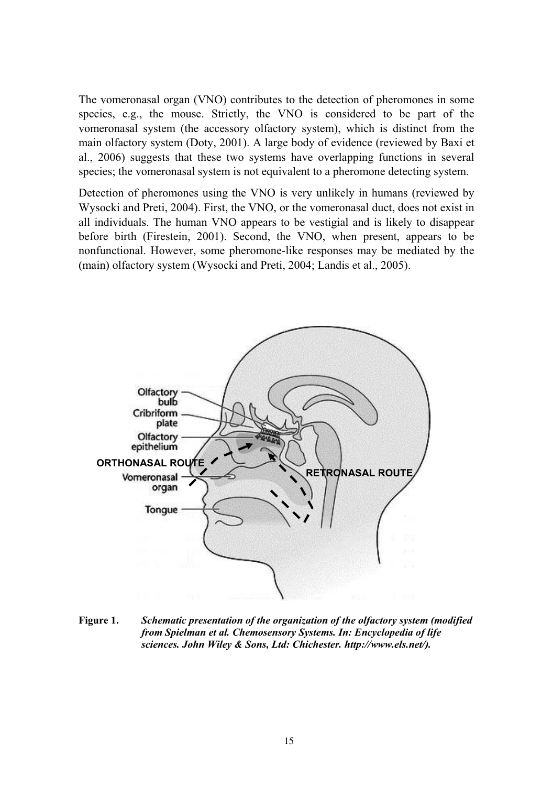The vomeronasal organ (VNO) contributes to the detection of pheromones in some species, e.g., the mouse. Strictly, the VNO is considered to be part of the vomeronasal system (the accessory olfactory system), which is distinct from the main olfactory system (Doty, 2001). A large body of evidence (reviewed by Baxi et al., 2006) suggests that these two systems have overlapping functions in several species; the vomeronasal system is not equivalent to a pheromone detecting system.

Detection of pheromones using the VNO is very unlikely in humans (reviewed by Wysocki and Preti, 2004). First, the VNO, or the vomeronasal duct, does not exist in all individuals. The human VNO appears to be vestigial and is likely to disappear before birth (Firestein, 2001). Second, the VNO, when present, appears to be nonfunctional. However, some pheromone-like responses may be mediated by the (main) olfactory system (Wysocki and Preti, 2004; Landis et al., 2005).



**Figure 1.** *Schematic presentation of the organization of the olfactory system (modified from Spielman et al. Chemosensory Systems. In: Encyclopedia of life sciences. John Wiley & Sons, Ltd: Chichester. http://www.els.net/).*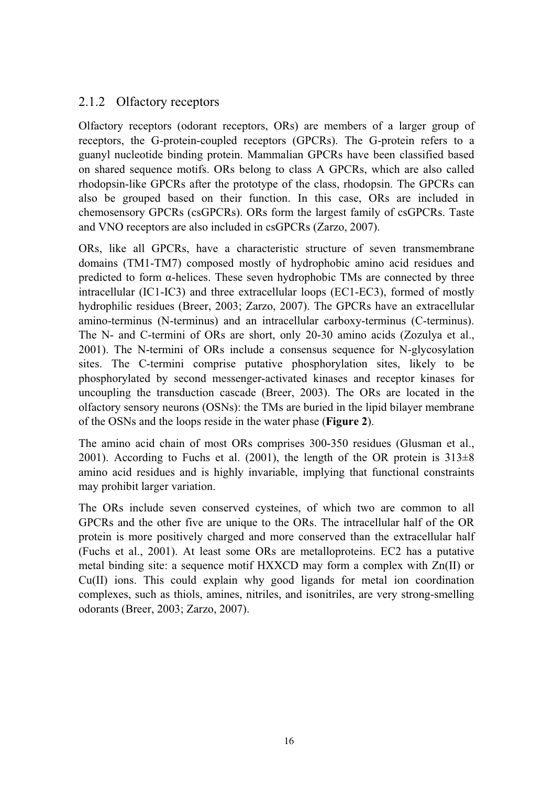# 2.1.2 Olfactory receptors

Olfactory receptors (odorant receptors, ORs) are members of a larger group of receptors, the G-protein-coupled receptors (GPCRs). The G-protein refers to a guanyl nucleotide binding protein. Mammalian GPCRs have been classified based on shared sequence motifs. ORs belong to class A GPCRs, which are also called rhodopsin-like GPCRs after the prototype of the class, rhodopsin. The GPCRs can also be grouped based on their function. In this case, ORs are included in chemosensory GPCRs (csGPCRs). ORs form the largest family of csGPCRs. Taste and VNO receptors are also included in csGPCRs (Zarzo, 2007).

ORs, like all GPCRs, have a characteristic structure of seven transmembrane domains (TM1-TM7) composed mostly of hydrophobic amino acid residues and predicted to form  $\alpha$ -helices. These seven hydrophobic TMs are connected by three intracellular (IC1-IC3) and three extracellular loops (EC1-EC3), formed of mostly hydrophilic residues (Breer, 2003; Zarzo, 2007). The GPCRs have an extracellular amino-terminus (N-terminus) and an intracellular carboxy-terminus (C-terminus). The N- and C-termini of ORs are short, only 20-30 amino acids (Zozulya et al., 2001). The N-termini of ORs include a consensus sequence for N-glycosylation sites. The C-termini comprise putative phosphorylation sites, likely to be phosphorylated by second messenger-activated kinases and receptor kinases for uncoupling the transduction cascade (Breer, 2003). The ORs are located in the olfactory sensory neurons (OSNs): the TMs are buried in the lipid bilayer membrane of the OSNs and the loops reside in the water phase (**Figure 2**).

The amino acid chain of most ORs comprises 300-350 residues (Glusman et al., 2001). According to Fuchs et al. (2001), the length of the OR protein is  $313\pm8$ amino acid residues and is highly invariable, implying that functional constraints may prohibit larger variation.

The ORs include seven conserved cysteines, of which two are common to all GPCRs and the other five are unique to the ORs. The intracellular half of the OR protein is more positively charged and more conserved than the extracellular half (Fuchs et al., 2001). At least some ORs are metalloproteins. EC2 has a putative metal binding site: a sequence motif HXXCD may form a complex with Zn(II) or Cu(II) ions. This could explain why good ligands for metal ion coordination complexes, such as thiols, amines, nitriles, and isonitriles, are very strong-smelling odorants (Breer, 2003; Zarzo, 2007).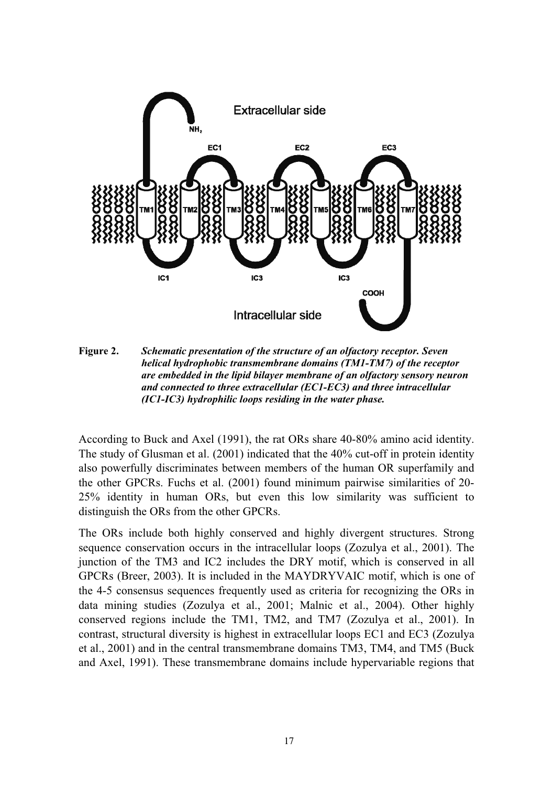

**Figure 2.** *Schematic presentation of the structure of an olfactory receptor. Seven helical hydrophobic transmembrane domains (TM1-TM7) of the receptor are embedded in the lipid bilayer membrane of an olfactory sensory neuron and connected to three extracellular (EC1-EC3) and three intracellular (IC1-IC3) hydrophilic loops residing in the water phase.* 

According to Buck and Axel (1991), the rat ORs share 40-80% amino acid identity. The study of Glusman et al. (2001) indicated that the 40% cut-off in protein identity also powerfully discriminates between members of the human OR superfamily and the other GPCRs. Fuchs et al. (2001) found minimum pairwise similarities of 20- 25% identity in human ORs, but even this low similarity was sufficient to distinguish the ORs from the other GPCRs.

The ORs include both highly conserved and highly divergent structures. Strong sequence conservation occurs in the intracellular loops (Zozulya et al., 2001). The junction of the TM3 and IC2 includes the DRY motif, which is conserved in all GPCRs (Breer, 2003). It is included in the MAYDRYVAIC motif, which is one of the 4-5 consensus sequences frequently used as criteria for recognizing the ORs in data mining studies (Zozulya et al., 2001; Malnic et al., 2004). Other highly conserved regions include the TM1, TM2, and TM7 (Zozulya et al., 2001). In contrast, structural diversity is highest in extracellular loops EC1 and EC3 (Zozulya et al., 2001) and in the central transmembrane domains TM3, TM4, and TM5 (Buck and Axel, 1991). These transmembrane domains include hypervariable regions that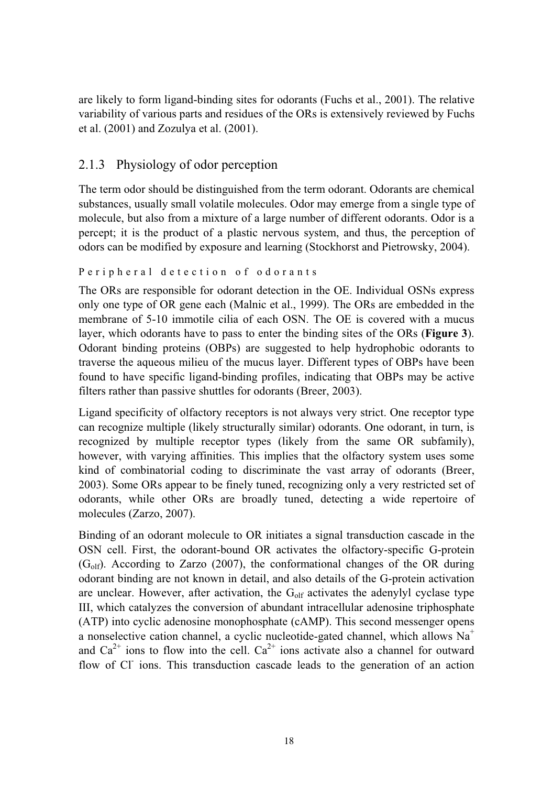are likely to form ligand-binding sites for odorants (Fuchs et al., 2001). The relative variability of various parts and residues of the ORs is extensively reviewed by Fuchs et al. (2001) and Zozulya et al. (2001).

# 2.1.3 Physiology of odor perception

The term odor should be distinguished from the term odorant. Odorants are chemical substances, usually small volatile molecules. Odor may emerge from a single type of molecule, but also from a mixture of a large number of different odorants. Odor is a percept; it is the product of a plastic nervous system, and thus, the perception of odors can be modified by exposure and learning (Stockhorst and Pietrowsky, 2004).

```
Peripheral detection of odorants
```
The ORs are responsible for odorant detection in the OE. Individual OSNs express only one type of OR gene each (Malnic et al., 1999). The ORs are embedded in the membrane of 5-10 immotile cilia of each OSN. The OE is covered with a mucus layer, which odorants have to pass to enter the binding sites of the ORs (**Figure 3**). Odorant binding proteins (OBPs) are suggested to help hydrophobic odorants to traverse the aqueous milieu of the mucus layer. Different types of OBPs have been found to have specific ligand-binding profiles, indicating that OBPs may be active filters rather than passive shuttles for odorants (Breer, 2003).

Ligand specificity of olfactory receptors is not always very strict. One receptor type can recognize multiple (likely structurally similar) odorants. One odorant, in turn, is recognized by multiple receptor types (likely from the same OR subfamily), however, with varying affinities. This implies that the olfactory system uses some kind of combinatorial coding to discriminate the vast array of odorants (Breer, 2003). Some ORs appear to be finely tuned, recognizing only a very restricted set of odorants, while other ORs are broadly tuned, detecting a wide repertoire of molecules (Zarzo, 2007).

Binding of an odorant molecule to OR initiates a signal transduction cascade in the OSN cell. First, the odorant-bound OR activates the olfactory-specific G-protein  $(G_{\text{off}})$ . According to Zarzo (2007), the conformational changes of the OR during odorant binding are not known in detail, and also details of the G-protein activation are unclear. However, after activation, the  $G_{\text{off}}$  activates the adenylyl cyclase type III, which catalyzes the conversion of abundant intracellular adenosine triphosphate (ATP) into cyclic adenosine monophosphate (cAMP). This second messenger opens a nonselective cation channel, a cyclic nucleotide-gated channel, which allows  $Na<sup>+</sup>$ and  $Ca^{2+}$  ions to flow into the cell.  $Ca^{2+}$  ions activate also a channel for outward flow of Cl<sup>-</sup> ions. This transduction cascade leads to the generation of an action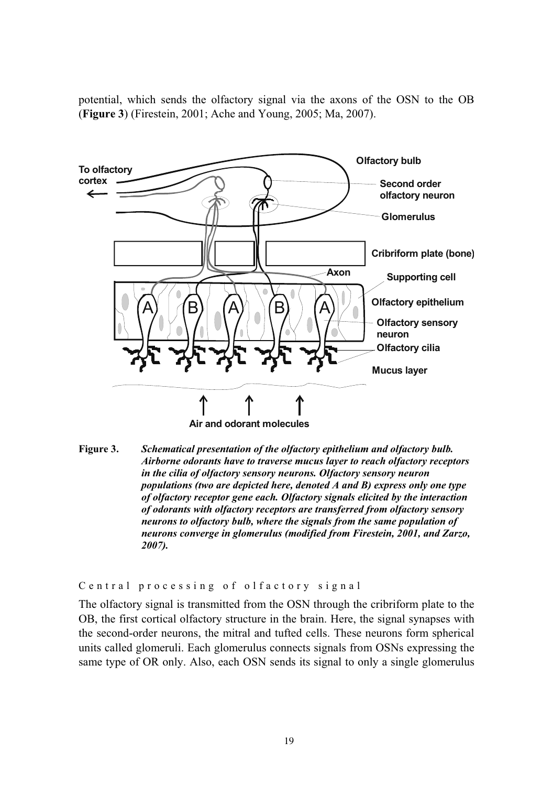potential, which sends the olfactory signal via the axons of the OSN to the OB (**Figure 3**) (Firestein, 2001; Ache and Young, 2005; Ma, 2007).



**Figure 3.** *Schematical presentation of the olfactory epithelium and olfactory bulb. Airborne odorants have to traverse mucus layer to reach olfactory receptors in the cilia of olfactory sensory neurons. Olfactory sensory neuron populations (two are depicted here, denoted A and B) express only one type of olfactory receptor gene each. Olfactory signals elicited by the interaction of odorants with olfactory receptors are transferred from olfactory sensory neurons to olfactory bulb, where the signals from the same population of neurons converge in glomerulus (modified from Firestein, 2001, and Zarzo, 2007).* 

Central processing of olfactory signal

The olfactory signal is transmitted from the OSN through the cribriform plate to the OB, the first cortical olfactory structure in the brain. Here, the signal synapses with the second-order neurons, the mitral and tufted cells. These neurons form spherical units called glomeruli. Each glomerulus connects signals from OSNs expressing the same type of OR only. Also, each OSN sends its signal to only a single glomerulus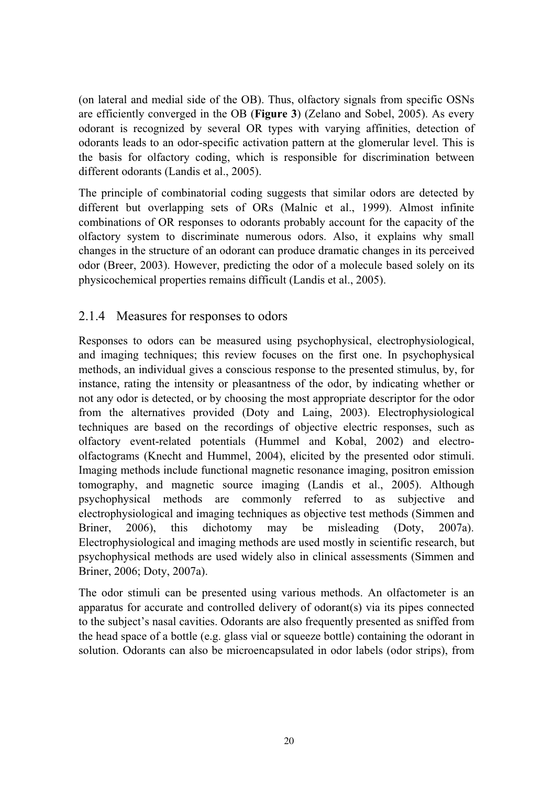(on lateral and medial side of the OB). Thus, olfactory signals from specific OSNs are efficiently converged in the OB (**Figure 3**) (Zelano and Sobel, 2005). As every odorant is recognized by several OR types with varying affinities, detection of odorants leads to an odor-specific activation pattern at the glomerular level. This is the basis for olfactory coding, which is responsible for discrimination between different odorants (Landis et al., 2005).

The principle of combinatorial coding suggests that similar odors are detected by different but overlapping sets of ORs (Malnic et al., 1999). Almost infinite combinations of OR responses to odorants probably account for the capacity of the olfactory system to discriminate numerous odors. Also, it explains why small changes in the structure of an odorant can produce dramatic changes in its perceived odor (Breer, 2003). However, predicting the odor of a molecule based solely on its physicochemical properties remains difficult (Landis et al., 2005).

# 2.1.4 Measures for responses to odors

Responses to odors can be measured using psychophysical, electrophysiological, and imaging techniques; this review focuses on the first one. In psychophysical methods, an individual gives a conscious response to the presented stimulus, by, for instance, rating the intensity or pleasantness of the odor, by indicating whether or not any odor is detected, or by choosing the most appropriate descriptor for the odor from the alternatives provided (Doty and Laing, 2003). Electrophysiological techniques are based on the recordings of objective electric responses, such as olfactory event-related potentials (Hummel and Kobal, 2002) and electroolfactograms (Knecht and Hummel, 2004), elicited by the presented odor stimuli. Imaging methods include functional magnetic resonance imaging, positron emission tomography, and magnetic source imaging (Landis et al., 2005). Although psychophysical methods are commonly referred to as subjective and electrophysiological and imaging techniques as objective test methods (Simmen and Briner, 2006), this dichotomy may be misleading (Doty, 2007a). Electrophysiological and imaging methods are used mostly in scientific research, but psychophysical methods are used widely also in clinical assessments (Simmen and Briner, 2006; Doty, 2007a).

The odor stimuli can be presented using various methods. An olfactometer is an apparatus for accurate and controlled delivery of odorant(s) via its pipes connected to the subject's nasal cavities. Odorants are also frequently presented as sniffed from the head space of a bottle (e.g. glass vial or squeeze bottle) containing the odorant in solution. Odorants can also be microencapsulated in odor labels (odor strips), from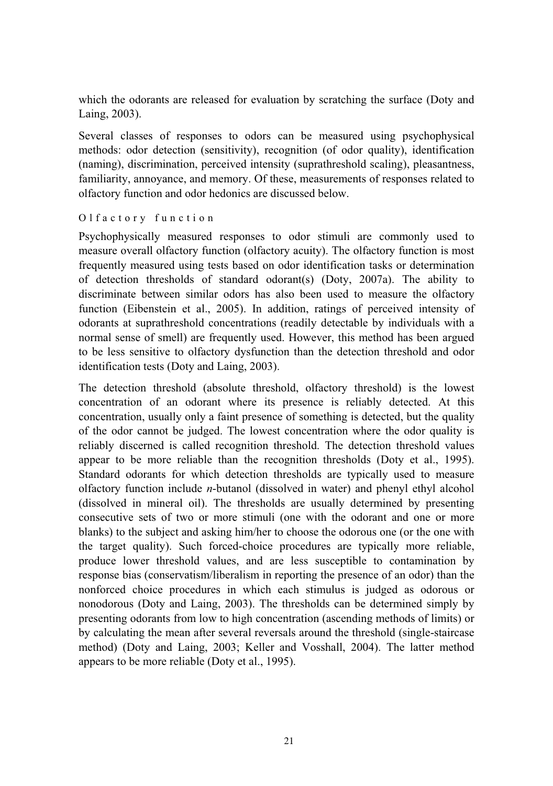which the odorants are released for evaluation by scratching the surface (Doty and Laing, 2003).

Several classes of responses to odors can be measured using psychophysical methods: odor detection (sensitivity), recognition (of odor quality), identification (naming), discrimination, perceived intensity (suprathreshold scaling), pleasantness, familiarity, annoyance, and memory. Of these, measurements of responses related to olfactory function and odor hedonics are discussed below.

#### Olfactory function

Psychophysically measured responses to odor stimuli are commonly used to measure overall olfactory function (olfactory acuity). The olfactory function is most frequently measured using tests based on odor identification tasks or determination of detection thresholds of standard odorant(s) (Doty, 2007a). The ability to discriminate between similar odors has also been used to measure the olfactory function (Eibenstein et al., 2005). In addition, ratings of perceived intensity of odorants at suprathreshold concentrations (readily detectable by individuals with a normal sense of smell) are frequently used. However, this method has been argued to be less sensitive to olfactory dysfunction than the detection threshold and odor identification tests (Doty and Laing, 2003).

The detection threshold (absolute threshold, olfactory threshold) is the lowest concentration of an odorant where its presence is reliably detected. At this concentration, usually only a faint presence of something is detected, but the quality of the odor cannot be judged. The lowest concentration where the odor quality is reliably discerned is called recognition threshold. The detection threshold values appear to be more reliable than the recognition thresholds (Doty et al., 1995). Standard odorants for which detection thresholds are typically used to measure olfactory function include *n*-butanol (dissolved in water) and phenyl ethyl alcohol (dissolved in mineral oil). The thresholds are usually determined by presenting consecutive sets of two or more stimuli (one with the odorant and one or more blanks) to the subject and asking him/her to choose the odorous one (or the one with the target quality). Such forced-choice procedures are typically more reliable, produce lower threshold values, and are less susceptible to contamination by response bias (conservatism/liberalism in reporting the presence of an odor) than the nonforced choice procedures in which each stimulus is judged as odorous or nonodorous (Doty and Laing, 2003). The thresholds can be determined simply by presenting odorants from low to high concentration (ascending methods of limits) or by calculating the mean after several reversals around the threshold (single-staircase method) (Doty and Laing, 2003; Keller and Vosshall, 2004). The latter method appears to be more reliable (Doty et al., 1995).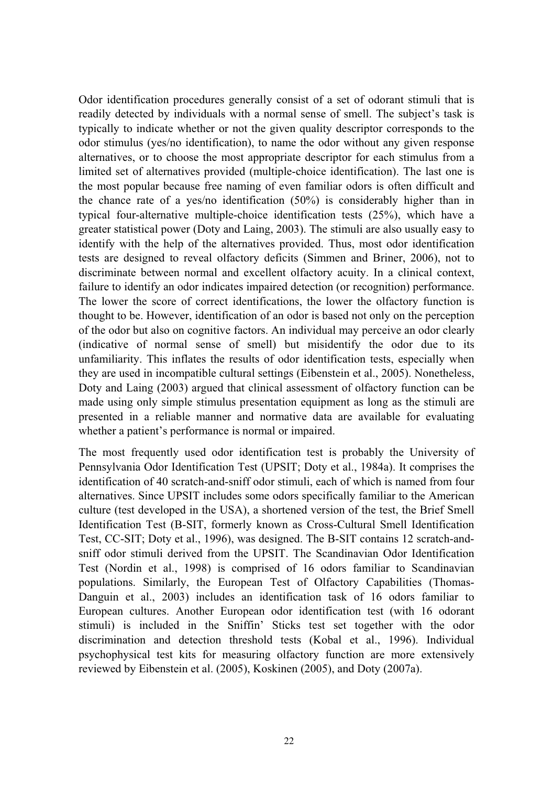Odor identification procedures generally consist of a set of odorant stimuli that is readily detected by individuals with a normal sense of smell. The subject's task is typically to indicate whether or not the given quality descriptor corresponds to the odor stimulus (yes/no identification), to name the odor without any given response alternatives, or to choose the most appropriate descriptor for each stimulus from a limited set of alternatives provided (multiple-choice identification). The last one is the most popular because free naming of even familiar odors is often difficult and the chance rate of a yes/no identification (50%) is considerably higher than in typical four-alternative multiple-choice identification tests (25%), which have a greater statistical power (Doty and Laing, 2003). The stimuli are also usually easy to identify with the help of the alternatives provided. Thus, most odor identification tests are designed to reveal olfactory deficits (Simmen and Briner, 2006), not to discriminate between normal and excellent olfactory acuity. In a clinical context, failure to identify an odor indicates impaired detection (or recognition) performance. The lower the score of correct identifications, the lower the olfactory function is thought to be. However, identification of an odor is based not only on the perception of the odor but also on cognitive factors. An individual may perceive an odor clearly (indicative of normal sense of smell) but misidentify the odor due to its unfamiliarity. This inflates the results of odor identification tests, especially when they are used in incompatible cultural settings (Eibenstein et al., 2005). Nonetheless, Doty and Laing (2003) argued that clinical assessment of olfactory function can be made using only simple stimulus presentation equipment as long as the stimuli are presented in a reliable manner and normative data are available for evaluating whether a patient's performance is normal or impaired.

The most frequently used odor identification test is probably the University of Pennsylvania Odor Identification Test (UPSIT; Doty et al., 1984a). It comprises the identification of 40 scratch-and-sniff odor stimuli, each of which is named from four alternatives. Since UPSIT includes some odors specifically familiar to the American culture (test developed in the USA), a shortened version of the test, the Brief Smell Identification Test (B-SIT, formerly known as Cross-Cultural Smell Identification Test, CC-SIT; Doty et al., 1996), was designed. The B-SIT contains 12 scratch-andsniff odor stimuli derived from the UPSIT. The Scandinavian Odor Identification Test (Nordin et al., 1998) is comprised of 16 odors familiar to Scandinavian populations. Similarly, the European Test of Olfactory Capabilities (Thomas-Danguin et al., 2003) includes an identification task of 16 odors familiar to European cultures. Another European odor identification test (with 16 odorant stimuli) is included in the Sniffin' Sticks test set together with the odor discrimination and detection threshold tests (Kobal et al., 1996). Individual psychophysical test kits for measuring olfactory function are more extensively reviewed by Eibenstein et al. (2005), Koskinen (2005), and Doty (2007a).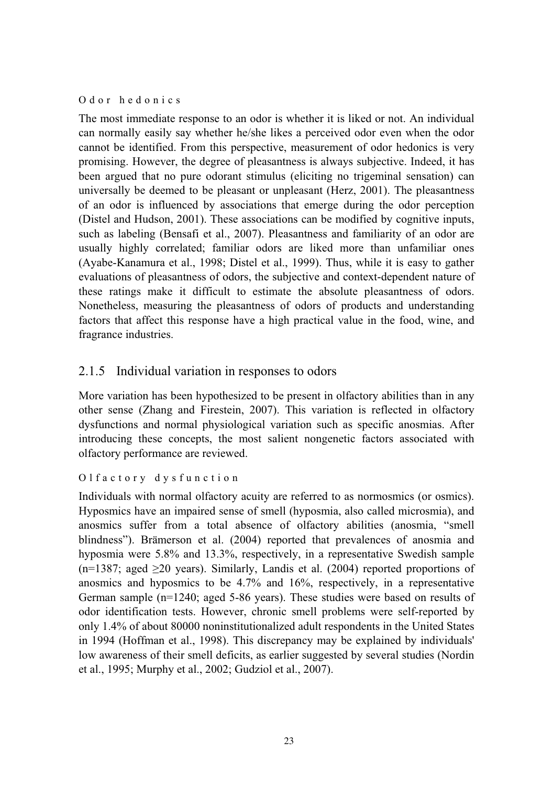Odor hedonics

The most immediate response to an odor is whether it is liked or not. An individual can normally easily say whether he/she likes a perceived odor even when the odor cannot be identified. From this perspective, measurement of odor hedonics is very promising. However, the degree of pleasantness is always subjective. Indeed, it has been argued that no pure odorant stimulus (eliciting no trigeminal sensation) can universally be deemed to be pleasant or unpleasant (Herz, 2001). The pleasantness of an odor is influenced by associations that emerge during the odor perception (Distel and Hudson, 2001). These associations can be modified by cognitive inputs, such as labeling (Bensafi et al., 2007). Pleasantness and familiarity of an odor are usually highly correlated; familiar odors are liked more than unfamiliar ones (Ayabe-Kanamura et al., 1998; Distel et al., 1999). Thus, while it is easy to gather evaluations of pleasantness of odors, the subjective and context-dependent nature of these ratings make it difficult to estimate the absolute pleasantness of odors. Nonetheless, measuring the pleasantness of odors of products and understanding factors that affect this response have a high practical value in the food, wine, and fragrance industries.

# 2.1.5 Individual variation in responses to odors

More variation has been hypothesized to be present in olfactory abilities than in any other sense (Zhang and Firestein, 2007). This variation is reflected in olfactory dysfunctions and normal physiological variation such as specific anosmias. After introducing these concepts, the most salient nongenetic factors associated with olfactory performance are reviewed.

# Olfactory dysfunction

Individuals with normal olfactory acuity are referred to as normosmics (or osmics). Hyposmics have an impaired sense of smell (hyposmia, also called microsmia), and anosmics suffer from a total absence of olfactory abilities (anosmia, "smell blindness"). Brämerson et al. (2004) reported that prevalences of anosmia and hyposmia were 5.8% and 13.3%, respectively, in a representative Swedish sample  $(n=1387; \text{ aged } \geq 20 \text{ years})$ . Similarly, Landis et al. (2004) reported proportions of anosmics and hyposmics to be 4.7% and 16%, respectively, in a representative German sample (n=1240; aged 5-86 years). These studies were based on results of odor identification tests. However, chronic smell problems were self-reported by only 1.4% of about 80000 noninstitutionalized adult respondents in the United States in 1994 (Hoffman et al., 1998). This discrepancy may be explained by individuals' low awareness of their smell deficits, as earlier suggested by several studies (Nordin et al., 1995; Murphy et al., 2002; Gudziol et al., 2007).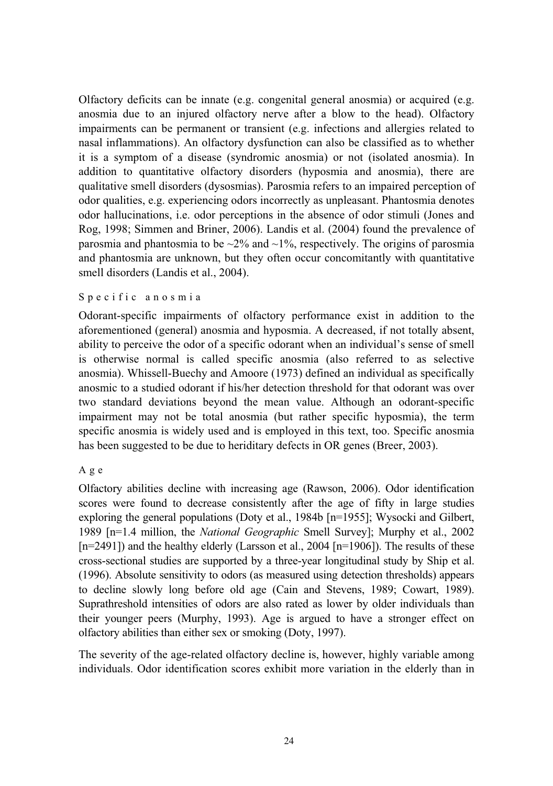Olfactory deficits can be innate (e.g. congenital general anosmia) or acquired (e.g. anosmia due to an injured olfactory nerve after a blow to the head). Olfactory impairments can be permanent or transient (e.g. infections and allergies related to nasal inflammations). An olfactory dysfunction can also be classified as to whether it is a symptom of a disease (syndromic anosmia) or not (isolated anosmia). In addition to quantitative olfactory disorders (hyposmia and anosmia), there are qualitative smell disorders (dysosmias). Parosmia refers to an impaired perception of odor qualities, e.g. experiencing odors incorrectly as unpleasant. Phantosmia denotes odor hallucinations, i.e. odor perceptions in the absence of odor stimuli (Jones and Rog, 1998; Simmen and Briner, 2006). Landis et al. (2004) found the prevalence of parosmia and phantosmia to be  $\sim$ 2% and  $\sim$ 1%, respectively. The origins of parosmia and phantosmia are unknown, but they often occur concomitantly with quantitative smell disorders (Landis et al., 2004).

#### Specific anosmia

Odorant-specific impairments of olfactory performance exist in addition to the aforementioned (general) anosmia and hyposmia. A decreased, if not totally absent, ability to perceive the odor of a specific odorant when an individual's sense of smell is otherwise normal is called specific anosmia (also referred to as selective anosmia). Whissell-Buechy and Amoore (1973) defined an individual as specifically anosmic to a studied odorant if his/her detection threshold for that odorant was over two standard deviations beyond the mean value. Although an odorant-specific impairment may not be total anosmia (but rather specific hyposmia), the term specific anosmia is widely used and is employed in this text, too. Specific anosmia has been suggested to be due to heriditary defects in OR genes (Breer, 2003).

#### Age

Olfactory abilities decline with increasing age (Rawson, 2006). Odor identification scores were found to decrease consistently after the age of fifty in large studies exploring the general populations (Doty et al., 1984b [n=1955]; Wysocki and Gilbert, 1989 [n=1.4 million, the *National Geographic* Smell Survey]; Murphy et al., 2002  $[n=2491]$ ) and the healthy elderly (Larsson et al., 2004  $[n=1906]$ ). The results of these cross-sectional studies are supported by a three-year longitudinal study by Ship et al. (1996). Absolute sensitivity to odors (as measured using detection thresholds) appears to decline slowly long before old age (Cain and Stevens, 1989; Cowart, 1989). Suprathreshold intensities of odors are also rated as lower by older individuals than their younger peers (Murphy, 1993). Age is argued to have a stronger effect on olfactory abilities than either sex or smoking (Doty, 1997).

The severity of the age-related olfactory decline is, however, highly variable among individuals. Odor identification scores exhibit more variation in the elderly than in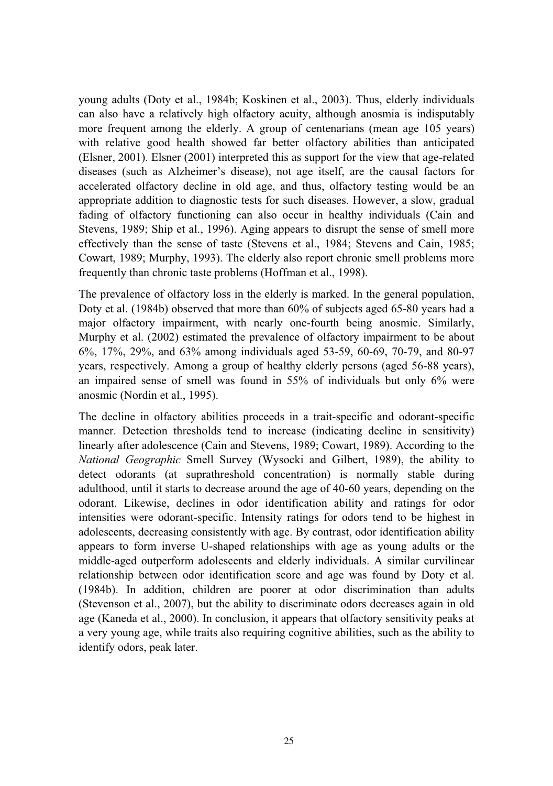young adults (Doty et al., 1984b; Koskinen et al., 2003). Thus, elderly individuals can also have a relatively high olfactory acuity, although anosmia is indisputably more frequent among the elderly. A group of centenarians (mean age 105 years) with relative good health showed far better olfactory abilities than anticipated (Elsner, 2001). Elsner (2001) interpreted this as support for the view that age-related diseases (such as Alzheimer's disease), not age itself, are the causal factors for accelerated olfactory decline in old age, and thus, olfactory testing would be an appropriate addition to diagnostic tests for such diseases. However, a slow, gradual fading of olfactory functioning can also occur in healthy individuals (Cain and Stevens, 1989; Ship et al., 1996). Aging appears to disrupt the sense of smell more effectively than the sense of taste (Stevens et al., 1984; Stevens and Cain, 1985; Cowart, 1989; Murphy, 1993). The elderly also report chronic smell problems more frequently than chronic taste problems (Hoffman et al., 1998).

The prevalence of olfactory loss in the elderly is marked. In the general population, Doty et al. (1984b) observed that more than 60% of subjects aged 65-80 years had a major olfactory impairment, with nearly one-fourth being anosmic. Similarly, Murphy et al. (2002) estimated the prevalence of olfactory impairment to be about 6%, 17%, 29%, and 63% among individuals aged 53-59, 60-69, 70-79, and 80-97 years, respectively. Among a group of healthy elderly persons (aged 56-88 years), an impaired sense of smell was found in 55% of individuals but only 6% were anosmic (Nordin et al., 1995).

The decline in olfactory abilities proceeds in a trait-specific and odorant-specific manner. Detection thresholds tend to increase (indicating decline in sensitivity) linearly after adolescence (Cain and Stevens, 1989; Cowart, 1989). According to the *National Geographic* Smell Survey (Wysocki and Gilbert, 1989), the ability to detect odorants (at suprathreshold concentration) is normally stable during adulthood, until it starts to decrease around the age of 40-60 years, depending on the odorant. Likewise, declines in odor identification ability and ratings for odor intensities were odorant-specific. Intensity ratings for odors tend to be highest in adolescents, decreasing consistently with age. By contrast, odor identification ability appears to form inverse U-shaped relationships with age as young adults or the middle-aged outperform adolescents and elderly individuals. A similar curvilinear relationship between odor identification score and age was found by Doty et al. (1984b). In addition, children are poorer at odor discrimination than adults (Stevenson et al., 2007), but the ability to discriminate odors decreases again in old age (Kaneda et al., 2000). In conclusion, it appears that olfactory sensitivity peaks at a very young age, while traits also requiring cognitive abilities, such as the ability to identify odors, peak later.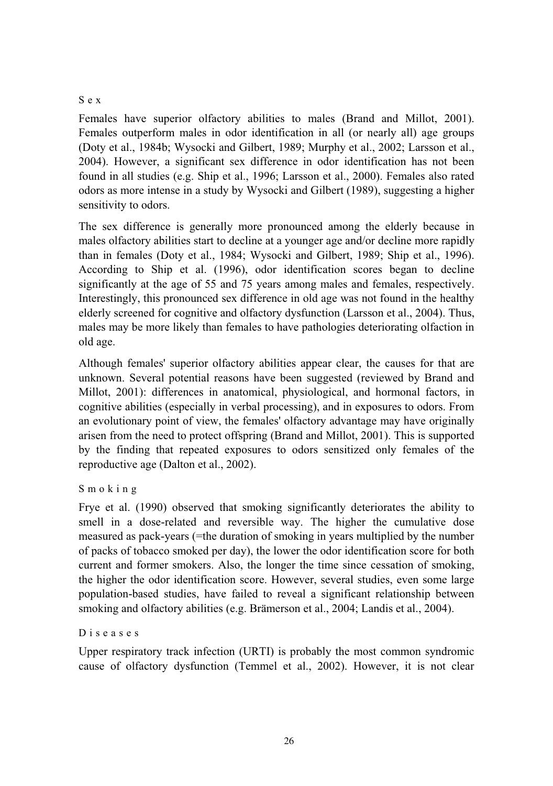## Sex

Females have superior olfactory abilities to males (Brand and Millot, 2001). Females outperform males in odor identification in all (or nearly all) age groups (Doty et al., 1984b; Wysocki and Gilbert, 1989; Murphy et al., 2002; Larsson et al., 2004). However, a significant sex difference in odor identification has not been found in all studies (e.g. Ship et al., 1996; Larsson et al., 2000). Females also rated odors as more intense in a study by Wysocki and Gilbert (1989), suggesting a higher sensitivity to odors.

The sex difference is generally more pronounced among the elderly because in males olfactory abilities start to decline at a younger age and/or decline more rapidly than in females (Doty et al., 1984; Wysocki and Gilbert, 1989; Ship et al., 1996). According to Ship et al. (1996), odor identification scores began to decline significantly at the age of 55 and 75 years among males and females, respectively. Interestingly, this pronounced sex difference in old age was not found in the healthy elderly screened for cognitive and olfactory dysfunction (Larsson et al., 2004). Thus, males may be more likely than females to have pathologies deteriorating olfaction in old age.

Although females' superior olfactory abilities appear clear, the causes for that are unknown. Several potential reasons have been suggested (reviewed by Brand and Millot, 2001): differences in anatomical, physiological, and hormonal factors, in cognitive abilities (especially in verbal processing), and in exposures to odors. From an evolutionary point of view, the females' olfactory advantage may have originally arisen from the need to protect offspring (Brand and Millot, 2001). This is supported by the finding that repeated exposures to odors sensitized only females of the reproductive age (Dalton et al., 2002).

# Smoking

Frye et al. (1990) observed that smoking significantly deteriorates the ability to smell in a dose-related and reversible way. The higher the cumulative dose measured as pack-years (=the duration of smoking in years multiplied by the number of packs of tobacco smoked per day), the lower the odor identification score for both current and former smokers. Also, the longer the time since cessation of smoking, the higher the odor identification score. However, several studies, even some large population-based studies, have failed to reveal a significant relationship between smoking and olfactory abilities (e.g. Brämerson et al., 2004; Landis et al., 2004).

#### Diseases

Upper respiratory track infection (URTI) is probably the most common syndromic cause of olfactory dysfunction (Temmel et al., 2002). However, it is not clear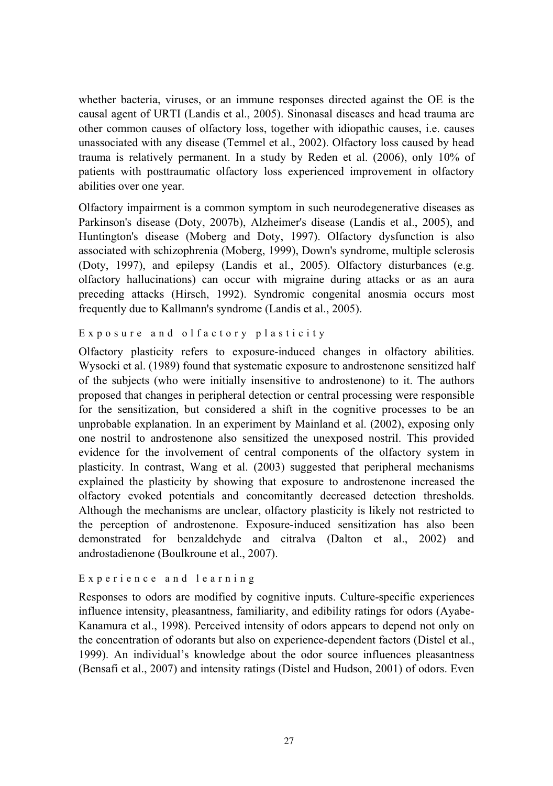whether bacteria, viruses, or an immune responses directed against the OE is the causal agent of URTI (Landis et al., 2005). Sinonasal diseases and head trauma are other common causes of olfactory loss, together with idiopathic causes, i.e. causes unassociated with any disease (Temmel et al., 2002). Olfactory loss caused by head trauma is relatively permanent. In a study by Reden et al. (2006), only 10% of patients with posttraumatic olfactory loss experienced improvement in olfactory abilities over one year.

Olfactory impairment is a common symptom in such neurodegenerative diseases as Parkinson's disease (Doty, 2007b), Alzheimer's disease (Landis et al., 2005), and Huntington's disease (Moberg and Doty, 1997). Olfactory dysfunction is also associated with schizophrenia (Moberg, 1999), Down's syndrome, multiple sclerosis (Doty, 1997), and epilepsy (Landis et al., 2005). Olfactory disturbances (e.g. olfactory hallucinations) can occur with migraine during attacks or as an aura preceding attacks (Hirsch, 1992). Syndromic congenital anosmia occurs most frequently due to Kallmann's syndrome (Landis et al., 2005).

### Exposure and olfactory plasticity

Olfactory plasticity refers to exposure-induced changes in olfactory abilities. Wysocki et al. (1989) found that systematic exposure to androstenone sensitized half of the subjects (who were initially insensitive to androstenone) to it. The authors proposed that changes in peripheral detection or central processing were responsible for the sensitization, but considered a shift in the cognitive processes to be an unprobable explanation. In an experiment by Mainland et al. (2002), exposing only one nostril to androstenone also sensitized the unexposed nostril. This provided evidence for the involvement of central components of the olfactory system in plasticity. In contrast, Wang et al. (2003) suggested that peripheral mechanisms explained the plasticity by showing that exposure to androstenone increased the olfactory evoked potentials and concomitantly decreased detection thresholds. Although the mechanisms are unclear, olfactory plasticity is likely not restricted to the perception of androstenone. Exposure-induced sensitization has also been demonstrated for benzaldehyde and citralva (Dalton et al., 2002) and androstadienone (Boulkroune et al., 2007).

## Experience and learning

Responses to odors are modified by cognitive inputs. Culture-specific experiences influence intensity, pleasantness, familiarity, and edibility ratings for odors (Ayabe-Kanamura et al., 1998). Perceived intensity of odors appears to depend not only on the concentration of odorants but also on experience-dependent factors (Distel et al., 1999). An individual's knowledge about the odor source influences pleasantness (Bensafi et al., 2007) and intensity ratings (Distel and Hudson, 2001) of odors. Even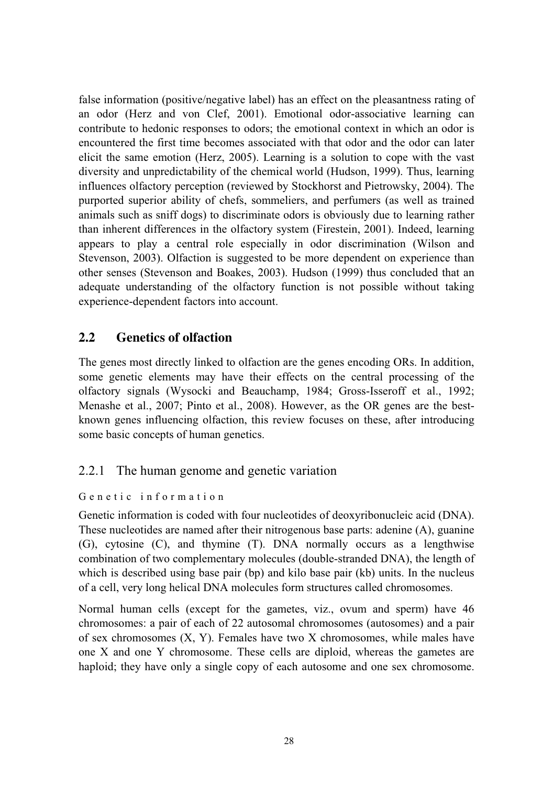false information (positive/negative label) has an effect on the pleasantness rating of an odor (Herz and von Clef, 2001). Emotional odor-associative learning can contribute to hedonic responses to odors; the emotional context in which an odor is encountered the first time becomes associated with that odor and the odor can later elicit the same emotion (Herz, 2005). Learning is a solution to cope with the vast diversity and unpredictability of the chemical world (Hudson, 1999). Thus, learning influences olfactory perception (reviewed by Stockhorst and Pietrowsky, 2004). The purported superior ability of chefs, sommeliers, and perfumers (as well as trained animals such as sniff dogs) to discriminate odors is obviously due to learning rather than inherent differences in the olfactory system (Firestein, 2001). Indeed, learning appears to play a central role especially in odor discrimination (Wilson and Stevenson, 2003). Olfaction is suggested to be more dependent on experience than other senses (Stevenson and Boakes, 2003). Hudson (1999) thus concluded that an adequate understanding of the olfactory function is not possible without taking experience-dependent factors into account.

# **2.2 Genetics of olfaction**

The genes most directly linked to olfaction are the genes encoding ORs. In addition, some genetic elements may have their effects on the central processing of the olfactory signals (Wysocki and Beauchamp, 1984; Gross-Isseroff et al., 1992; Menashe et al., 2007; Pinto et al., 2008). However, as the OR genes are the bestknown genes influencing olfaction, this review focuses on these, after introducing some basic concepts of human genetics.

# 2.2.1 The human genome and genetic variation

# Genetic information

Genetic information is coded with four nucleotides of deoxyribonucleic acid (DNA). These nucleotides are named after their nitrogenous base parts: adenine (A), guanine (G), cytosine (C), and thymine (T). DNA normally occurs as a lengthwise combination of two complementary molecules (double-stranded DNA), the length of which is described using base pair (bp) and kilo base pair (kb) units. In the nucleus of a cell, very long helical DNA molecules form structures called chromosomes.

Normal human cells (except for the gametes, viz., ovum and sperm) have 46 chromosomes: a pair of each of 22 autosomal chromosomes (autosomes) and a pair of sex chromosomes  $(X, Y)$ . Females have two X chromosomes, while males have one X and one Y chromosome. These cells are diploid, whereas the gametes are haploid; they have only a single copy of each autosome and one sex chromosome.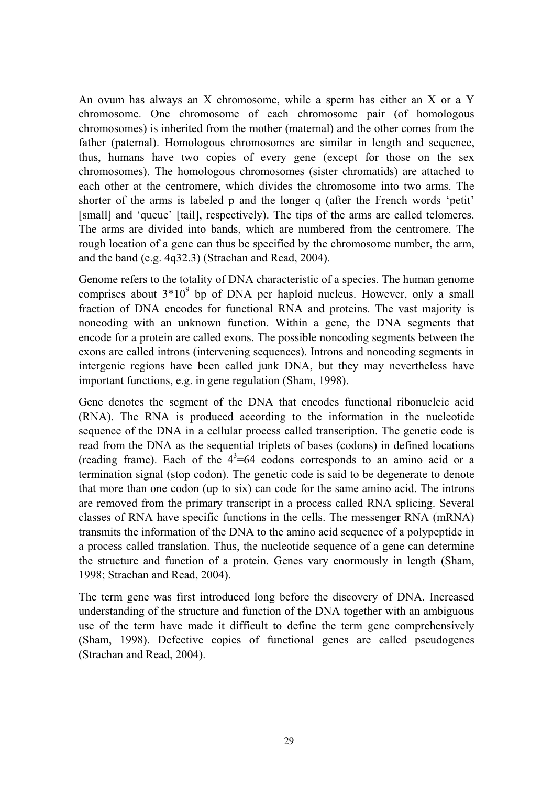An ovum has always an X chromosome, while a sperm has either an X or a Y chromosome. One chromosome of each chromosome pair (of homologous chromosomes) is inherited from the mother (maternal) and the other comes from the father (paternal). Homologous chromosomes are similar in length and sequence, thus, humans have two copies of every gene (except for those on the sex chromosomes). The homologous chromosomes (sister chromatids) are attached to each other at the centromere, which divides the chromosome into two arms. The shorter of the arms is labeled p and the longer q (after the French words 'petit' [small] and 'queue' [tail], respectively). The tips of the arms are called telomeres. The arms are divided into bands, which are numbered from the centromere. The rough location of a gene can thus be specified by the chromosome number, the arm, and the band (e.g. 4q32.3) (Strachan and Read, 2004).

Genome refers to the totality of DNA characteristic of a species. The human genome comprises about  $3*10^9$  bp of DNA per haploid nucleus. However, only a small fraction of DNA encodes for functional RNA and proteins. The vast majority is noncoding with an unknown function. Within a gene, the DNA segments that encode for a protein are called exons. The possible noncoding segments between the exons are called introns (intervening sequences). Introns and noncoding segments in intergenic regions have been called junk DNA, but they may nevertheless have important functions, e.g. in gene regulation (Sham, 1998).

Gene denotes the segment of the DNA that encodes functional ribonucleic acid (RNA). The RNA is produced according to the information in the nucleotide sequence of the DNA in a cellular process called transcription. The genetic code is read from the DNA as the sequential triplets of bases (codons) in defined locations (reading frame). Each of the  $4^3$ =64 codons corresponds to an amino acid or a termination signal (stop codon). The genetic code is said to be degenerate to denote that more than one codon (up to six) can code for the same amino acid. The introns are removed from the primary transcript in a process called RNA splicing. Several classes of RNA have specific functions in the cells. The messenger RNA (mRNA) transmits the information of the DNA to the amino acid sequence of a polypeptide in a process called translation. Thus, the nucleotide sequence of a gene can determine the structure and function of a protein. Genes vary enormously in length (Sham, 1998; Strachan and Read, 2004).

The term gene was first introduced long before the discovery of DNA. Increased understanding of the structure and function of the DNA together with an ambiguous use of the term have made it difficult to define the term gene comprehensively (Sham, 1998). Defective copies of functional genes are called pseudogenes (Strachan and Read, 2004).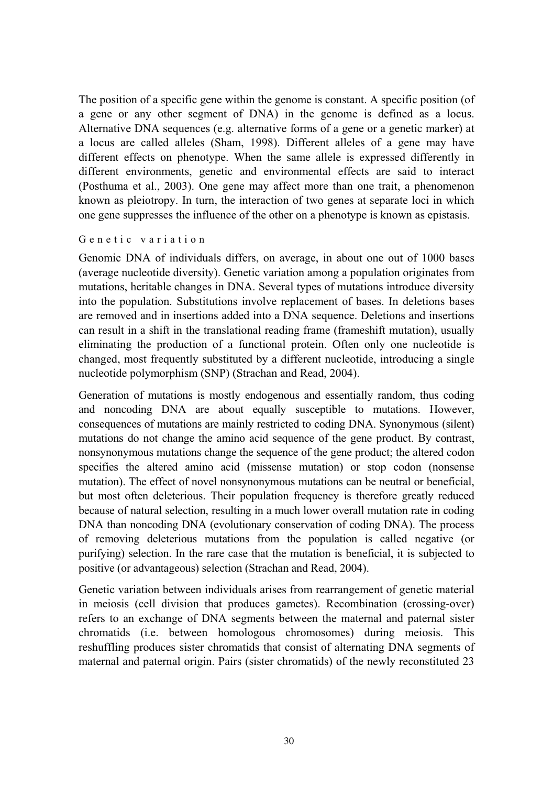The position of a specific gene within the genome is constant. A specific position (of a gene or any other segment of DNA) in the genome is defined as a locus. Alternative DNA sequences (e.g. alternative forms of a gene or a genetic marker) at a locus are called alleles (Sham, 1998). Different alleles of a gene may have different effects on phenotype. When the same allele is expressed differently in different environments, genetic and environmental effects are said to interact (Posthuma et al., 2003). One gene may affect more than one trait, a phenomenon known as pleiotropy. In turn, the interaction of two genes at separate loci in which one gene suppresses the influence of the other on a phenotype is known as epistasis.

#### Genetic variation

Genomic DNA of individuals differs, on average, in about one out of 1000 bases (average nucleotide diversity). Genetic variation among a population originates from mutations, heritable changes in DNA. Several types of mutations introduce diversity into the population. Substitutions involve replacement of bases. In deletions bases are removed and in insertions added into a DNA sequence. Deletions and insertions can result in a shift in the translational reading frame (frameshift mutation), usually eliminating the production of a functional protein. Often only one nucleotide is changed, most frequently substituted by a different nucleotide, introducing a single nucleotide polymorphism (SNP) (Strachan and Read, 2004).

Generation of mutations is mostly endogenous and essentially random, thus coding and noncoding DNA are about equally susceptible to mutations. However, consequences of mutations are mainly restricted to coding DNA. Synonymous (silent) mutations do not change the amino acid sequence of the gene product. By contrast, nonsynonymous mutations change the sequence of the gene product; the altered codon specifies the altered amino acid (missense mutation) or stop codon (nonsense mutation). The effect of novel nonsynonymous mutations can be neutral or beneficial, but most often deleterious. Their population frequency is therefore greatly reduced because of natural selection, resulting in a much lower overall mutation rate in coding DNA than noncoding DNA (evolutionary conservation of coding DNA). The process of removing deleterious mutations from the population is called negative (or purifying) selection. In the rare case that the mutation is beneficial, it is subjected to positive (or advantageous) selection (Strachan and Read, 2004).

Genetic variation between individuals arises from rearrangement of genetic material in meiosis (cell division that produces gametes). Recombination (crossing-over) refers to an exchange of DNA segments between the maternal and paternal sister chromatids (i.e. between homologous chromosomes) during meiosis. This reshuffling produces sister chromatids that consist of alternating DNA segments of maternal and paternal origin. Pairs (sister chromatids) of the newly reconstituted 23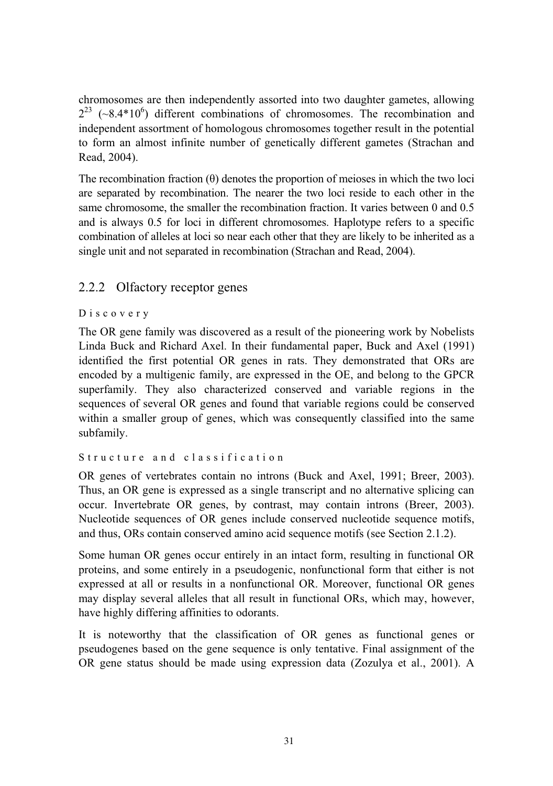chromosomes are then independently assorted into two daughter gametes, allowing  $2^{23}$  (~8.4\*10<sup>6</sup>) different combinations of chromosomes. The recombination and independent assortment of homologous chromosomes together result in the potential to form an almost infinite number of genetically different gametes (Strachan and Read, 2004).

The recombination fraction  $(\theta)$  denotes the proportion of meioses in which the two loci are separated by recombination. The nearer the two loci reside to each other in the same chromosome, the smaller the recombination fraction. It varies between 0 and 0.5 and is always 0.5 for loci in different chromosomes. Haplotype refers to a specific combination of alleles at loci so near each other that they are likely to be inherited as a single unit and not separated in recombination (Strachan and Read, 2004).

# 2.2.2 Olfactory receptor genes

#### Discovery

The OR gene family was discovered as a result of the pioneering work by Nobelists Linda Buck and Richard Axel. In their fundamental paper, Buck and Axel (1991) identified the first potential OR genes in rats. They demonstrated that ORs are encoded by a multigenic family, are expressed in the OE, and belong to the GPCR superfamily. They also characterized conserved and variable regions in the sequences of several OR genes and found that variable regions could be conserved within a smaller group of genes, which was consequently classified into the same subfamily.

# Structure and classification

OR genes of vertebrates contain no introns (Buck and Axel, 1991; Breer, 2003). Thus, an OR gene is expressed as a single transcript and no alternative splicing can occur. Invertebrate OR genes, by contrast, may contain introns (Breer, 2003). Nucleotide sequences of OR genes include conserved nucleotide sequence motifs, and thus, ORs contain conserved amino acid sequence motifs (see Section 2.1.2).

Some human OR genes occur entirely in an intact form, resulting in functional OR proteins, and some entirely in a pseudogenic, nonfunctional form that either is not expressed at all or results in a nonfunctional OR. Moreover, functional OR genes may display several alleles that all result in functional ORs, which may, however, have highly differing affinities to odorants.

It is noteworthy that the classification of OR genes as functional genes or pseudogenes based on the gene sequence is only tentative. Final assignment of the OR gene status should be made using expression data (Zozulya et al., 2001). A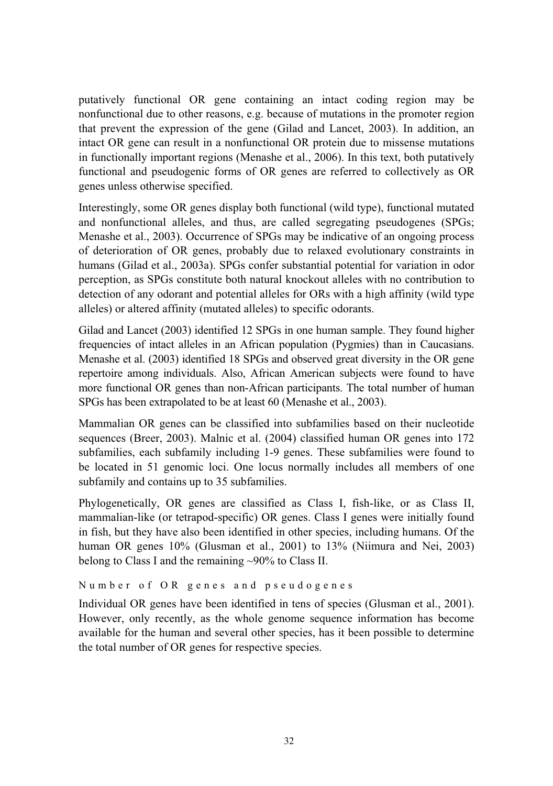putatively functional OR gene containing an intact coding region may be nonfunctional due to other reasons, e.g. because of mutations in the promoter region that prevent the expression of the gene (Gilad and Lancet, 2003). In addition, an intact OR gene can result in a nonfunctional OR protein due to missense mutations in functionally important regions (Menashe et al., 2006). In this text, both putatively functional and pseudogenic forms of OR genes are referred to collectively as OR genes unless otherwise specified.

Interestingly, some OR genes display both functional (wild type), functional mutated and nonfunctional alleles, and thus, are called segregating pseudogenes (SPGs; Menashe et al., 2003). Occurrence of SPGs may be indicative of an ongoing process of deterioration of OR genes, probably due to relaxed evolutionary constraints in humans (Gilad et al., 2003a). SPGs confer substantial potential for variation in odor perception, as SPGs constitute both natural knockout alleles with no contribution to detection of any odorant and potential alleles for ORs with a high affinity (wild type alleles) or altered affinity (mutated alleles) to specific odorants.

Gilad and Lancet (2003) identified 12 SPGs in one human sample. They found higher frequencies of intact alleles in an African population (Pygmies) than in Caucasians. Menashe et al. (2003) identified 18 SPGs and observed great diversity in the OR gene repertoire among individuals. Also, African American subjects were found to have more functional OR genes than non-African participants. The total number of human SPGs has been extrapolated to be at least 60 (Menashe et al., 2003).

Mammalian OR genes can be classified into subfamilies based on their nucleotide sequences (Breer, 2003). Malnic et al. (2004) classified human OR genes into 172 subfamilies, each subfamily including 1-9 genes. These subfamilies were found to be located in 51 genomic loci. One locus normally includes all members of one subfamily and contains up to 35 subfamilies.

Phylogenetically, OR genes are classified as Class I, fish-like, or as Class II, mammalian-like (or tetrapod-specific) OR genes. Class I genes were initially found in fish, but they have also been identified in other species, including humans. Of the human OR genes  $10\%$  (Glusman et al., 2001) to 13% (Niimura and Nei, 2003) belong to Class I and the remaining ~90% to Class II.

Number of OR genes and pseudogenes

Individual OR genes have been identified in tens of species (Glusman et al., 2001). However, only recently, as the whole genome sequence information has become available for the human and several other species, has it been possible to determine the total number of OR genes for respective species.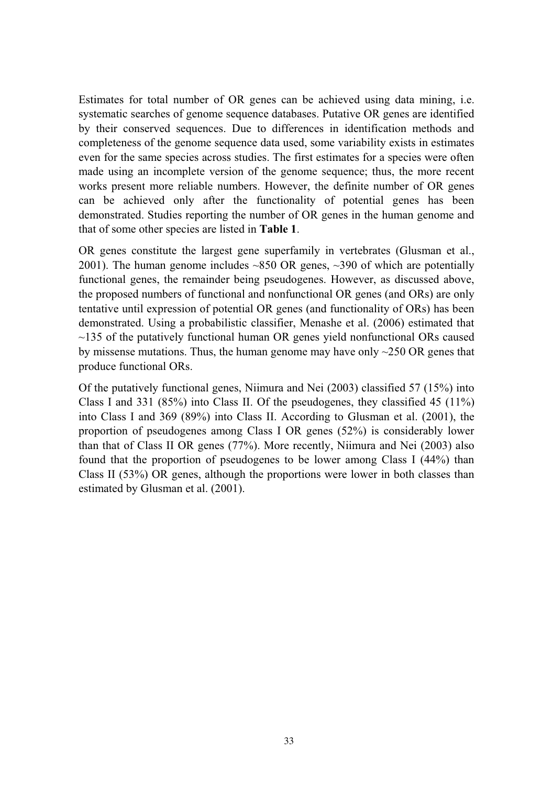Estimates for total number of OR genes can be achieved using data mining, i.e. systematic searches of genome sequence databases. Putative OR genes are identified by their conserved sequences. Due to differences in identification methods and completeness of the genome sequence data used, some variability exists in estimates even for the same species across studies. The first estimates for a species were often made using an incomplete version of the genome sequence; thus, the more recent works present more reliable numbers. However, the definite number of OR genes can be achieved only after the functionality of potential genes has been demonstrated. Studies reporting the number of OR genes in the human genome and that of some other species are listed in **Table 1**.

OR genes constitute the largest gene superfamily in vertebrates (Glusman et al., 2001). The human genome includes  $\sim 850$  OR genes,  $\sim 390$  of which are potentially functional genes, the remainder being pseudogenes. However, as discussed above, the proposed numbers of functional and nonfunctional OR genes (and ORs) are only tentative until expression of potential OR genes (and functionality of ORs) has been demonstrated. Using a probabilistic classifier, Menashe et al. (2006) estimated that  $\sim$ 135 of the putatively functional human OR genes yield nonfunctional ORs caused by missense mutations. Thus, the human genome may have only  $\sim$  250 OR genes that produce functional ORs.

Of the putatively functional genes, Niimura and Nei (2003) classified 57 (15%) into Class I and 331 (85%) into Class II. Of the pseudogenes, they classified 45 (11%) into Class I and 369 (89%) into Class II. According to Glusman et al. (2001), the proportion of pseudogenes among Class I OR genes (52%) is considerably lower than that of Class II OR genes (77%). More recently, Niimura and Nei (2003) also found that the proportion of pseudogenes to be lower among Class I (44%) than Class II (53%) OR genes, although the proportions were lower in both classes than estimated by Glusman et al. (2001).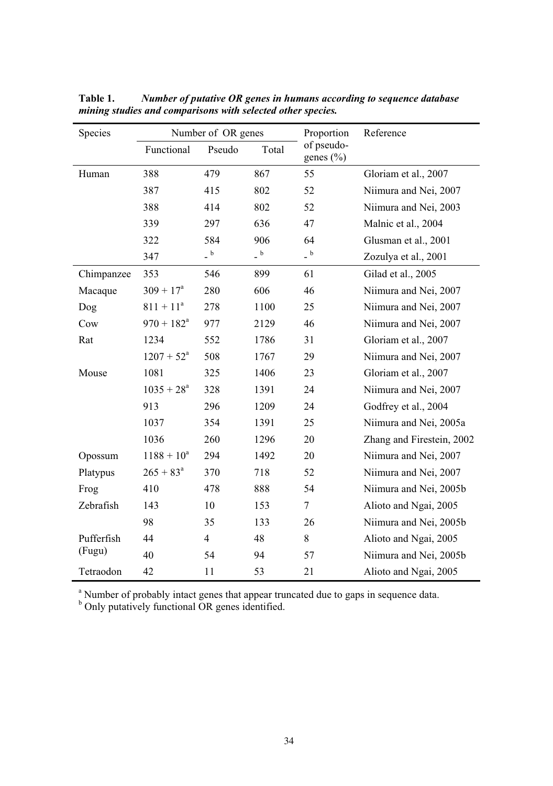| Species    |                     | Number of OR genes                      |                                         | Proportion              | Reference                 |
|------------|---------------------|-----------------------------------------|-----------------------------------------|-------------------------|---------------------------|
|            | Functional          | Pseudo                                  | Total                                   | of pseudo-<br>genes (%) |                           |
| Human      | 388                 | 479                                     | 867                                     | 55                      | Gloriam et al., 2007      |
|            | 387                 | 415                                     | 802                                     | 52                      | Niimura and Nei, 2007     |
|            | 388                 | 414                                     | 802                                     | 52                      | Niimura and Nei, 2003     |
|            | 339                 | 297                                     | 636                                     | 47                      | Malnic et al., 2004       |
|            | 322                 | 584                                     | 906                                     | 64                      | Glusman et al., 2001      |
|            | 347                 | $\overline{\phantom{a}}^{\phantom{a}b}$ | $\overline{\phantom{a}}^{\phantom{a}b}$ | $-$ b                   | Zozulya et al., 2001      |
| Chimpanzee | 353                 | 546                                     | 899                                     | 61                      | Gilad et al., 2005        |
| Macaque    | $309 + 17^a$        | 280                                     | 606                                     | 46                      | Niimura and Nei, 2007     |
| Dog        | $811 + 11a$         | 278                                     | 1100                                    | 25                      | Niimura and Nei, 2007     |
| Cow        | $970 + 182^{\circ}$ | 977                                     | 2129                                    | 46                      | Niimura and Nei, 2007     |
| Rat        | 1234                | 552                                     | 1786                                    | 31                      | Gloriam et al., 2007      |
|            | $1207 + 52^a$       | 508                                     | 1767                                    | 29                      | Niimura and Nei, 2007     |
| Mouse      | 1081                | 325                                     | 1406                                    | 23                      | Gloriam et al., 2007      |
|            | $1035 + 28^a$       | 328                                     | 1391                                    | 24                      | Niimura and Nei, 2007     |
|            | 913                 | 296                                     | 1209                                    | 24                      | Godfrey et al., 2004      |
|            | 1037                | 354                                     | 1391                                    | 25                      | Niimura and Nei, 2005a    |
|            | 1036                | 260                                     | 1296                                    | 20                      | Zhang and Firestein, 2002 |
| Opossum    | $1188 + 10^a$       | 294                                     | 1492                                    | 20                      | Niimura and Nei, 2007     |
| Platypus   | $265 + 83^a$        | 370                                     | 718                                     | 52                      | Niimura and Nei, 2007     |
| Frog       | 410                 | 478                                     | 888                                     | 54                      | Niimura and Nei, 2005b    |
| Zebrafish  | 143                 | 10                                      | 153                                     | 7                       | Alioto and Ngai, 2005     |
|            | 98                  | 35                                      | 133                                     | 26                      | Niimura and Nei, 2005b    |
| Pufferfish | 44                  | $\overline{4}$                          | 48                                      | 8                       | Alioto and Ngai, 2005     |
| (Fugu)     | 40                  | 54                                      | 94                                      | 57                      | Niimura and Nei, 2005b    |
| Tetraodon  | 42                  | 11                                      | 53                                      | 21                      | Alioto and Ngai, 2005     |

**Table 1.** *Number of putative OR genes in humans according to sequence database mining studies and comparisons with selected other species.* 

<sup>a</sup> Number of probably intact genes that appear truncated due to gaps in sequence data.<br><sup>b</sup> Only putatively functional OR genes identified.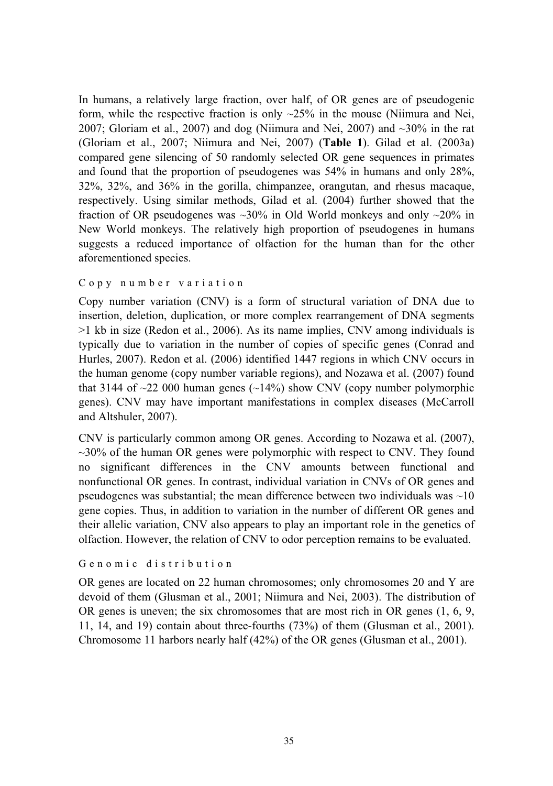In humans, a relatively large fraction, over half, of OR genes are of pseudogenic form, while the respective fraction is only  $\sim$ 25% in the mouse (Niimura and Nei, 2007; Gloriam et al., 2007) and dog (Niimura and Nei, 2007) and  $\sim$ 30% in the rat (Gloriam et al., 2007; Niimura and Nei, 2007) (**Table 1**). Gilad et al. (2003a) compared gene silencing of 50 randomly selected OR gene sequences in primates and found that the proportion of pseudogenes was 54% in humans and only 28%, 32%, 32%, and 36% in the gorilla, chimpanzee, orangutan, and rhesus macaque, respectively. Using similar methods, Gilad et al. (2004) further showed that the fraction of OR pseudogenes was  $\sim$ 30% in Old World monkeys and only  $\sim$ 20% in New World monkeys. The relatively high proportion of pseudogenes in humans suggests a reduced importance of olfaction for the human than for the other aforementioned species.

#### Copy number variation

Copy number variation (CNV) is a form of structural variation of DNA due to insertion, deletion, duplication, or more complex rearrangement of DNA segments >1 kb in size (Redon et al., 2006). As its name implies, CNV among individuals is typically due to variation in the number of copies of specific genes (Conrad and Hurles, 2007). Redon et al. (2006) identified 1447 regions in which CNV occurs in the human genome (copy number variable regions), and Nozawa et al. (2007) found that 3144 of  $\sim$ 22 000 human genes ( $\sim$ 14%) show CNV (copy number polymorphic genes). CNV may have important manifestations in complex diseases (McCarroll and Altshuler, 2007).

CNV is particularly common among OR genes. According to Nozawa et al. (2007),  $\sim$ 30% of the human OR genes were polymorphic with respect to CNV. They found no significant differences in the CNV amounts between functional and nonfunctional OR genes. In contrast, individual variation in CNVs of OR genes and pseudogenes was substantial; the mean difference between two individuals was  $\sim 10$ gene copies. Thus, in addition to variation in the number of different OR genes and their allelic variation, CNV also appears to play an important role in the genetics of olfaction. However, the relation of CNV to odor perception remains to be evaluated.

#### Genomic distribution

OR genes are located on 22 human chromosomes; only chromosomes 20 and Y are devoid of them (Glusman et al., 2001; Niimura and Nei, 2003). The distribution of OR genes is uneven; the six chromosomes that are most rich in OR genes (1, 6, 9, 11, 14, and 19) contain about three-fourths (73%) of them (Glusman et al., 2001). Chromosome 11 harbors nearly half (42%) of the OR genes (Glusman et al., 2001).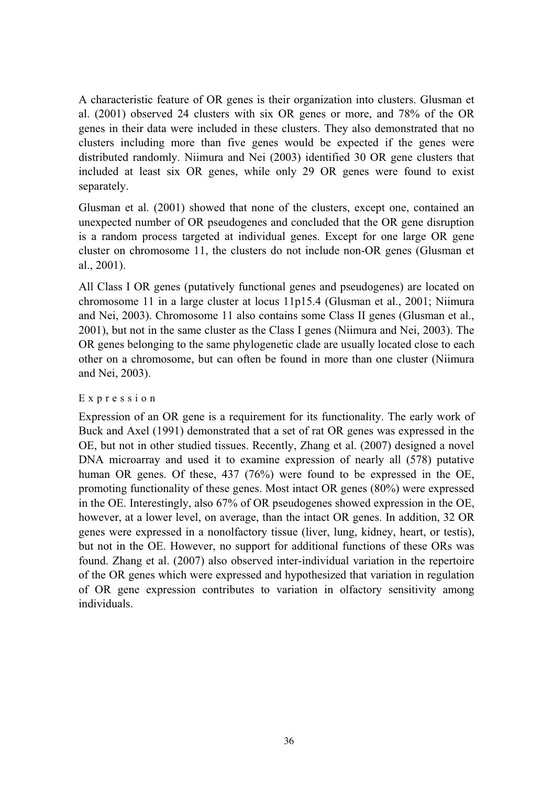A characteristic feature of OR genes is their organization into clusters. Glusman et al. (2001) observed 24 clusters with six OR genes or more, and 78% of the OR genes in their data were included in these clusters. They also demonstrated that no clusters including more than five genes would be expected if the genes were distributed randomly. Niimura and Nei (2003) identified 30 OR gene clusters that included at least six OR genes, while only 29 OR genes were found to exist separately.

Glusman et al. (2001) showed that none of the clusters, except one, contained an unexpected number of OR pseudogenes and concluded that the OR gene disruption is a random process targeted at individual genes. Except for one large OR gene cluster on chromosome 11, the clusters do not include non-OR genes (Glusman et al., 2001).

All Class I OR genes (putatively functional genes and pseudogenes) are located on chromosome 11 in a large cluster at locus 11p15.4 (Glusman et al., 2001; Niimura and Nei, 2003). Chromosome 11 also contains some Class II genes (Glusman et al., 2001), but not in the same cluster as the Class I genes (Niimura and Nei, 2003). The OR genes belonging to the same phylogenetic clade are usually located close to each other on a chromosome, but can often be found in more than one cluster (Niimura and Nei, 2003).

#### Expression

Expression of an OR gene is a requirement for its functionality. The early work of Buck and Axel (1991) demonstrated that a set of rat OR genes was expressed in the OE, but not in other studied tissues. Recently, Zhang et al. (2007) designed a novel DNA microarray and used it to examine expression of nearly all (578) putative human OR genes. Of these, 437 (76%) were found to be expressed in the OE, promoting functionality of these genes. Most intact OR genes (80%) were expressed in the OE. Interestingly, also 67% of OR pseudogenes showed expression in the OE, however, at a lower level, on average, than the intact OR genes. In addition, 32 OR genes were expressed in a nonolfactory tissue (liver, lung, kidney, heart, or testis), but not in the OE. However, no support for additional functions of these ORs was found. Zhang et al. (2007) also observed inter-individual variation in the repertoire of the OR genes which were expressed and hypothesized that variation in regulation of OR gene expression contributes to variation in olfactory sensitivity among individuals.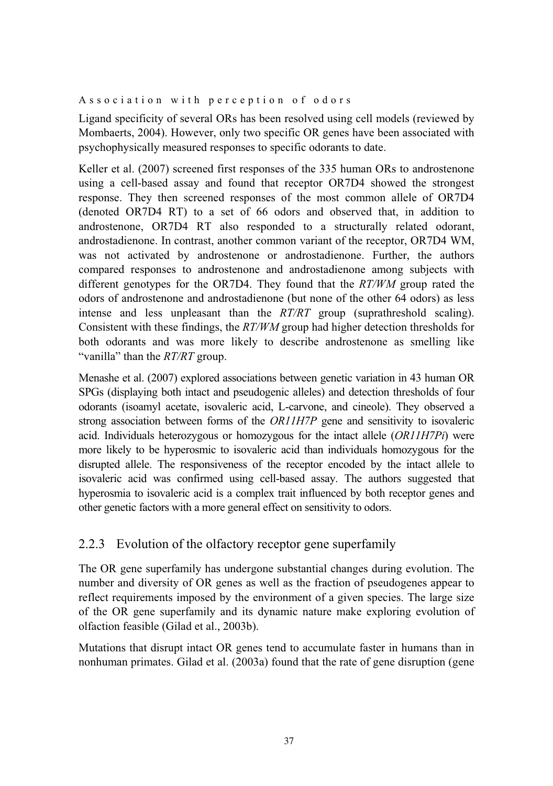#### Association with perception of odors

Ligand specificity of several ORs has been resolved using cell models (reviewed by Mombaerts, 2004). However, only two specific OR genes have been associated with psychophysically measured responses to specific odorants to date.

Keller et al. (2007) screened first responses of the 335 human ORs to androstenone using a cell-based assay and found that receptor OR7D4 showed the strongest response. They then screened responses of the most common allele of OR7D4 (denoted OR7D4 RT) to a set of 66 odors and observed that, in addition to androstenone, OR7D4 RT also responded to a structurally related odorant, androstadienone. In contrast, another common variant of the receptor, OR7D4 WM, was not activated by androstenone or androstadienone. Further, the authors compared responses to androstenone and androstadienone among subjects with different genotypes for the OR7D4. They found that the *RT/WM* group rated the odors of androstenone and androstadienone (but none of the other 64 odors) as less intense and less unpleasant than the *RT/RT* group (suprathreshold scaling). Consistent with these findings, the *RT/WM* group had higher detection thresholds for both odorants and was more likely to describe androstenone as smelling like "vanilla" than the *RT/RT* group.

Menashe et al. (2007) explored associations between genetic variation in 43 human OR SPGs (displaying both intact and pseudogenic alleles) and detection thresholds of four odorants (isoamyl acetate, isovaleric acid, L-carvone, and cineole). They observed a strong association between forms of the *OR11H7P* gene and sensitivity to isovaleric acid. Individuals heterozygous or homozygous for the intact allele (*OR11H7Pi*) were more likely to be hyperosmic to isovaleric acid than individuals homozygous for the disrupted allele. The responsiveness of the receptor encoded by the intact allele to isovaleric acid was confirmed using cell-based assay. The authors suggested that hyperosmia to isovaleric acid is a complex trait influenced by both receptor genes and other genetic factors with a more general effect on sensitivity to odors.

## 2.2.3 Evolution of the olfactory receptor gene superfamily

The OR gene superfamily has undergone substantial changes during evolution. The number and diversity of OR genes as well as the fraction of pseudogenes appear to reflect requirements imposed by the environment of a given species. The large size of the OR gene superfamily and its dynamic nature make exploring evolution of olfaction feasible (Gilad et al., 2003b).

Mutations that disrupt intact OR genes tend to accumulate faster in humans than in nonhuman primates. Gilad et al. (2003a) found that the rate of gene disruption (gene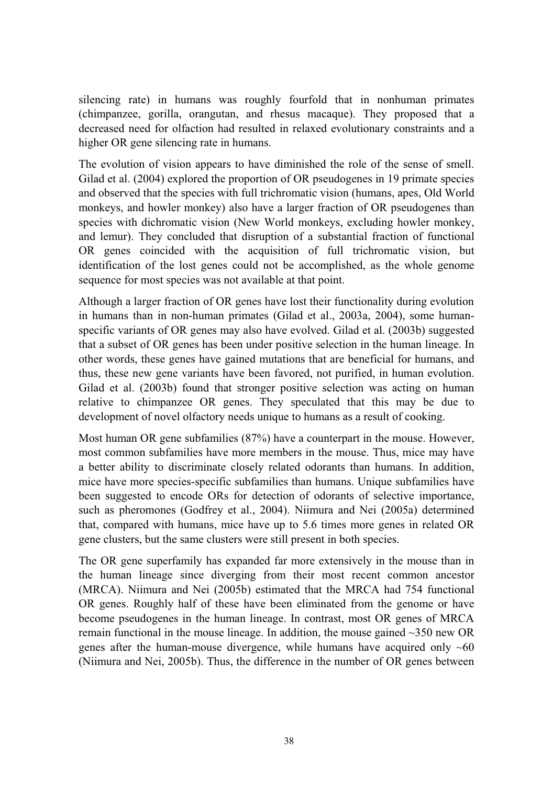silencing rate) in humans was roughly fourfold that in nonhuman primates (chimpanzee, gorilla, orangutan, and rhesus macaque). They proposed that a decreased need for olfaction had resulted in relaxed evolutionary constraints and a higher OR gene silencing rate in humans.

The evolution of vision appears to have diminished the role of the sense of smell. Gilad et al. (2004) explored the proportion of OR pseudogenes in 19 primate species and observed that the species with full trichromatic vision (humans, apes, Old World monkeys, and howler monkey) also have a larger fraction of OR pseudogenes than species with dichromatic vision (New World monkeys, excluding howler monkey, and lemur). They concluded that disruption of a substantial fraction of functional OR genes coincided with the acquisition of full trichromatic vision, but identification of the lost genes could not be accomplished, as the whole genome sequence for most species was not available at that point.

Although a larger fraction of OR genes have lost their functionality during evolution in humans than in non-human primates (Gilad et al., 2003a, 2004), some humanspecific variants of OR genes may also have evolved. Gilad et al. (2003b) suggested that a subset of OR genes has been under positive selection in the human lineage. In other words, these genes have gained mutations that are beneficial for humans, and thus, these new gene variants have been favored, not purified, in human evolution. Gilad et al. (2003b) found that stronger positive selection was acting on human relative to chimpanzee OR genes. They speculated that this may be due to development of novel olfactory needs unique to humans as a result of cooking.

Most human OR gene subfamilies (87%) have a counterpart in the mouse. However, most common subfamilies have more members in the mouse. Thus, mice may have a better ability to discriminate closely related odorants than humans. In addition, mice have more species-specific subfamilies than humans. Unique subfamilies have been suggested to encode ORs for detection of odorants of selective importance, such as pheromones (Godfrey et al., 2004). Niimura and Nei (2005a) determined that, compared with humans, mice have up to 5.6 times more genes in related OR gene clusters, but the same clusters were still present in both species.

The OR gene superfamily has expanded far more extensively in the mouse than in the human lineage since diverging from their most recent common ancestor (MRCA). Niimura and Nei (2005b) estimated that the MRCA had 754 functional OR genes. Roughly half of these have been eliminated from the genome or have become pseudogenes in the human lineage. In contrast, most OR genes of MRCA remain functional in the mouse lineage. In addition, the mouse gained ~350 new OR genes after the human-mouse divergence, while humans have acquired only  $~60$ (Niimura and Nei, 2005b). Thus, the difference in the number of OR genes between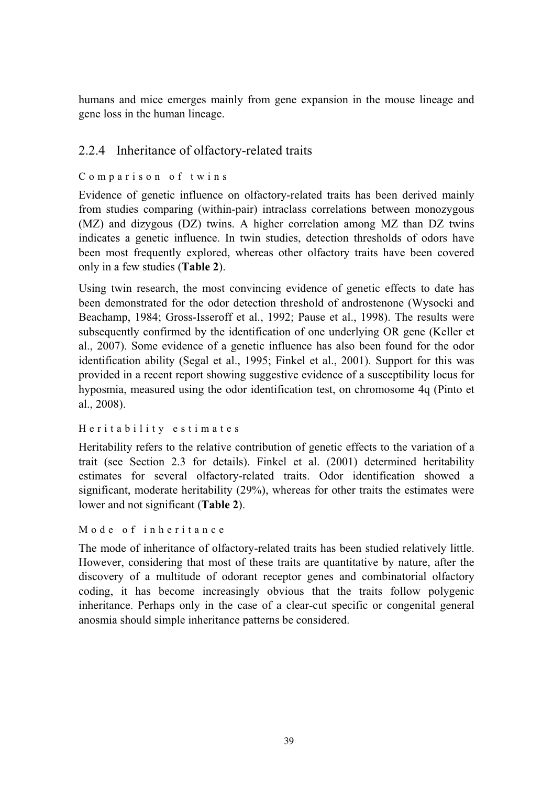humans and mice emerges mainly from gene expansion in the mouse lineage and gene loss in the human lineage.

## 2.2.4 Inheritance of olfactory-related traits

#### Comparison of twins

Evidence of genetic influence on olfactory-related traits has been derived mainly from studies comparing (within-pair) intraclass correlations between monozygous (MZ) and dizygous (DZ) twins. A higher correlation among MZ than DZ twins indicates a genetic influence. In twin studies, detection thresholds of odors have been most frequently explored, whereas other olfactory traits have been covered only in a few studies (**Table 2**).

Using twin research, the most convincing evidence of genetic effects to date has been demonstrated for the odor detection threshold of androstenone (Wysocki and Beachamp, 1984; Gross-Isseroff et al., 1992; Pause et al., 1998). The results were subsequently confirmed by the identification of one underlying OR gene (Keller et al., 2007). Some evidence of a genetic influence has also been found for the odor identification ability (Segal et al., 1995; Finkel et al., 2001). Support for this was provided in a recent report showing suggestive evidence of a susceptibility locus for hyposmia, measured using the odor identification test, on chromosome 4q (Pinto et al., 2008).

```
Heritability estimates
```
Heritability refers to the relative contribution of genetic effects to the variation of a trait (see Section 2.3 for details). Finkel et al. (2001) determined heritability estimates for several olfactory-related traits. Odor identification showed a significant, moderate heritability (29%), whereas for other traits the estimates were lower and not significant (**Table 2**).

Mode of inheritance

The mode of inheritance of olfactory-related traits has been studied relatively little. However, considering that most of these traits are quantitative by nature, after the discovery of a multitude of odorant receptor genes and combinatorial olfactory coding, it has become increasingly obvious that the traits follow polygenic inheritance. Perhaps only in the case of a clear-cut specific or congenital general anosmia should simple inheritance patterns be considered.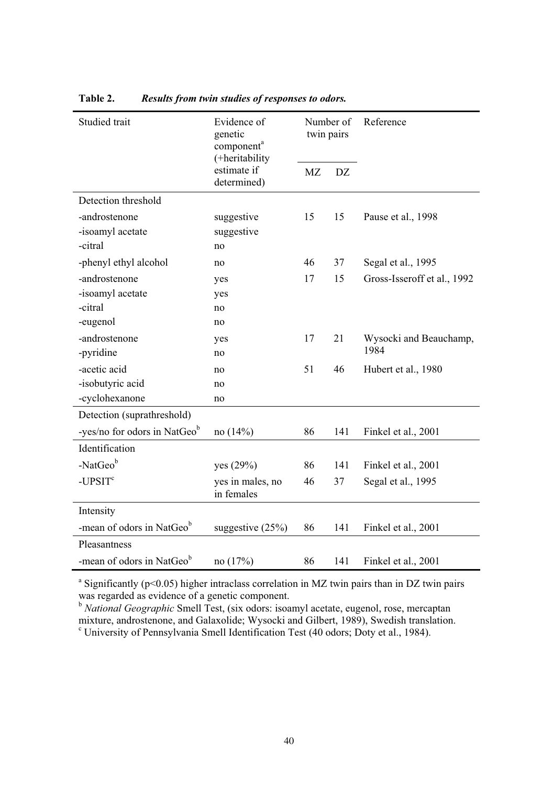| Studied trait                            | Evidence of<br>genetic<br>component <sup>a</sup><br>(+heritability | Number of<br>twin pairs |     | Reference                   |
|------------------------------------------|--------------------------------------------------------------------|-------------------------|-----|-----------------------------|
|                                          | estimate if<br>determined)                                         | <b>MZ</b>               | DZ. |                             |
| Detection threshold                      |                                                                    |                         |     |                             |
| -androstenone                            | suggestive                                                         | 15                      | 15  | Pause et al., 1998          |
| -isoamyl acetate                         | suggestive                                                         |                         |     |                             |
| -citral                                  | no                                                                 |                         |     |                             |
| -phenyl ethyl alcohol                    | no                                                                 | 46                      | 37  | Segal et al., 1995          |
| -androstenone                            | yes                                                                | 17                      | 15  | Gross-Isseroff et al., 1992 |
| -isoamyl acetate                         | yes                                                                |                         |     |                             |
| -citral                                  | no                                                                 |                         |     |                             |
| -eugenol                                 | no                                                                 |                         |     |                             |
| -androstenone                            | yes                                                                | 17                      | 21  | Wysocki and Beauchamp,      |
| -pyridine                                | no                                                                 |                         |     | 1984                        |
| -acetic acid                             | no                                                                 | 51                      | 46  | Hubert et al., 1980         |
| -isobutyric acid                         | no                                                                 |                         |     |                             |
| -cyclohexanone                           | no                                                                 |                         |     |                             |
| Detection (suprathreshold)               |                                                                    |                         |     |                             |
| -yes/no for odors in NatGeo <sup>b</sup> | no $(14%)$                                                         | 86                      | 141 | Finkel et al., 2001         |
| Identification                           |                                                                    |                         |     |                             |
| -NatGeob                                 | yes (29%)                                                          | 86                      | 141 | Finkel et al., 2001         |
| $-UPSITc$                                | yes in males, no<br>in females                                     | 46                      | 37  | Segal et al., 1995          |
| Intensity                                |                                                                    |                         |     |                             |
| -mean of odors in NatGeob                | suggestive $(25%)$                                                 | 86                      | 141 | Finkel et al., 2001         |
| Pleasantness                             |                                                                    |                         |     |                             |
| -mean of odors in NatGeo <sup>b</sup>    | no $(17%)$                                                         | 86                      | 141 | Finkel et al., 2001         |

**Table 2.** *Results from twin studies of responses to odors.* 

<sup>a</sup> Significantly ( $p$ <0.05) higher intraclass correlation in MZ twin pairs than in DZ twin pairs was regarded as evidence of a genetic component.

<sup>b</sup> *National Geographic* Smell Test, (six odors: isoamyl acetate, eugenol, rose, mercaptan mixture, androstenone, and Galaxolide; Wysocki and Gilbert, 1989), Swedish translation.

c University of Pennsylvania Smell Identification Test (40 odors; Doty et al., 1984).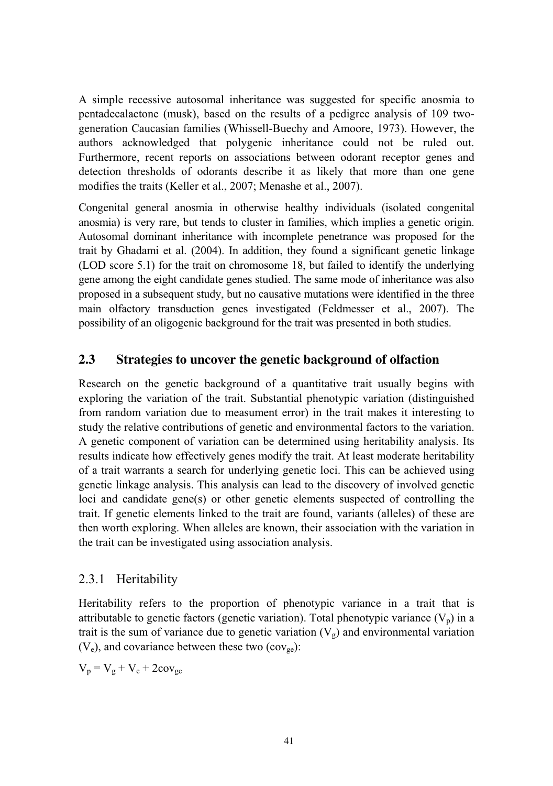A simple recessive autosomal inheritance was suggested for specific anosmia to pentadecalactone (musk), based on the results of a pedigree analysis of 109 twogeneration Caucasian families (Whissell-Buechy and Amoore, 1973). However, the authors acknowledged that polygenic inheritance could not be ruled out. Furthermore, recent reports on associations between odorant receptor genes and detection thresholds of odorants describe it as likely that more than one gene modifies the traits (Keller et al., 2007; Menashe et al., 2007).

Congenital general anosmia in otherwise healthy individuals (isolated congenital anosmia) is very rare, but tends to cluster in families, which implies a genetic origin. Autosomal dominant inheritance with incomplete penetrance was proposed for the trait by Ghadami et al. (2004). In addition, they found a significant genetic linkage (LOD score 5.1) for the trait on chromosome 18, but failed to identify the underlying gene among the eight candidate genes studied. The same mode of inheritance was also proposed in a subsequent study, but no causative mutations were identified in the three main olfactory transduction genes investigated (Feldmesser et al., 2007). The possibility of an oligogenic background for the trait was presented in both studies.

#### **2.3 Strategies to uncover the genetic background of olfaction**

Research on the genetic background of a quantitative trait usually begins with exploring the variation of the trait. Substantial phenotypic variation (distinguished from random variation due to measument error) in the trait makes it interesting to study the relative contributions of genetic and environmental factors to the variation. A genetic component of variation can be determined using heritability analysis. Its results indicate how effectively genes modify the trait. At least moderate heritability of a trait warrants a search for underlying genetic loci. This can be achieved using genetic linkage analysis. This analysis can lead to the discovery of involved genetic loci and candidate gene(s) or other genetic elements suspected of controlling the trait. If genetic elements linked to the trait are found, variants (alleles) of these are then worth exploring. When alleles are known, their association with the variation in the trait can be investigated using association analysis.

## 2.3.1 Heritability

Heritability refers to the proportion of phenotypic variance in a trait that is attributable to genetic factors (genetic variation). Total phenotypic variance  $(V_n)$  in a trait is the sum of variance due to genetic variation  $(V<sub>g</sub>)$  and environmental variation  $(V_e)$ , and covariance between these two (cov<sub>ge</sub>):

 $V_p = V_g + V_e + 2cov_{ge}$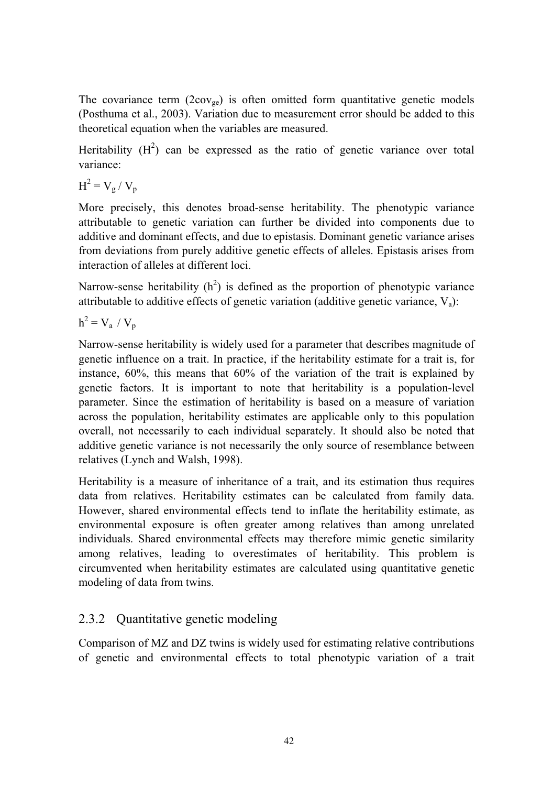The covariance term  $(2\text{cov}_{ge})$  is often omitted form quantitative genetic models (Posthuma et al., 2003). Variation due to measurement error should be added to this theoretical equation when the variables are measured.

Heritability  $(H^2)$  can be expressed as the ratio of genetic variance over total variance:

 $H^2 = V_g / V_p$ 

More precisely, this denotes broad-sense heritability. The phenotypic variance attributable to genetic variation can further be divided into components due to additive and dominant effects, and due to epistasis. Dominant genetic variance arises from deviations from purely additive genetic effects of alleles. Epistasis arises from interaction of alleles at different loci.

Narrow-sense heritability  $(h^2)$  is defined as the proportion of phenotypic variance attributable to additive effects of genetic variation (additive genetic variance,  $V_a$ ):

 $h^2 = V_a / V_p$ 

Narrow-sense heritability is widely used for a parameter that describes magnitude of genetic influence on a trait. In practice, if the heritability estimate for a trait is, for instance, 60%, this means that 60% of the variation of the trait is explained by genetic factors. It is important to note that heritability is a population-level parameter. Since the estimation of heritability is based on a measure of variation across the population, heritability estimates are applicable only to this population overall, not necessarily to each individual separately. It should also be noted that additive genetic variance is not necessarily the only source of resemblance between relatives (Lynch and Walsh, 1998).

Heritability is a measure of inheritance of a trait, and its estimation thus requires data from relatives. Heritability estimates can be calculated from family data. However, shared environmental effects tend to inflate the heritability estimate, as environmental exposure is often greater among relatives than among unrelated individuals. Shared environmental effects may therefore mimic genetic similarity among relatives, leading to overestimates of heritability. This problem is circumvented when heritability estimates are calculated using quantitative genetic modeling of data from twins.

## 2.3.2 Quantitative genetic modeling

Comparison of MZ and DZ twins is widely used for estimating relative contributions of genetic and environmental effects to total phenotypic variation of a trait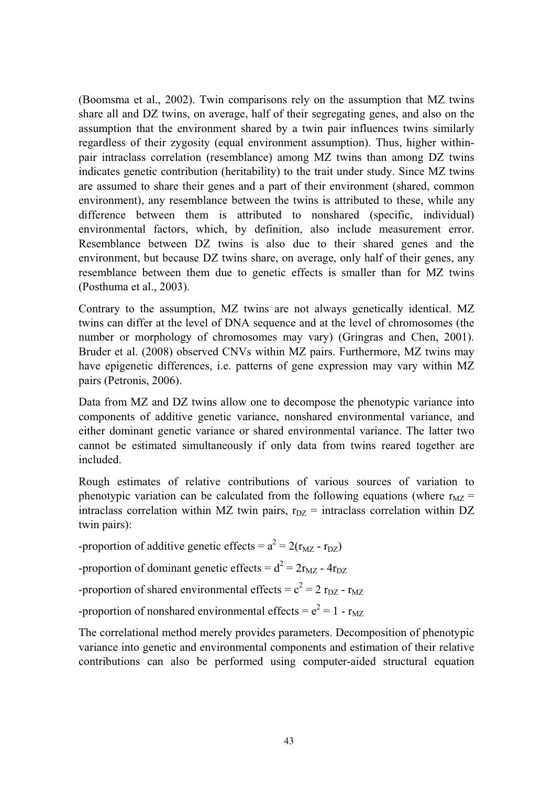(Boomsma et al., 2002). Twin comparisons rely on the assumption that MZ twins share all and DZ twins, on average, half of their segregating genes, and also on the assumption that the environment shared by a twin pair influences twins similarly regardless of their zygosity (equal environment assumption). Thus, higher withinpair intraclass correlation (resemblance) among MZ twins than among DZ twins indicates genetic contribution (heritability) to the trait under study. Since MZ twins are assumed to share their genes and a part of their environment (shared, common environment), any resemblance between the twins is attributed to these, while any difference between them is attributed to nonshared (specific, individual) environmental factors, which, by definition, also include measurement error. Resemblance between DZ twins is also due to their shared genes and the environment, but because DZ twins share, on average, only half of their genes, any resemblance between them due to genetic effects is smaller than for MZ twins (Posthuma et al., 2003).

Contrary to the assumption, MZ twins are not always genetically identical. MZ twins can differ at the level of DNA sequence and at the level of chromosomes (the number or morphology of chromosomes may vary) (Gringras and Chen, 2001). Bruder et al. (2008) observed CNVs within MZ pairs. Furthermore, MZ twins may have epigenetic differences, i.e. patterns of gene expression may vary within MZ pairs (Petronis, 2006).

Data from MZ and DZ twins allow one to decompose the phenotypic variance into components of additive genetic variance, nonshared environmental variance, and either dominant genetic variance or shared environmental variance. The latter two cannot be estimated simultaneously if only data from twins reared together are included.

Rough estimates of relative contributions of various sources of variation to phenotypic variation can be calculated from the following equations (where  $r_{MZ}$  = intraclass correlation within MZ twin pairs,  $r_{DZ}$  = intraclass correlation within DZ twin pairs):

-proportion of additive genetic effects =  $a^2 = 2(r_{MZ} - r_{DZ})$ 

-proportion of dominant genetic effects =  $d^2 = 2r_{MZ}$  -  $4r_{DZ}$ 

-proportion of shared environmental effects =  $c^2 = 2 r_{DZ} - r_{MZ}$ 

-proportion of nonshared environmental effects =  $e^2 = 1 - r_{MZ}$ 

The correlational method merely provides parameters. Decomposition of phenotypic variance into genetic and environmental components and estimation of their relative contributions can also be performed using computer-aided structural equation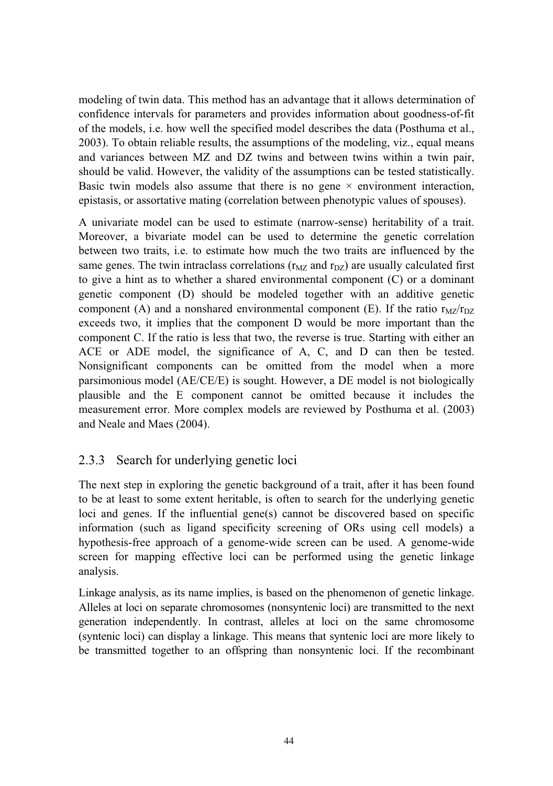modeling of twin data. This method has an advantage that it allows determination of confidence intervals for parameters and provides information about goodness-of-fit of the models, i.e. how well the specified model describes the data (Posthuma et al., 2003). To obtain reliable results, the assumptions of the modeling, viz., equal means and variances between MZ and DZ twins and between twins within a twin pair, should be valid. However, the validity of the assumptions can be tested statistically. Basic twin models also assume that there is no gene  $\times$  environment interaction, epistasis, or assortative mating (correlation between phenotypic values of spouses).

A univariate model can be used to estimate (narrow-sense) heritability of a trait. Moreover, a bivariate model can be used to determine the genetic correlation between two traits, i.e. to estimate how much the two traits are influenced by the same genes. The twin intraclass correlations ( $r_{MZ}$  and  $r_{DZ}$ ) are usually calculated first to give a hint as to whether a shared environmental component (C) or a dominant genetic component (D) should be modeled together with an additive genetic component (A) and a nonshared environmental component (E). If the ratio  $r_{MZ}/r_{DZ}$ exceeds two, it implies that the component D would be more important than the component C. If the ratio is less that two, the reverse is true. Starting with either an ACE or ADE model, the significance of A, C, and D can then be tested. Nonsignificant components can be omitted from the model when a more parsimonious model (AE/CE/E) is sought. However, a DE model is not biologically plausible and the E component cannot be omitted because it includes the measurement error. More complex models are reviewed by Posthuma et al. (2003) and Neale and Maes (2004).

## 2.3.3 Search for underlying genetic loci

The next step in exploring the genetic background of a trait, after it has been found to be at least to some extent heritable, is often to search for the underlying genetic loci and genes. If the influential gene(s) cannot be discovered based on specific information (such as ligand specificity screening of ORs using cell models) a hypothesis-free approach of a genome-wide screen can be used. A genome-wide screen for mapping effective loci can be performed using the genetic linkage analysis.

Linkage analysis, as its name implies, is based on the phenomenon of genetic linkage. Alleles at loci on separate chromosomes (nonsyntenic loci) are transmitted to the next generation independently. In contrast, alleles at loci on the same chromosome (syntenic loci) can display a linkage. This means that syntenic loci are more likely to be transmitted together to an offspring than nonsyntenic loci. If the recombinant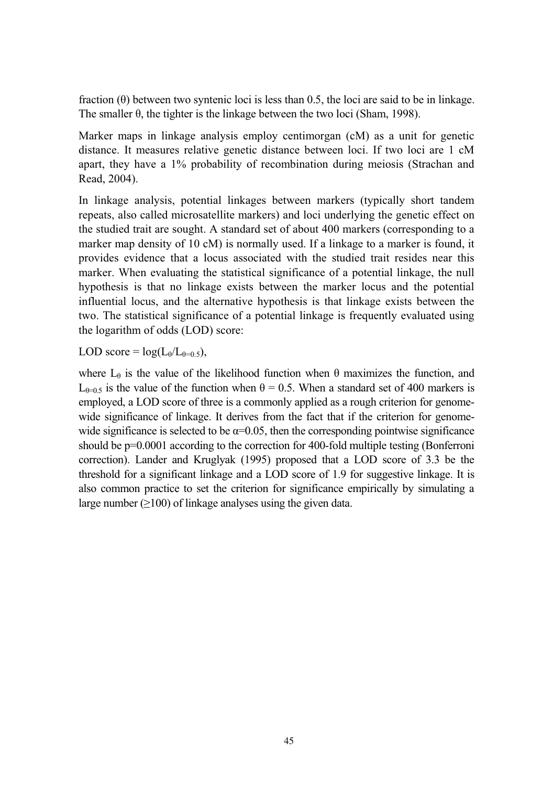fraction  $(\theta)$  between two syntenic loci is less than 0.5, the loci are said to be in linkage. The smaller  $\theta$ , the tighter is the linkage between the two loci (Sham, 1998).

Marker maps in linkage analysis employ centimorgan (cM) as a unit for genetic distance. It measures relative genetic distance between loci. If two loci are 1 cM apart, they have a 1% probability of recombination during meiosis (Strachan and Read, 2004).

In linkage analysis, potential linkages between markers (typically short tandem repeats, also called microsatellite markers) and loci underlying the genetic effect on the studied trait are sought. A standard set of about 400 markers (corresponding to a marker map density of 10 cM) is normally used. If a linkage to a marker is found, it provides evidence that a locus associated with the studied trait resides near this marker. When evaluating the statistical significance of a potential linkage, the null hypothesis is that no linkage exists between the marker locus and the potential influential locus, and the alternative hypothesis is that linkage exists between the two. The statistical significance of a potential linkage is frequently evaluated using the logarithm of odds (LOD) score:

LOD score =  $log(L_{\theta}/L_{\theta=0.5}),$ 

where  $L_{\theta}$  is the value of the likelihood function when  $\theta$  maximizes the function, and  $L_{\theta=0.5}$  is the value of the function when  $\theta = 0.5$ . When a standard set of 400 markers is employed, a LOD score of three is a commonly applied as a rough criterion for genomewide significance of linkage. It derives from the fact that if the criterion for genomewide significance is selected to be  $\alpha$ =0.05, then the corresponding pointwise significance should be p=0.0001 according to the correction for 400-fold multiple testing (Bonferroni correction). Lander and Kruglyak (1995) proposed that a LOD score of 3.3 be the threshold for a significant linkage and a LOD score of 1.9 for suggestive linkage. It is also common practice to set the criterion for significance empirically by simulating a large number  $(2100)$  of linkage analyses using the given data.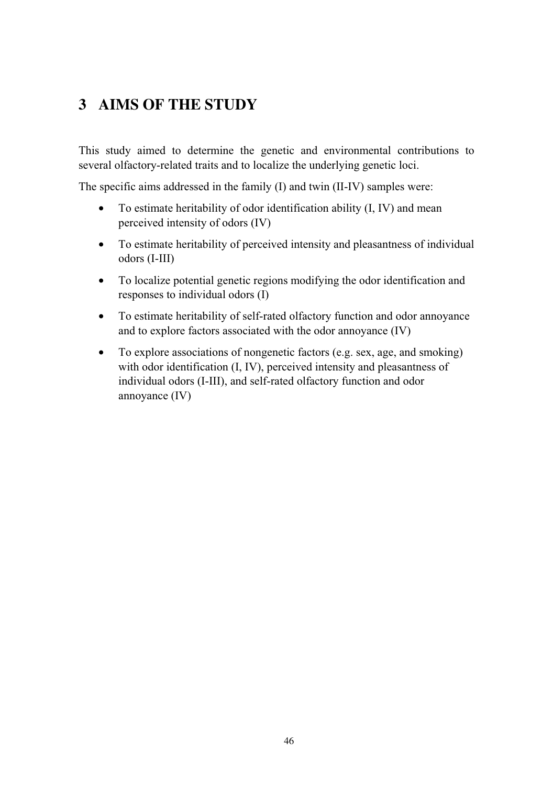# **3 AIMS OF THE STUDY**

This study aimed to determine the genetic and environmental contributions to several olfactory-related traits and to localize the underlying genetic loci.

The specific aims addressed in the family (I) and twin (II-IV) samples were:

- To estimate heritability of odor identification ability (I, IV) and mean perceived intensity of odors (IV)
- To estimate heritability of perceived intensity and pleasantness of individual odors (I-III)
- To localize potential genetic regions modifying the odor identification and responses to individual odors (I)
- To estimate heritability of self-rated olfactory function and odor annoyance and to explore factors associated with the odor annoyance (IV)
- To explore associations of nongenetic factors (e.g. sex, age, and smoking) with odor identification (I, IV), perceived intensity and pleasantness of individual odors (I-III), and self-rated olfactory function and odor annoyance (IV)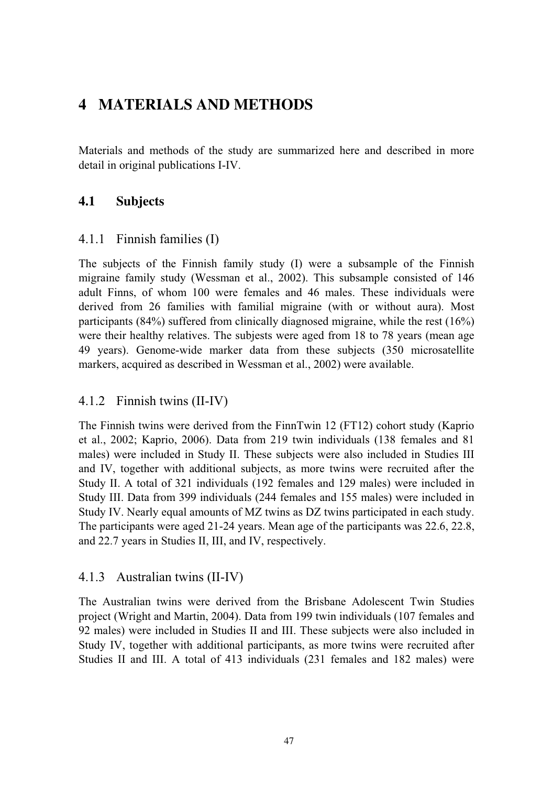# **4 MATERIALS AND METHODS**

Materials and methods of the study are summarized here and described in more detail in original publications I-IV.

## **4.1 Subjects**

#### 4.1.1 Finnish families (I)

The subjects of the Finnish family study (I) were a subsample of the Finnish migraine family study (Wessman et al., 2002). This subsample consisted of 146 adult Finns, of whom 100 were females and 46 males. These individuals were derived from 26 families with familial migraine (with or without aura). Most participants (84%) suffered from clinically diagnosed migraine, while the rest (16%) were their healthy relatives. The subjests were aged from 18 to 78 years (mean age 49 years). Genome-wide marker data from these subjects (350 microsatellite markers, acquired as described in Wessman et al., 2002) were available.

## 4.1.2 Finnish twins (II-IV)

The Finnish twins were derived from the FinnTwin 12 (FT12) cohort study (Kaprio et al., 2002; Kaprio, 2006). Data from 219 twin individuals (138 females and 81 males) were included in Study II. These subjects were also included in Studies III and IV, together with additional subjects, as more twins were recruited after the Study II. A total of 321 individuals (192 females and 129 males) were included in Study III. Data from 399 individuals (244 females and 155 males) were included in Study IV. Nearly equal amounts of MZ twins as DZ twins participated in each study. The participants were aged 21-24 years. Mean age of the participants was 22.6, 22.8, and 22.7 years in Studies II, III, and IV, respectively.

#### 4.1.3 Australian twins (II-IV)

The Australian twins were derived from the Brisbane Adolescent Twin Studies project (Wright and Martin, 2004). Data from 199 twin individuals (107 females and 92 males) were included in Studies II and III. These subjects were also included in Study IV, together with additional participants, as more twins were recruited after Studies II and III. A total of 413 individuals (231 females and 182 males) were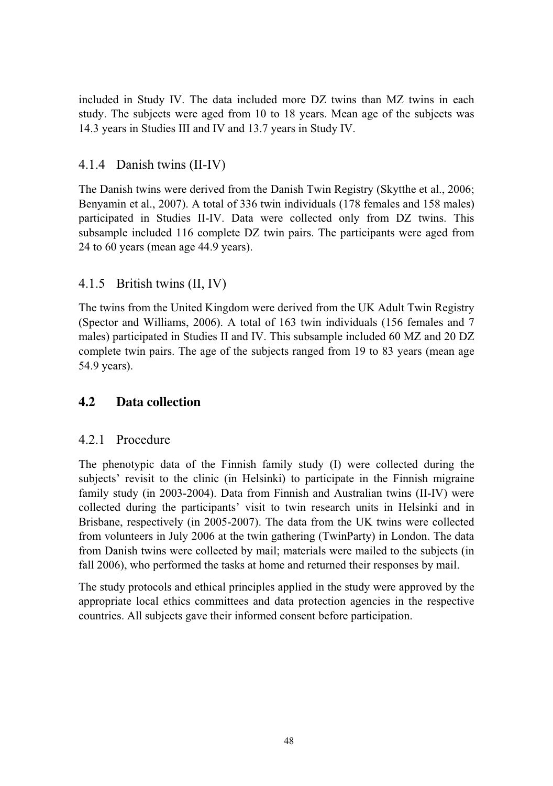included in Study IV. The data included more DZ twins than MZ twins in each study. The subjects were aged from 10 to 18 years. Mean age of the subjects was 14.3 years in Studies III and IV and 13.7 years in Study IV.

## 4.1.4 Danish twins (II-IV)

The Danish twins were derived from the Danish Twin Registry (Skytthe et al., 2006; Benyamin et al., 2007). A total of 336 twin individuals (178 females and 158 males) participated in Studies II-IV. Data were collected only from DZ twins. This subsample included 116 complete DZ twin pairs. The participants were aged from 24 to 60 years (mean age 44.9 years).

## 4.1.5 British twins (II, IV)

The twins from the United Kingdom were derived from the UK Adult Twin Registry (Spector and Williams, 2006). A total of 163 twin individuals (156 females and 7 males) participated in Studies II and IV. This subsample included 60 MZ and 20 DZ complete twin pairs. The age of the subjects ranged from 19 to 83 years (mean age 54.9 years).

## **4.2 Data collection**

## 4.2.1 Procedure

The phenotypic data of the Finnish family study (I) were collected during the subjects' revisit to the clinic (in Helsinki) to participate in the Finnish migraine family study (in 2003-2004). Data from Finnish and Australian twins (II-IV) were collected during the participants' visit to twin research units in Helsinki and in Brisbane, respectively (in 2005-2007). The data from the UK twins were collected from volunteers in July 2006 at the twin gathering (TwinParty) in London. The data from Danish twins were collected by mail; materials were mailed to the subjects (in fall 2006), who performed the tasks at home and returned their responses by mail.

The study protocols and ethical principles applied in the study were approved by the appropriate local ethics committees and data protection agencies in the respective countries. All subjects gave their informed consent before participation.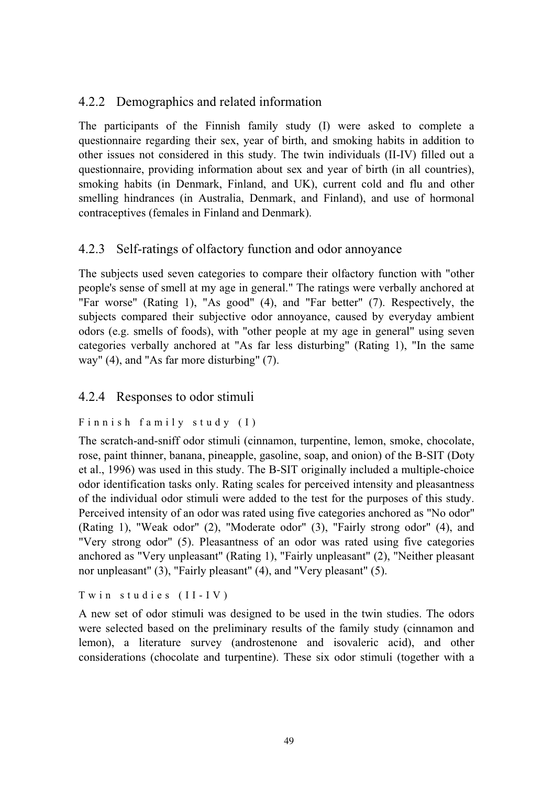## 4.2.2 Demographics and related information

The participants of the Finnish family study (I) were asked to complete a questionnaire regarding their sex, year of birth, and smoking habits in addition to other issues not considered in this study. The twin individuals (II-IV) filled out a questionnaire, providing information about sex and year of birth (in all countries), smoking habits (in Denmark, Finland, and UK), current cold and flu and other smelling hindrances (in Australia, Denmark, and Finland), and use of hormonal contraceptives (females in Finland and Denmark).

## 4.2.3 Self-ratings of olfactory function and odor annoyance

The subjects used seven categories to compare their olfactory function with "other people's sense of smell at my age in general." The ratings were verbally anchored at "Far worse" (Rating 1), "As good" (4), and "Far better" (7). Respectively, the subjects compared their subjective odor annoyance, caused by everyday ambient odors (e.g. smells of foods), with "other people at my age in general" using seven categories verbally anchored at "As far less disturbing" (Rating 1), "In the same way" (4), and "As far more disturbing" (7).

#### 4.2.4 Responses to odor stimuli

#### Finnish family study (I)

The scratch-and-sniff odor stimuli (cinnamon, turpentine, lemon, smoke, chocolate, rose, paint thinner, banana, pineapple, gasoline, soap, and onion) of the B-SIT (Doty et al., 1996) was used in this study. The B-SIT originally included a multiple-choice odor identification tasks only. Rating scales for perceived intensity and pleasantness of the individual odor stimuli were added to the test for the purposes of this study. Perceived intensity of an odor was rated using five categories anchored as "No odor" (Rating 1), "Weak odor" (2), "Moderate odor" (3), "Fairly strong odor" (4), and "Very strong odor" (5). Pleasantness of an odor was rated using five categories anchored as "Very unpleasant" (Rating 1), "Fairly unpleasant" (2), "Neither pleasant nor unpleasant" (3), "Fairly pleasant" (4), and "Very pleasant" (5).

Twin studies (II-IV)

A new set of odor stimuli was designed to be used in the twin studies. The odors were selected based on the preliminary results of the family study (cinnamon and lemon), a literature survey (androstenone and isovaleric acid), and other considerations (chocolate and turpentine). These six odor stimuli (together with a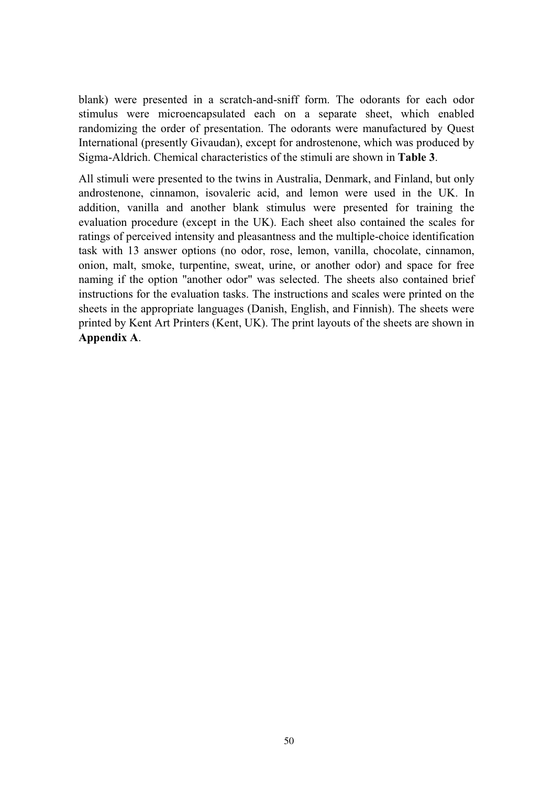blank) were presented in a scratch-and-sniff form. The odorants for each odor stimulus were microencapsulated each on a separate sheet, which enabled randomizing the order of presentation. The odorants were manufactured by Quest International (presently Givaudan), except for androstenone, which was produced by Sigma-Aldrich. Chemical characteristics of the stimuli are shown in **Table 3**.

All stimuli were presented to the twins in Australia, Denmark, and Finland, but only androstenone, cinnamon, isovaleric acid, and lemon were used in the UK. In addition, vanilla and another blank stimulus were presented for training the evaluation procedure (except in the UK). Each sheet also contained the scales for ratings of perceived intensity and pleasantness and the multiple-choice identification task with 13 answer options (no odor, rose, lemon, vanilla, chocolate, cinnamon, onion, malt, smoke, turpentine, sweat, urine, or another odor) and space for free naming if the option "another odor" was selected. The sheets also contained brief instructions for the evaluation tasks. The instructions and scales were printed on the sheets in the appropriate languages (Danish, English, and Finnish). The sheets were printed by Kent Art Printers (Kent, UK). The print layouts of the sheets are shown in **Appendix A**.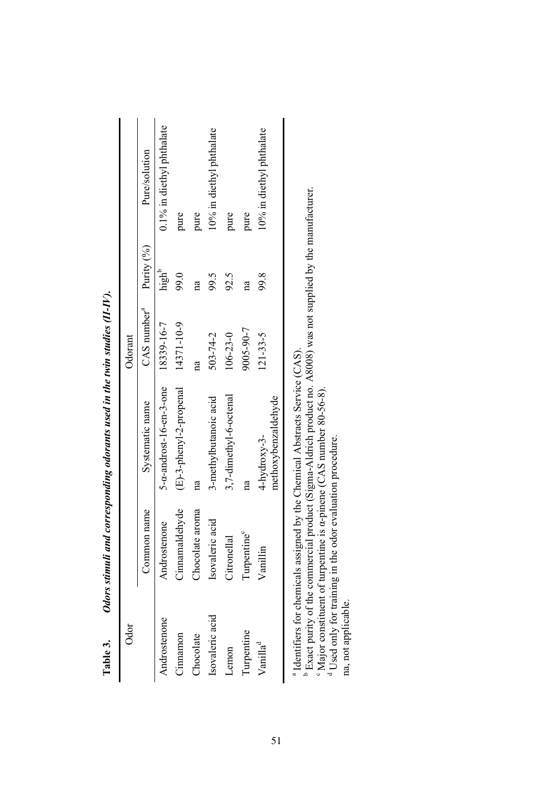|         | Pure/solution                                      | 0.1% in diethyl phthalate                      | pure                       | pure            | 10% in diethyl phthalate | pure                   | pure       | 10% in diethyl phthalate               |
|---------|----------------------------------------------------|------------------------------------------------|----------------------------|-----------------|--------------------------|------------------------|------------|----------------------------------------|
|         |                                                    | high <sup>b</sup>                              | 99.0                       | g               | 99.5                     | 92.5                   | g          | 99.8                                   |
| Odorant | CAS number <sup>3</sup> Purity $(%$ <sub>0</sub> ) |                                                | 14371-10-9                 |                 | 503-74-2                 | $106 - 23 - 0$         | 9005-90-7  | $121 - 33 - 5$                         |
|         | Systematic name                                    | $5$ - $\alpha$ -androst-16-en-3-one 18339-16-7 | $(E)$ -3-phenyl-2-propenal |                 | 3-methylbutanoic acid    | 3,7-dimethyl-6-octenal |            | methoxybenzaldehyde<br>$4$ -hydroxy-3- |
|         | Common name                                        | Androstenone                                   | Cinnamaldehyde             | Chocolate aroma | Isovaleric acid          | Citronellal            | Turpentine | Vanillin                               |
| Ödör    |                                                    | Androstenone                                   | Cimamon                    | Chocolate       | Isovaleric acid          | Lemon                  | Turpentine | Vanilla <sup>d</sup>                   |

| 5 - - - -                                                  |
|------------------------------------------------------------|
| I                                                          |
|                                                            |
|                                                            |
|                                                            |
|                                                            |
|                                                            |
| ֖֖֖֖֖֧֖֧֪֪ׅ֖֧֚֚֚֚֚֚֚֚֚֚֚֚֚֚֚֚֚֚֚֚֚֚֚֚֚֚֚֚֚֚֚֚֚֚֚֡֬֝֓֞֝֓֞֝֬ |
| ֖֖֢ׅׅׅׅ֚֚֚֚֚֚֚֚֚֡֝֬֝֬֝֓֬֝֬֓֬֝֬֝֬֝֬֝֓֬֝֓֬                   |
|                                                            |
|                                                            |
| J                                                          |
| l                                                          |
|                                                            |
| $\ddot{ }$                                                 |
|                                                            |
| ֕                                                          |
| l                                                          |
|                                                            |
| l<br>۱<br>$\overline{a}$<br>l                              |
| $\ddot{\phantom{a}}$<br>į                                  |

<sup>a</sup> Identifiers for chemicals assigned by the Chemical Abstracts Service (CAS).

<sup>a</sup> Identifiers for chemicals assigned by the Chemical Abstracts Service (CAS).<br><sup>b</sup> Exact purity of the commercial product (Sigma-Aldrich product no. A8008) was not supplied by the manufacturer.<br><sup>6</sup> Major constituent of t b Exact purity of the commercial product (Sigma-Aldrich product no. A8008) was not supplied by the manufacturer.

 $\Omega$ Major constituent of turpentine is  $\alpha$ -pinene (CAS number 80-56-8).

d Used only for training in the odor evaluation procedure.

na, not applicable. na, not applicable.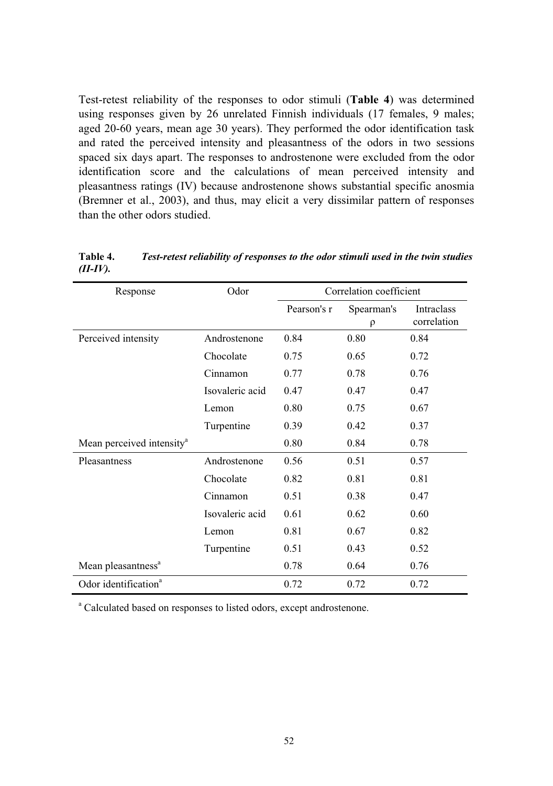Test-retest reliability of the responses to odor stimuli (**Table 4**) was determined using responses given by 26 unrelated Finnish individuals (17 females, 9 males; aged 20-60 years, mean age 30 years). They performed the odor identification task and rated the perceived intensity and pleasantness of the odors in two sessions spaced six days apart. The responses to androstenone were excluded from the odor identification score and the calculations of mean perceived intensity and pleasantness ratings (IV) because androstenone shows substantial specific anosmia (Bremner et al., 2003), and thus, may elicit a very dissimilar pattern of responses than the other odors studied.

| Response                              | Odor            | Correlation coefficient |                      |                           |
|---------------------------------------|-----------------|-------------------------|----------------------|---------------------------|
|                                       |                 | Pearson's r             | Spearman's<br>$\rho$ | Intraclass<br>correlation |
| Perceived intensity                   | Androstenone    | 0.84                    | 0.80                 | 0.84                      |
|                                       | Chocolate       | 0.75                    | 0.65                 | 0.72                      |
|                                       | Cinnamon        | 0.77                    | 0.78                 | 0.76                      |
|                                       | Isovaleric acid | 0.47                    | 0.47                 | 0.47                      |
|                                       | Lemon           | 0.80                    | 0.75                 | 0.67                      |
|                                       | Turpentine      | 0.39                    | 0.42                 | 0.37                      |
| Mean perceived intensity <sup>a</sup> |                 | 0.80                    | 0.84                 | 0.78                      |
| Pleasantness                          | Androstenone    | 0.56                    | 0.51                 | 0.57                      |
|                                       | Chocolate       | 0.82                    | 0.81                 | 0.81                      |
|                                       | Cinnamon        | 0.51                    | 0.38                 | 0.47                      |
|                                       | Isovaleric acid | 0.61                    | 0.62                 | 0.60                      |
|                                       | Lemon           | 0.81                    | 0.67                 | 0.82                      |
|                                       | Turpentine      | 0.51                    | 0.43                 | 0.52                      |
| Mean pleasantness <sup>a</sup>        |                 | 0.78                    | 0.64                 | 0.76                      |
| Odor identification <sup>a</sup>      |                 | 0.72                    | 0.72                 | 0.72                      |

**Table 4.** *Test-retest reliability of responses to the odor stimuli used in the twin studies (II-IV).* 

<sup>a</sup> Calculated based on responses to listed odors, except androstenone.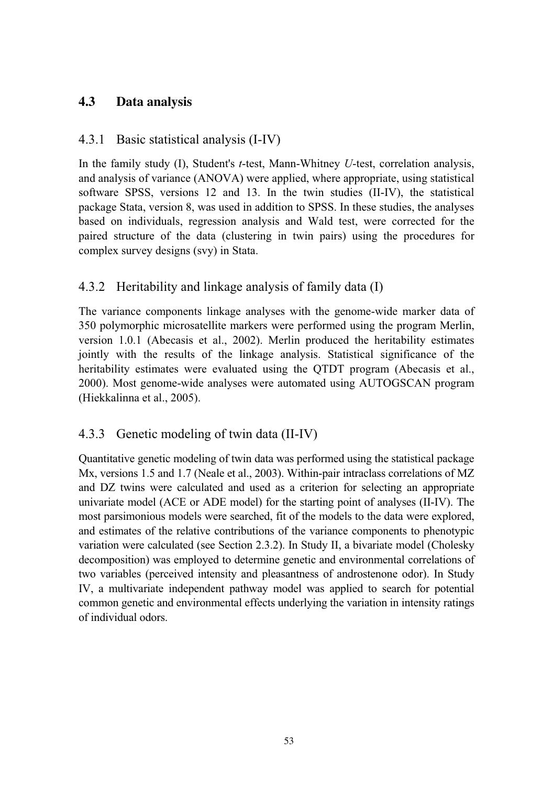## **4.3 Data analysis**

## 4.3.1 Basic statistical analysis (I-IV)

In the family study (I), Student's *t*-test, Mann-Whitney *U*-test, correlation analysis, and analysis of variance (ANOVA) were applied, where appropriate, using statistical software SPSS, versions 12 and 13. In the twin studies (II-IV), the statistical package Stata, version 8, was used in addition to SPSS. In these studies, the analyses based on individuals, regression analysis and Wald test, were corrected for the paired structure of the data (clustering in twin pairs) using the procedures for complex survey designs (svy) in Stata.

## 4.3.2 Heritability and linkage analysis of family data (I)

The variance components linkage analyses with the genome-wide marker data of 350 polymorphic microsatellite markers were performed using the program Merlin, version 1.0.1 (Abecasis et al., 2002). Merlin produced the heritability estimates jointly with the results of the linkage analysis. Statistical significance of the heritability estimates were evaluated using the QTDT program (Abecasis et al., 2000). Most genome-wide analyses were automated using AUTOGSCAN program (Hiekkalinna et al., 2005).

## 4.3.3 Genetic modeling of twin data (II-IV)

Quantitative genetic modeling of twin data was performed using the statistical package Mx, versions 1.5 and 1.7 (Neale et al., 2003). Within-pair intraclass correlations of MZ and DZ twins were calculated and used as a criterion for selecting an appropriate univariate model (ACE or ADE model) for the starting point of analyses (II-IV). The most parsimonious models were searched, fit of the models to the data were explored, and estimates of the relative contributions of the variance components to phenotypic variation were calculated (see Section 2.3.2). In Study II, a bivariate model (Cholesky decomposition) was employed to determine genetic and environmental correlations of two variables (perceived intensity and pleasantness of androstenone odor). In Study IV, a multivariate independent pathway model was applied to search for potential common genetic and environmental effects underlying the variation in intensity ratings of individual odors.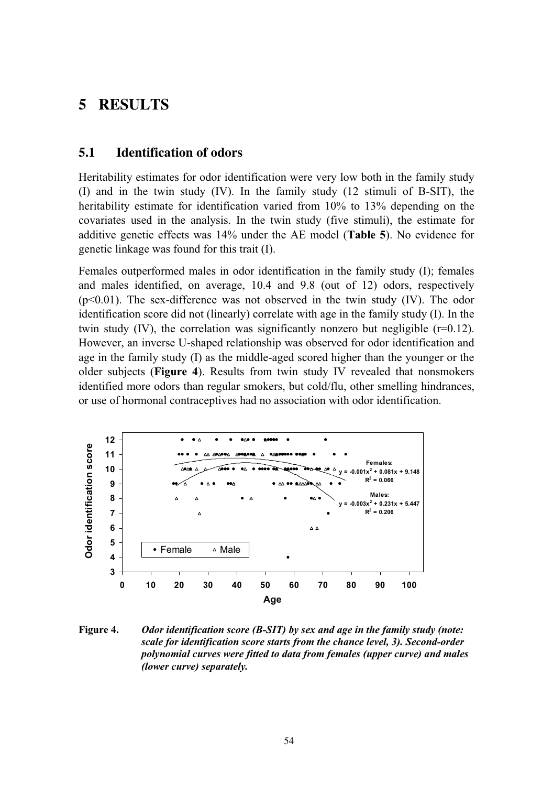## **5 RESULTS**

#### **5.1 Identification of odors**

Heritability estimates for odor identification were very low both in the family study (I) and in the twin study (IV). In the family study (12 stimuli of B-SIT), the heritability estimate for identification varied from 10% to 13% depending on the covariates used in the analysis. In the twin study (five stimuli), the estimate for additive genetic effects was 14% under the AE model (**Table 5**). No evidence for genetic linkage was found for this trait (I).

Females outperformed males in odor identification in the family study (I); females and males identified, on average, 10.4 and 9.8 (out of 12) odors, respectively  $(p<0.01)$ . The sex-difference was not observed in the twin study (IV). The odor identification score did not (linearly) correlate with age in the family study (I). In the twin study (IV), the correlation was significantly nonzero but negligible (r=0.12). However, an inverse U-shaped relationship was observed for odor identification and age in the family study (I) as the middle-aged scored higher than the younger or the older subjects (**Figure 4**). Results from twin study IV revealed that nonsmokers identified more odors than regular smokers, but cold/flu, other smelling hindrances, or use of hormonal contraceptives had no association with odor identification.



**Figure 4.** *Odor identification score (B-SIT) by sex and age in the family study (note: scale for identification score starts from the chance level, 3). Second-order polynomial curves were fitted to data from females (upper curve) and males (lower curve) separately.*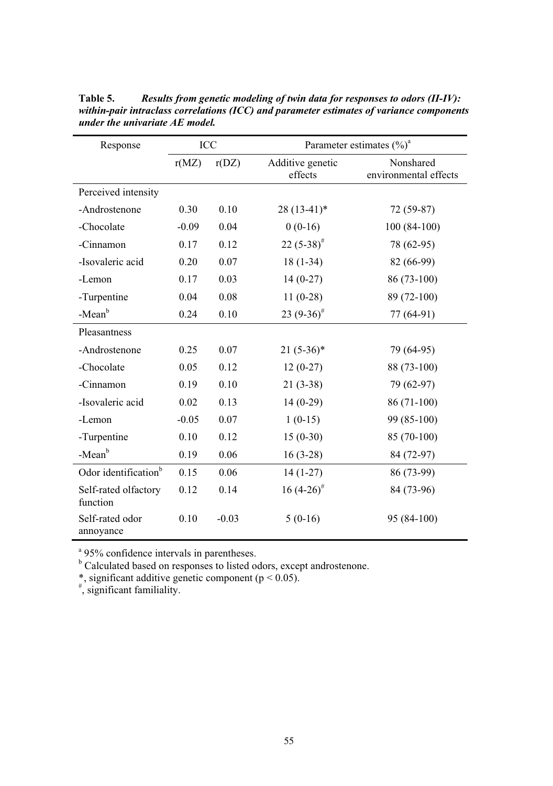| Response                         | ICC     |         | Parameter estimates $(\%)^a$ |                                    |  |  |
|----------------------------------|---------|---------|------------------------------|------------------------------------|--|--|
|                                  | r(MZ)   | r(DZ)   | Additive genetic<br>effects  | Nonshared<br>environmental effects |  |  |
| Perceived intensity              |         |         |                              |                                    |  |  |
| -Androstenone                    | 0.30    | 0.10    | $28(13-41)^*$                | 72 (59-87)                         |  |  |
| -Chocolate                       | $-0.09$ | 0.04    | $0(0-16)$                    | $100(84-100)$                      |  |  |
| -Cinnamon                        | 0.17    | 0.12    | 22 $(5-38)^{\#}$             | 78 (62-95)                         |  |  |
| -Isovaleric acid                 | 0.20    | 0.07    | $18(1-34)$                   | 82 (66-99)                         |  |  |
| -Lemon                           | 0.17    | 0.03    | $14(0-27)$                   | 86 (73-100)                        |  |  |
| -Turpentine                      | 0.04    | 0.08    | $11(0-28)$                   | 89 (72-100)                        |  |  |
| -Mean <sup>b</sup>               | 0.24    | 0.10    | 23 $(9-36)^{\#}$             | 77 (64-91)                         |  |  |
| Pleasantness                     |         |         |                              |                                    |  |  |
| -Androstenone                    | 0.25    | 0.07    | $21(5-36)*$                  | 79 (64-95)                         |  |  |
| -Chocolate                       | 0.05    | 0.12    | $12(0-27)$                   | 88 (73-100)                        |  |  |
| -Cinnamon                        | 0.19    | 0.10    | $21(3-38)$                   | 79 (62-97)                         |  |  |
| -Isovaleric acid                 | 0.02    | 0.13    | $14(0-29)$                   | 86 (71-100)                        |  |  |
| -Lemon                           | $-0.05$ | 0.07    | $1(0-15)$                    | 99 (85-100)                        |  |  |
| -Turpentine                      | 0.10    | 0.12    | $15(0-30)$                   | 85 (70-100)                        |  |  |
| -Mean <sup>b</sup>               | 0.19    | 0.06    | $16(3-28)$                   | 84 (72-97)                         |  |  |
| Odor identification <sup>b</sup> | 0.15    | 0.06    | $14(1-27)$                   | 86 (73-99)                         |  |  |
| Self-rated olfactory<br>function | 0.12    | 0.14    | $16(4-26)^{\#}$              | 84 (73-96)                         |  |  |
| Self-rated odor<br>annoyance     | 0.10    | $-0.03$ | $5(0-16)$                    | 95 (84-100)                        |  |  |

**Table 5.** *Results from genetic modeling of twin data for responses to odors (II-IV): within-pair intraclass correlations (ICC) and parameter estimates of variance components under the univariate AE model.* 

<sup>a</sup> 95% confidence intervals in parentheses.

<sup>b</sup> Calculated based on responses to listed odors, except androstenone.

\*, significant additive genetic component ( $p < 0.05$ ).

# , significant familiality.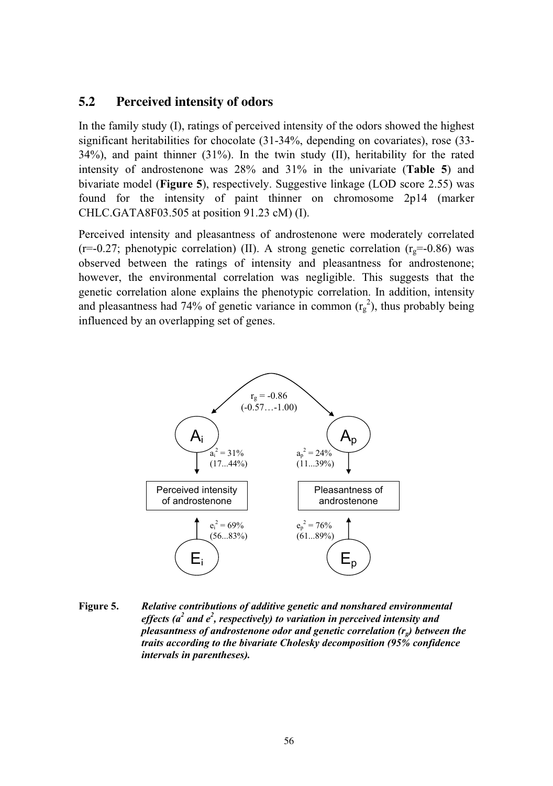#### **5.2 Perceived intensity of odors**

In the family study (I), ratings of perceived intensity of the odors showed the highest significant heritabilities for chocolate (31-34%, depending on covariates), rose (33- 34%), and paint thinner (31%). In the twin study (II), heritability for the rated intensity of androstenone was 28% and 31% in the univariate (**Table 5**) and bivariate model (**Figure 5**), respectively. Suggestive linkage (LOD score 2.55) was found for the intensity of paint thinner on chromosome 2p14 (marker CHLC.GATA8F03.505 at position 91.23 cM) (I).

Perceived intensity and pleasantness of androstenone were moderately correlated (r=-0.27; phenotypic correlation) (II). A strong genetic correlation ( $r<sub>o</sub>=-0.86$ ) was observed between the ratings of intensity and pleasantness for androstenone; however, the environmental correlation was negligible. This suggests that the genetic correlation alone explains the phenotypic correlation. In addition, intensity and pleasantness had 74% of genetic variance in common  $(r_g^2)$ , thus probably being influenced by an overlapping set of genes.



**Figure 5.** *Relative contributions of additive genetic and nonshared environmental*  effects (a<sup>2</sup> and e<sup>2</sup>, respectively) to variation in perceived intensity and *pleasantness of androstenone odor and genetic correlation (r<sub>a</sub>) between the traits according to the bivariate Cholesky decomposition (95% confidence intervals in parentheses).*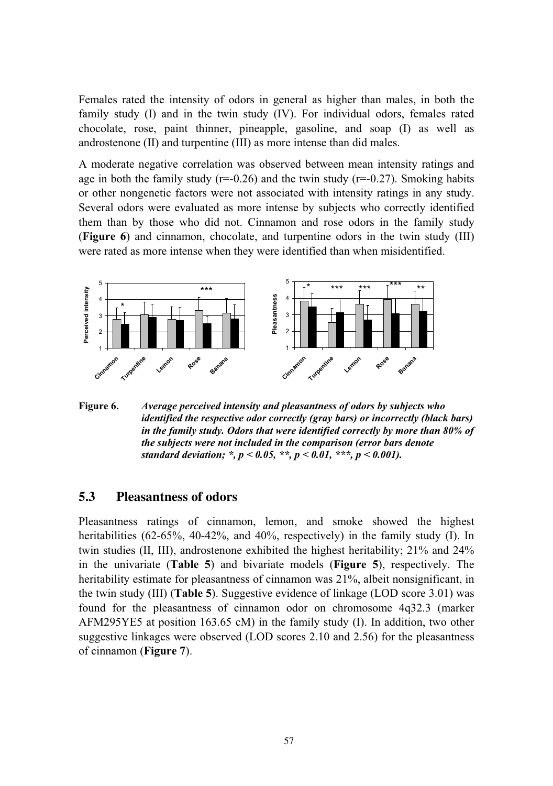Females rated the intensity of odors in general as higher than males, in both the family study (I) and in the twin study (IV). For individual odors, females rated chocolate, rose, paint thinner, pineapple, gasoline, and soap (I) as well as androstenone (II) and turpentine (III) as more intense than did males.

A moderate negative correlation was observed between mean intensity ratings and age in both the family study ( $r=-0.26$ ) and the twin study ( $r=-0.27$ ). Smoking habits or other nongenetic factors were not associated with intensity ratings in any study. Several odors were evaluated as more intense by subjects who correctly identified them than by those who did not. Cinnamon and rose odors in the family study (**Figure 6**) and cinnamon, chocolate, and turpentine odors in the twin study (III) were rated as more intense when they were identified than when misidentified.



**Figure 6.** *Average perceived intensity and pleasantness of odors by subjects who identified the respective odor correctly (gray bars) or incorrectly (black bars) in the family study. Odors that were identified correctly by more than 80% of the subjects were not included in the comparison (error bars denote standard deviation; \*, p < 0.05, \*\*, p < 0.01, \*\*\*, p < 0.001).* 

#### **5.3 Pleasantness of odors**

Pleasantness ratings of cinnamon, lemon, and smoke showed the highest heritabilities (62-65%, 40-42%, and 40%, respectively) in the family study (I). In twin studies (II, III), androstenone exhibited the highest heritability; 21% and 24% in the univariate (**Table 5**) and bivariate models (**Figure 5**), respectively. The heritability estimate for pleasantness of cinnamon was 21%, albeit nonsignificant, in the twin study (III) (**Table 5**). Suggestive evidence of linkage (LOD score 3.01) was found for the pleasantness of cinnamon odor on chromosome 4q32.3 (marker AFM295YE5 at position 163.65 cM) in the family study (I). In addition, two other suggestive linkages were observed (LOD scores 2.10 and 2.56) for the pleasantness of cinnamon (**Figure 7**).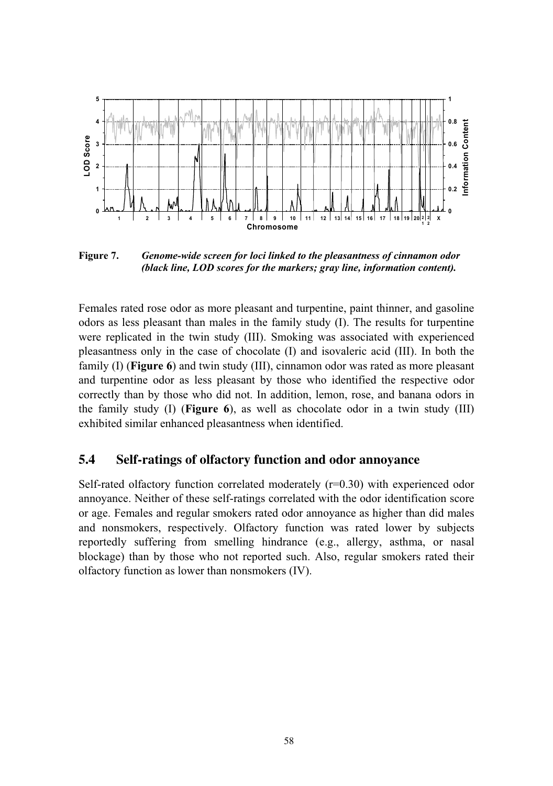

**Figure 7.** *Genome-wide screen for loci linked to the pleasantness of cinnamon odor (black line, LOD scores for the markers; gray line, information content).* 

Females rated rose odor as more pleasant and turpentine, paint thinner, and gasoline odors as less pleasant than males in the family study (I). The results for turpentine were replicated in the twin study (III). Smoking was associated with experienced pleasantness only in the case of chocolate (I) and isovaleric acid (III). In both the family (I) (**Figure 6**) and twin study (III), cinnamon odor was rated as more pleasant and turpentine odor as less pleasant by those who identified the respective odor correctly than by those who did not. In addition, lemon, rose, and banana odors in the family study (I) (**Figure 6**), as well as chocolate odor in a twin study (III) exhibited similar enhanced pleasantness when identified.

#### **5.4 Self-ratings of olfactory function and odor annoyance**

Self-rated olfactory function correlated moderately  $(r=0.30)$  with experienced odor annoyance. Neither of these self-ratings correlated with the odor identification score or age. Females and regular smokers rated odor annoyance as higher than did males and nonsmokers, respectively. Olfactory function was rated lower by subjects reportedly suffering from smelling hindrance (e.g., allergy, asthma, or nasal blockage) than by those who not reported such. Also, regular smokers rated their olfactory function as lower than nonsmokers (IV).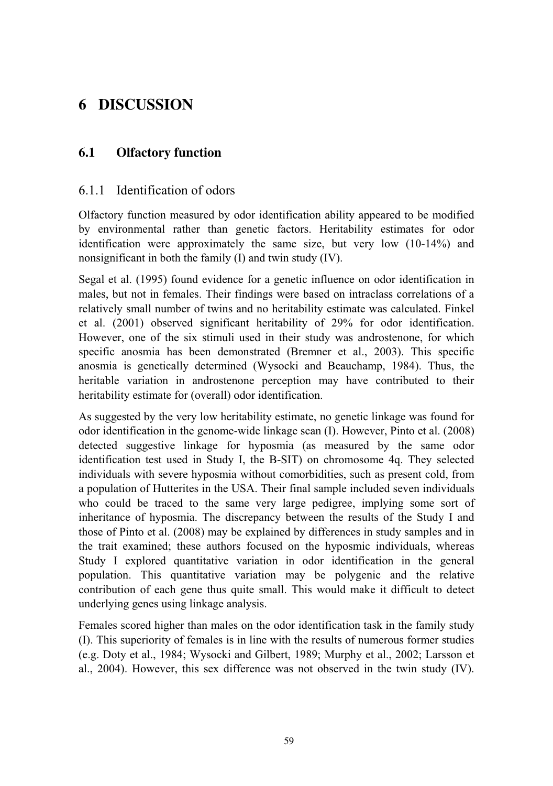# **6 DISCUSSION**

## **6.1 Olfactory function**

#### 6.1.1 Identification of odors

Olfactory function measured by odor identification ability appeared to be modified by environmental rather than genetic factors. Heritability estimates for odor identification were approximately the same size, but very low (10-14%) and nonsignificant in both the family (I) and twin study (IV).

Segal et al. (1995) found evidence for a genetic influence on odor identification in males, but not in females. Their findings were based on intraclass correlations of a relatively small number of twins and no heritability estimate was calculated. Finkel et al. (2001) observed significant heritability of 29% for odor identification. However, one of the six stimuli used in their study was androstenone, for which specific anosmia has been demonstrated (Bremner et al., 2003). This specific anosmia is genetically determined (Wysocki and Beauchamp, 1984). Thus, the heritable variation in androstenone perception may have contributed to their heritability estimate for (overall) odor identification.

As suggested by the very low heritability estimate, no genetic linkage was found for odor identification in the genome-wide linkage scan (I). However, Pinto et al. (2008) detected suggestive linkage for hyposmia (as measured by the same odor identification test used in Study I, the B-SIT) on chromosome 4q. They selected individuals with severe hyposmia without comorbidities, such as present cold, from a population of Hutterites in the USA. Their final sample included seven individuals who could be traced to the same very large pedigree, implying some sort of inheritance of hyposmia. The discrepancy between the results of the Study I and those of Pinto et al. (2008) may be explained by differences in study samples and in the trait examined; these authors focused on the hyposmic individuals, whereas Study I explored quantitative variation in odor identification in the general population. This quantitative variation may be polygenic and the relative contribution of each gene thus quite small. This would make it difficult to detect underlying genes using linkage analysis.

Females scored higher than males on the odor identification task in the family study (I). This superiority of females is in line with the results of numerous former studies (e.g. Doty et al., 1984; Wysocki and Gilbert, 1989; Murphy et al., 2002; Larsson et al., 2004). However, this sex difference was not observed in the twin study (IV).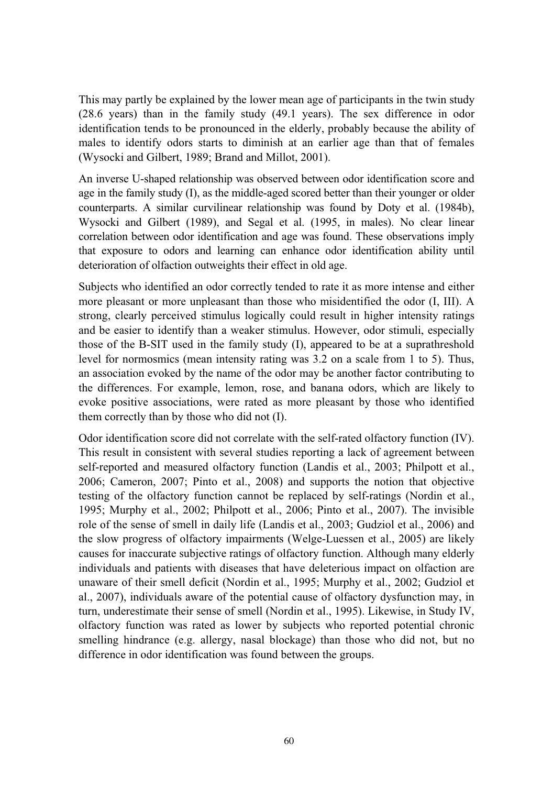This may partly be explained by the lower mean age of participants in the twin study (28.6 years) than in the family study (49.1 years). The sex difference in odor identification tends to be pronounced in the elderly, probably because the ability of males to identify odors starts to diminish at an earlier age than that of females (Wysocki and Gilbert, 1989; Brand and Millot, 2001).

An inverse U-shaped relationship was observed between odor identification score and age in the family study (I), as the middle-aged scored better than their younger or older counterparts. A similar curvilinear relationship was found by Doty et al. (1984b), Wysocki and Gilbert (1989), and Segal et al. (1995, in males). No clear linear correlation between odor identification and age was found. These observations imply that exposure to odors and learning can enhance odor identification ability until deterioration of olfaction outweights their effect in old age.

Subjects who identified an odor correctly tended to rate it as more intense and either more pleasant or more unpleasant than those who misidentified the odor (I, III). A strong, clearly perceived stimulus logically could result in higher intensity ratings and be easier to identify than a weaker stimulus. However, odor stimuli, especially those of the B-SIT used in the family study (I), appeared to be at a suprathreshold level for normosmics (mean intensity rating was 3.2 on a scale from 1 to 5). Thus, an association evoked by the name of the odor may be another factor contributing to the differences. For example, lemon, rose, and banana odors, which are likely to evoke positive associations, were rated as more pleasant by those who identified them correctly than by those who did not (I).

Odor identification score did not correlate with the self-rated olfactory function (IV). This result in consistent with several studies reporting a lack of agreement between self-reported and measured olfactory function (Landis et al., 2003; Philpott et al., 2006; Cameron, 2007; Pinto et al., 2008) and supports the notion that objective testing of the olfactory function cannot be replaced by self-ratings (Nordin et al., 1995; Murphy et al., 2002; Philpott et al., 2006; Pinto et al., 2007). The invisible role of the sense of smell in daily life (Landis et al., 2003; Gudziol et al., 2006) and the slow progress of olfactory impairments (Welge-Luessen et al., 2005) are likely causes for inaccurate subjective ratings of olfactory function. Although many elderly individuals and patients with diseases that have deleterious impact on olfaction are unaware of their smell deficit (Nordin et al., 1995; Murphy et al., 2002; Gudziol et al., 2007), individuals aware of the potential cause of olfactory dysfunction may, in turn, underestimate their sense of smell (Nordin et al., 1995). Likewise, in Study IV, olfactory function was rated as lower by subjects who reported potential chronic smelling hindrance (e.g. allergy, nasal blockage) than those who did not, but no difference in odor identification was found between the groups.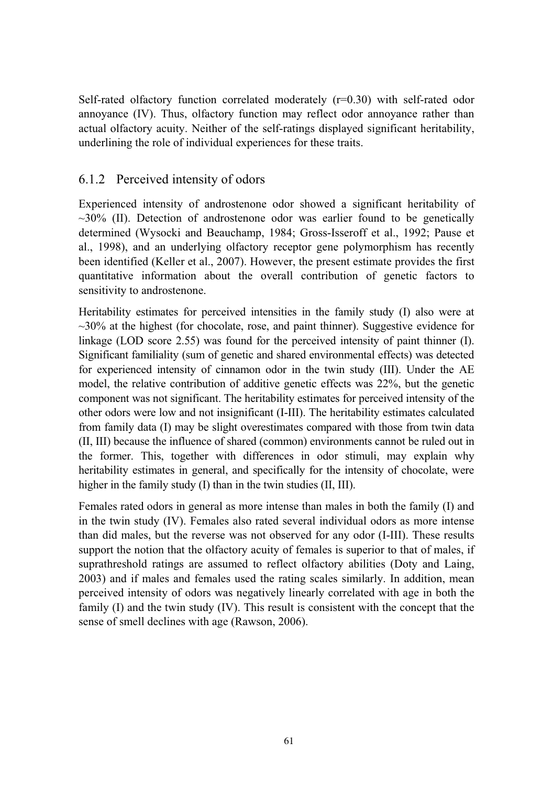Self-rated olfactory function correlated moderately  $(r=0.30)$  with self-rated odor annoyance (IV). Thus, olfactory function may reflect odor annoyance rather than actual olfactory acuity. Neither of the self-ratings displayed significant heritability, underlining the role of individual experiences for these traits.

#### 6.1.2 Perceived intensity of odors

Experienced intensity of androstenone odor showed a significant heritability of  $\sim$ 30% (II). Detection of androstenone odor was earlier found to be genetically determined (Wysocki and Beauchamp, 1984; Gross-Isseroff et al., 1992; Pause et al., 1998), and an underlying olfactory receptor gene polymorphism has recently been identified (Keller et al., 2007). However, the present estimate provides the first quantitative information about the overall contribution of genetic factors to sensitivity to androstenone.

Heritability estimates for perceived intensities in the family study (I) also were at  $\sim$ 30% at the highest (for chocolate, rose, and paint thinner). Suggestive evidence for linkage (LOD score 2.55) was found for the perceived intensity of paint thinner (I). Significant familiality (sum of genetic and shared environmental effects) was detected for experienced intensity of cinnamon odor in the twin study (III). Under the AE model, the relative contribution of additive genetic effects was 22%, but the genetic component was not significant. The heritability estimates for perceived intensity of the other odors were low and not insignificant (I-III). The heritability estimates calculated from family data (I) may be slight overestimates compared with those from twin data (II, III) because the influence of shared (common) environments cannot be ruled out in the former. This, together with differences in odor stimuli, may explain why heritability estimates in general, and specifically for the intensity of chocolate, were higher in the family study (I) than in the twin studies (II, III).

Females rated odors in general as more intense than males in both the family (I) and in the twin study (IV). Females also rated several individual odors as more intense than did males, but the reverse was not observed for any odor (I-III). These results support the notion that the olfactory acuity of females is superior to that of males, if suprathreshold ratings are assumed to reflect olfactory abilities (Doty and Laing, 2003) and if males and females used the rating scales similarly. In addition, mean perceived intensity of odors was negatively linearly correlated with age in both the family (I) and the twin study (IV). This result is consistent with the concept that the sense of smell declines with age (Rawson, 2006).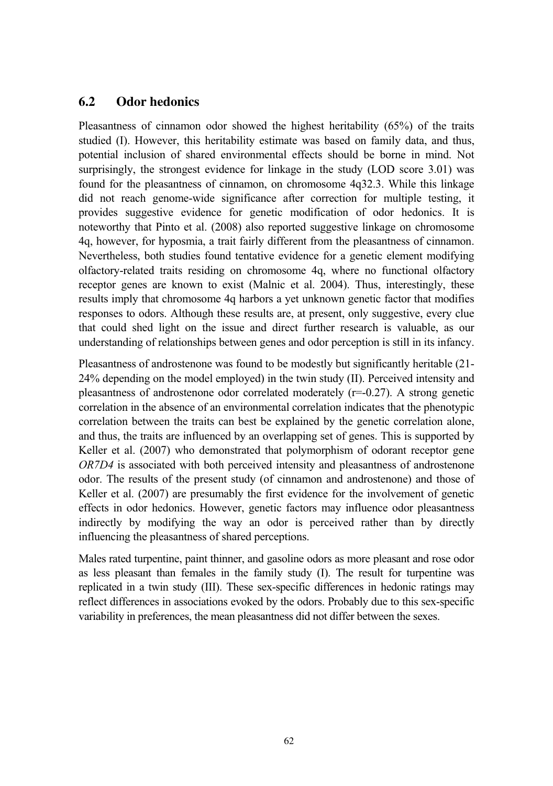#### **6.2 Odor hedonics**

Pleasantness of cinnamon odor showed the highest heritability (65%) of the traits studied (I). However, this heritability estimate was based on family data, and thus, potential inclusion of shared environmental effects should be borne in mind. Not surprisingly, the strongest evidence for linkage in the study (LOD score 3.01) was found for the pleasantness of cinnamon, on chromosome 4q32.3. While this linkage did not reach genome-wide significance after correction for multiple testing, it provides suggestive evidence for genetic modification of odor hedonics. It is noteworthy that Pinto et al. (2008) also reported suggestive linkage on chromosome 4q, however, for hyposmia, a trait fairly different from the pleasantness of cinnamon. Nevertheless, both studies found tentative evidence for a genetic element modifying olfactory-related traits residing on chromosome 4q, where no functional olfactory receptor genes are known to exist (Malnic et al. 2004). Thus, interestingly, these results imply that chromosome 4q harbors a yet unknown genetic factor that modifies responses to odors. Although these results are, at present, only suggestive, every clue that could shed light on the issue and direct further research is valuable, as our understanding of relationships between genes and odor perception is still in its infancy.

Pleasantness of androstenone was found to be modestly but significantly heritable (21- 24% depending on the model employed) in the twin study (II). Perceived intensity and pleasantness of androstenone odor correlated moderately (r=-0.27). A strong genetic correlation in the absence of an environmental correlation indicates that the phenotypic correlation between the traits can best be explained by the genetic correlation alone, and thus, the traits are influenced by an overlapping set of genes. This is supported by Keller et al. (2007) who demonstrated that polymorphism of odorant receptor gene *OR7D4* is associated with both perceived intensity and pleasantness of androstenone odor. The results of the present study (of cinnamon and androstenone) and those of Keller et al. (2007) are presumably the first evidence for the involvement of genetic effects in odor hedonics. However, genetic factors may influence odor pleasantness indirectly by modifying the way an odor is perceived rather than by directly influencing the pleasantness of shared perceptions.

Males rated turpentine, paint thinner, and gasoline odors as more pleasant and rose odor as less pleasant than females in the family study (I). The result for turpentine was replicated in a twin study (III). These sex-specific differences in hedonic ratings may reflect differences in associations evoked by the odors. Probably due to this sex-specific variability in preferences, the mean pleasantness did not differ between the sexes.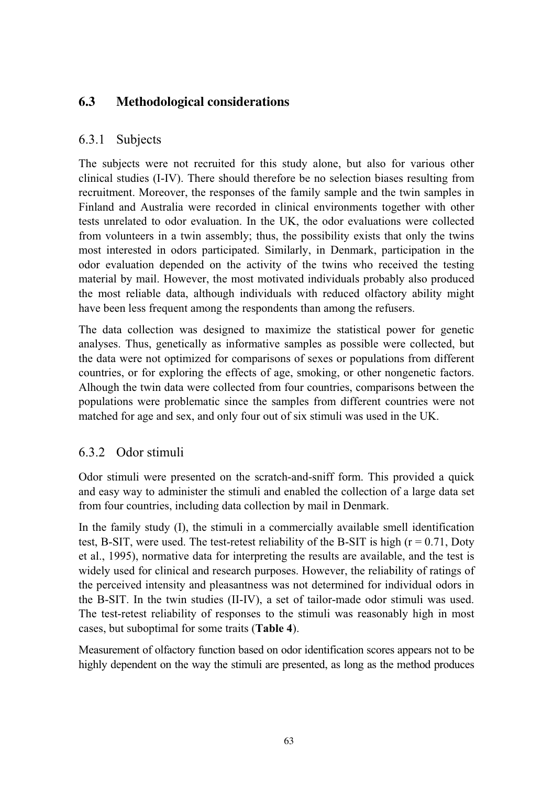## **6.3 Methodological considerations**

#### 6.3.1 Subjects

The subjects were not recruited for this study alone, but also for various other clinical studies (I-IV). There should therefore be no selection biases resulting from recruitment. Moreover, the responses of the family sample and the twin samples in Finland and Australia were recorded in clinical environments together with other tests unrelated to odor evaluation. In the UK, the odor evaluations were collected from volunteers in a twin assembly; thus, the possibility exists that only the twins most interested in odors participated. Similarly, in Denmark, participation in the odor evaluation depended on the activity of the twins who received the testing material by mail. However, the most motivated individuals probably also produced the most reliable data, although individuals with reduced olfactory ability might have been less frequent among the respondents than among the refusers.

The data collection was designed to maximize the statistical power for genetic analyses. Thus, genetically as informative samples as possible were collected, but the data were not optimized for comparisons of sexes or populations from different countries, or for exploring the effects of age, smoking, or other nongenetic factors. Alhough the twin data were collected from four countries, comparisons between the populations were problematic since the samples from different countries were not matched for age and sex, and only four out of six stimuli was used in the UK.

#### 6.3.2 Odor stimuli

Odor stimuli were presented on the scratch-and-sniff form. This provided a quick and easy way to administer the stimuli and enabled the collection of a large data set from four countries, including data collection by mail in Denmark.

In the family study (I), the stimuli in a commercially available smell identification test, B-SIT, were used. The test-retest reliability of the B-SIT is high  $(r = 0.71,$  Doty et al., 1995), normative data for interpreting the results are available, and the test is widely used for clinical and research purposes. However, the reliability of ratings of the perceived intensity and pleasantness was not determined for individual odors in the B-SIT. In the twin studies (II-IV), a set of tailor-made odor stimuli was used. The test-retest reliability of responses to the stimuli was reasonably high in most cases, but suboptimal for some traits (**Table 4**).

Measurement of olfactory function based on odor identification scores appears not to be highly dependent on the way the stimuli are presented, as long as the method produces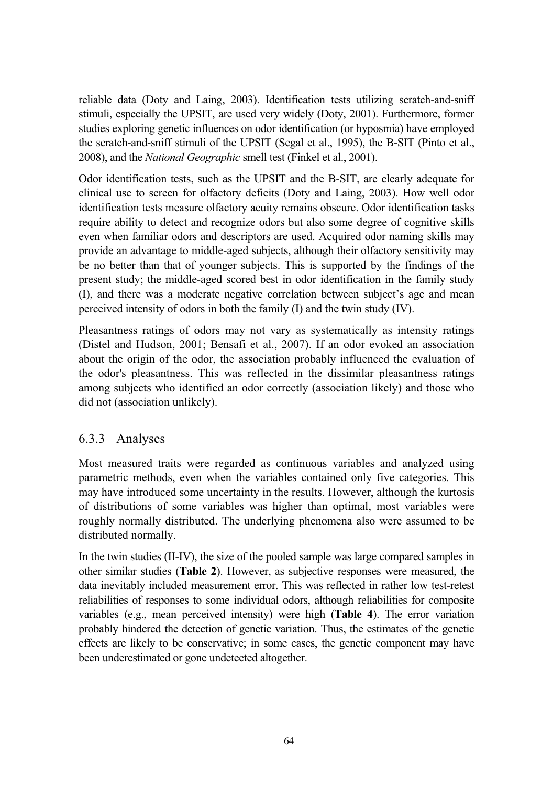reliable data (Doty and Laing, 2003). Identification tests utilizing scratch-and-sniff stimuli, especially the UPSIT, are used very widely (Doty, 2001). Furthermore, former studies exploring genetic influences on odor identification (or hyposmia) have employed the scratch-and-sniff stimuli of the UPSIT (Segal et al., 1995), the B-SIT (Pinto et al., 2008), and the *National Geographic* smell test (Finkel et al., 2001).

Odor identification tests, such as the UPSIT and the B-SIT, are clearly adequate for clinical use to screen for olfactory deficits (Doty and Laing, 2003). How well odor identification tests measure olfactory acuity remains obscure. Odor identification tasks require ability to detect and recognize odors but also some degree of cognitive skills even when familiar odors and descriptors are used. Acquired odor naming skills may provide an advantage to middle-aged subjects, although their olfactory sensitivity may be no better than that of younger subjects. This is supported by the findings of the present study; the middle-aged scored best in odor identification in the family study (I), and there was a moderate negative correlation between subject's age and mean perceived intensity of odors in both the family (I) and the twin study (IV).

Pleasantness ratings of odors may not vary as systematically as intensity ratings (Distel and Hudson, 2001; Bensafi et al., 2007). If an odor evoked an association about the origin of the odor, the association probably influenced the evaluation of the odor's pleasantness. This was reflected in the dissimilar pleasantness ratings among subjects who identified an odor correctly (association likely) and those who did not (association unlikely).

## 6.3.3 Analyses

Most measured traits were regarded as continuous variables and analyzed using parametric methods, even when the variables contained only five categories. This may have introduced some uncertainty in the results. However, although the kurtosis of distributions of some variables was higher than optimal, most variables were roughly normally distributed. The underlying phenomena also were assumed to be distributed normally.

In the twin studies (II-IV), the size of the pooled sample was large compared samples in other similar studies (**Table 2**). However, as subjective responses were measured, the data inevitably included measurement error. This was reflected in rather low test-retest reliabilities of responses to some individual odors, although reliabilities for composite variables (e.g., mean perceived intensity) were high (**Table 4**). The error variation probably hindered the detection of genetic variation. Thus, the estimates of the genetic effects are likely to be conservative; in some cases, the genetic component may have been underestimated or gone undetected altogether.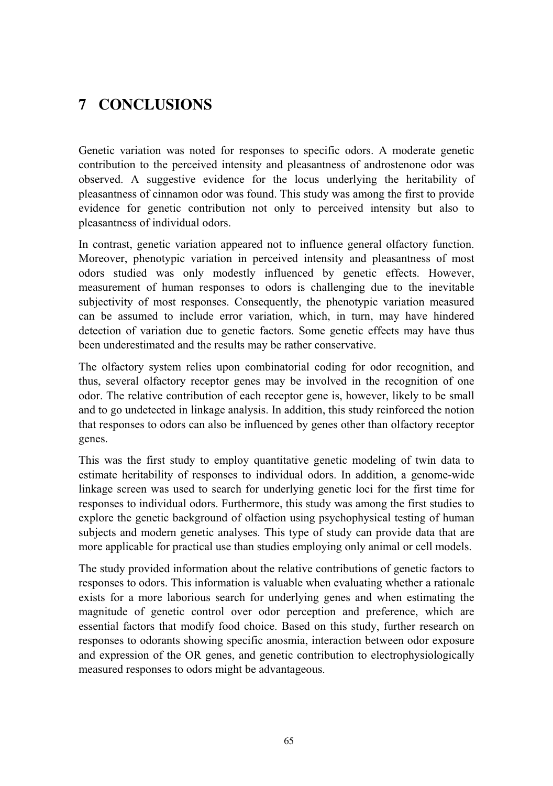# **7 CONCLUSIONS**

Genetic variation was noted for responses to specific odors. A moderate genetic contribution to the perceived intensity and pleasantness of androstenone odor was observed. A suggestive evidence for the locus underlying the heritability of pleasantness of cinnamon odor was found. This study was among the first to provide evidence for genetic contribution not only to perceived intensity but also to pleasantness of individual odors.

In contrast, genetic variation appeared not to influence general olfactory function. Moreover, phenotypic variation in perceived intensity and pleasantness of most odors studied was only modestly influenced by genetic effects. However, measurement of human responses to odors is challenging due to the inevitable subjectivity of most responses. Consequently, the phenotypic variation measured can be assumed to include error variation, which, in turn, may have hindered detection of variation due to genetic factors. Some genetic effects may have thus been underestimated and the results may be rather conservative.

The olfactory system relies upon combinatorial coding for odor recognition, and thus, several olfactory receptor genes may be involved in the recognition of one odor. The relative contribution of each receptor gene is, however, likely to be small and to go undetected in linkage analysis. In addition, this study reinforced the notion that responses to odors can also be influenced by genes other than olfactory receptor genes.

This was the first study to employ quantitative genetic modeling of twin data to estimate heritability of responses to individual odors. In addition, a genome-wide linkage screen was used to search for underlying genetic loci for the first time for responses to individual odors. Furthermore, this study was among the first studies to explore the genetic background of olfaction using psychophysical testing of human subjects and modern genetic analyses. This type of study can provide data that are more applicable for practical use than studies employing only animal or cell models.

The study provided information about the relative contributions of genetic factors to responses to odors. This information is valuable when evaluating whether a rationale exists for a more laborious search for underlying genes and when estimating the magnitude of genetic control over odor perception and preference, which are essential factors that modify food choice. Based on this study, further research on responses to odorants showing specific anosmia, interaction between odor exposure and expression of the OR genes, and genetic contribution to electrophysiologically measured responses to odors might be advantageous.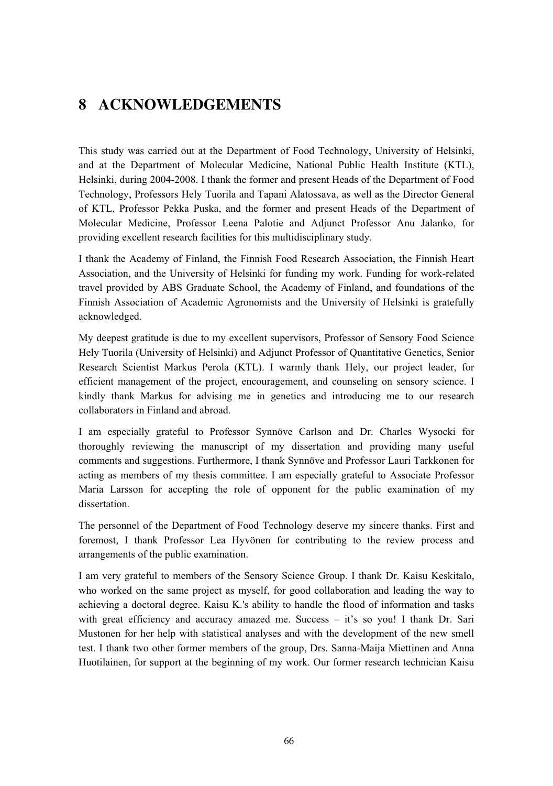# **8 ACKNOWLEDGEMENTS**

This study was carried out at the Department of Food Technology, University of Helsinki, and at the Department of Molecular Medicine, National Public Health Institute (KTL), Helsinki, during 2004-2008. I thank the former and present Heads of the Department of Food Technology, Professors Hely Tuorila and Tapani Alatossava, as well as the Director General of KTL, Professor Pekka Puska, and the former and present Heads of the Department of Molecular Medicine, Professor Leena Palotie and Adjunct Professor Anu Jalanko, for providing excellent research facilities for this multidisciplinary study.

I thank the Academy of Finland, the Finnish Food Research Association, the Finnish Heart Association, and the University of Helsinki for funding my work. Funding for work-related travel provided by ABS Graduate School, the Academy of Finland, and foundations of the Finnish Association of Academic Agronomists and the University of Helsinki is gratefully acknowledged.

My deepest gratitude is due to my excellent supervisors, Professor of Sensory Food Science Hely Tuorila (University of Helsinki) and Adjunct Professor of Quantitative Genetics, Senior Research Scientist Markus Perola (KTL). I warmly thank Hely, our project leader, for efficient management of the project, encouragement, and counseling on sensory science. I kindly thank Markus for advising me in genetics and introducing me to our research collaborators in Finland and abroad.

I am especially grateful to Professor Synnöve Carlson and Dr. Charles Wysocki for thoroughly reviewing the manuscript of my dissertation and providing many useful comments and suggestions. Furthermore, I thank Synnöve and Professor Lauri Tarkkonen for acting as members of my thesis committee. I am especially grateful to Associate Professor Maria Larsson for accepting the role of opponent for the public examination of my dissertation.

The personnel of the Department of Food Technology deserve my sincere thanks. First and foremost, I thank Professor Lea Hyvönen for contributing to the review process and arrangements of the public examination.

I am very grateful to members of the Sensory Science Group. I thank Dr. Kaisu Keskitalo, who worked on the same project as myself, for good collaboration and leading the way to achieving a doctoral degree. Kaisu K.'s ability to handle the flood of information and tasks with great efficiency and accuracy amazed me. Success – it's so you! I thank Dr. Sari Mustonen for her help with statistical analyses and with the development of the new smell test. I thank two other former members of the group, Drs. Sanna-Maija Miettinen and Anna Huotilainen, for support at the beginning of my work. Our former research technician Kaisu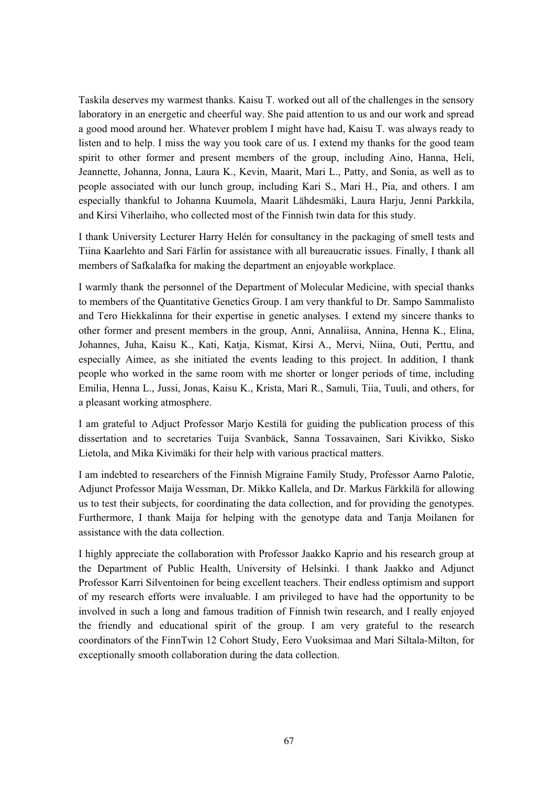Taskila deserves my warmest thanks. Kaisu T. worked out all of the challenges in the sensory laboratory in an energetic and cheerful way. She paid attention to us and our work and spread a good mood around her. Whatever problem I might have had, Kaisu T. was always ready to listen and to help. I miss the way you took care of us. I extend my thanks for the good team spirit to other former and present members of the group, including Aino, Hanna, Heli, Jeannette, Johanna, Jonna, Laura K., Kevin, Maarit, Mari L., Patty, and Sonia, as well as to people associated with our lunch group, including Kari S., Mari H., Pia, and others. I am especially thankful to Johanna Kuumola, Maarit Lähdesmäki, Laura Harju, Jenni Parkkila, and Kirsi Viherlaiho, who collected most of the Finnish twin data for this study.

I thank University Lecturer Harry Helén for consultancy in the packaging of smell tests and Tiina Kaarlehto and Sari Färlin for assistance with all bureaucratic issues. Finally, I thank all members of Safkalafka for making the department an enjoyable workplace.

I warmly thank the personnel of the Department of Molecular Medicine, with special thanks to members of the Quantitative Genetics Group. I am very thankful to Dr. Sampo Sammalisto and Tero Hiekkalinna for their expertise in genetic analyses. I extend my sincere thanks to other former and present members in the group, Anni, Annaliisa, Annina, Henna K., Elina, Johannes, Juha, Kaisu K., Kati, Katja, Kismat, Kirsi A., Mervi, Niina, Outi, Perttu, and especially Aimee, as she initiated the events leading to this project. In addition, I thank people who worked in the same room with me shorter or longer periods of time, including Emilia, Henna L., Jussi, Jonas, Kaisu K., Krista, Mari R., Samuli, Tiia, Tuuli, and others, for a pleasant working atmosphere.

I am grateful to Adjuct Professor Marjo Kestilä for guiding the publication process of this dissertation and to secretaries Tuija Svanbäck, Sanna Tossavainen, Sari Kivikko, Sisko Lietola, and Mika Kivimäki for their help with various practical matters.

I am indebted to researchers of the Finnish Migraine Family Study, Professor Aarno Palotie, Adjunct Professor Maija Wessman, Dr. Mikko Kallela, and Dr. Markus Färkkilä for allowing us to test their subjects, for coordinating the data collection, and for providing the genotypes. Furthermore, I thank Maija for helping with the genotype data and Tanja Moilanen for assistance with the data collection.

I highly appreciate the collaboration with Professor Jaakko Kaprio and his research group at the Department of Public Health, University of Helsinki. I thank Jaakko and Adjunct Professor Karri Silventoinen for being excellent teachers. Their endless optimism and support of my research efforts were invaluable. I am privileged to have had the opportunity to be involved in such a long and famous tradition of Finnish twin research, and I really enjoyed the friendly and educational spirit of the group. I am very grateful to the research coordinators of the FinnTwin 12 Cohort Study, Eero Vuoksimaa and Mari Siltala-Milton, for exceptionally smooth collaboration during the data collection.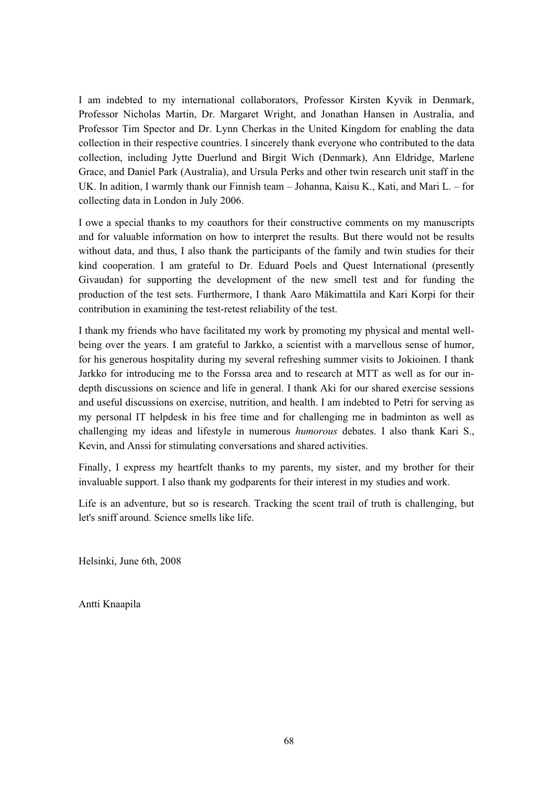I am indebted to my international collaborators, Professor Kirsten Kyvik in Denmark, Professor Nicholas Martin, Dr. Margaret Wright, and Jonathan Hansen in Australia, and Professor Tim Spector and Dr. Lynn Cherkas in the United Kingdom for enabling the data collection in their respective countries. I sincerely thank everyone who contributed to the data collection, including Jytte Duerlund and Birgit Wich (Denmark), Ann Eldridge, Marlene Grace, and Daniel Park (Australia), and Ursula Perks and other twin research unit staff in the UK. In adition, I warmly thank our Finnish team – Johanna, Kaisu K., Kati, and Mari L. – for collecting data in London in July 2006.

I owe a special thanks to my coauthors for their constructive comments on my manuscripts and for valuable information on how to interpret the results. But there would not be results without data, and thus, I also thank the participants of the family and twin studies for their kind cooperation. I am grateful to Dr. Eduard Poels and Quest International (presently Givaudan) for supporting the development of the new smell test and for funding the production of the test sets. Furthermore, I thank Aaro Mäkimattila and Kari Korpi for their contribution in examining the test-retest reliability of the test.

I thank my friends who have facilitated my work by promoting my physical and mental wellbeing over the years. I am grateful to Jarkko, a scientist with a marvellous sense of humor, for his generous hospitality during my several refreshing summer visits to Jokioinen. I thank Jarkko for introducing me to the Forssa area and to research at MTT as well as for our indepth discussions on science and life in general. I thank Aki for our shared exercise sessions and useful discussions on exercise, nutrition, and health. I am indebted to Petri for serving as my personal IT helpdesk in his free time and for challenging me in badminton as well as challenging my ideas and lifestyle in numerous *humorous* debates. I also thank Kari S., Kevin, and Anssi for stimulating conversations and shared activities.

Finally, I express my heartfelt thanks to my parents, my sister, and my brother for their invaluable support. I also thank my godparents for their interest in my studies and work.

Life is an adventure, but so is research. Tracking the scent trail of truth is challenging, but let's sniff around. Science smells like life.

Helsinki, June 6th, 2008

Antti Knaapila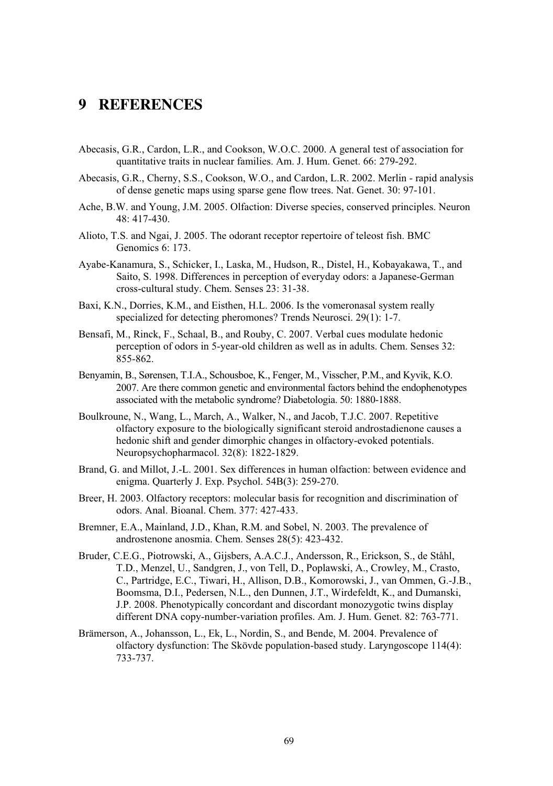## **9 REFERENCES**

- Abecasis, G.R., Cardon, L.R., and Cookson, W.O.C. 2000. A general test of association for quantitative traits in nuclear families. Am. J. Hum. Genet. 66: 279-292.
- Abecasis, G.R., Cherny, S.S., Cookson, W.O., and Cardon, L.R. 2002. Merlin rapid analysis of dense genetic maps using sparse gene flow trees. Nat. Genet. 30: 97-101.
- Ache, B.W. and Young, J.M. 2005. Olfaction: Diverse species, conserved principles. Neuron 48: 417-430.
- Alioto, T.S. and Ngai, J. 2005. The odorant receptor repertoire of teleost fish. BMC Genomics 6: 173.
- Ayabe-Kanamura, S., Schicker, I., Laska, M., Hudson, R., Distel, H., Kobayakawa, T., and Saito, S. 1998. Differences in perception of everyday odors: a Japanese-German cross-cultural study. Chem. Senses 23: 31-38.
- Baxi, K.N., Dorries, K.M., and Eisthen, H.L. 2006. Is the vomeronasal system really specialized for detecting pheromones? Trends Neurosci. 29(1): 1-7.
- Bensafi, M., Rinck, F., Schaal, B., and Rouby, C. 2007. Verbal cues modulate hedonic perception of odors in 5-year-old children as well as in adults. Chem. Senses 32: 855-862.
- Benyamin, B., Sørensen, T.I.A., Schousboe, K., Fenger, M., Visscher, P.M., and Kyvik, K.O. 2007. Are there common genetic and environmental factors behind the endophenotypes associated with the metabolic syndrome? Diabetologia. 50: 1880-1888.
- Boulkroune, N., Wang, L., March, A., Walker, N., and Jacob, T.J.C. 2007. Repetitive olfactory exposure to the biologically significant steroid androstadienone causes a hedonic shift and gender dimorphic changes in olfactory-evoked potentials. Neuropsychopharmacol. 32(8): 1822-1829.
- Brand, G. and Millot, J.-L. 2001. Sex differences in human olfaction: between evidence and enigma. Quarterly J. Exp. Psychol. 54B(3): 259-270.
- Breer, H. 2003. Olfactory receptors: molecular basis for recognition and discrimination of odors. Anal. Bioanal. Chem. 377: 427-433.
- Bremner, E.A., Mainland, J.D., Khan, R.M. and Sobel, N. 2003. The prevalence of androstenone anosmia. Chem. Senses 28(5): 423-432.
- Bruder, C.E.G., Piotrowski, A., Gijsbers, A.A.C.J., Andersson, R., Erickson, S., de Ståhl, T.D., Menzel, U., Sandgren, J., von Tell, D., Poplawski, A., Crowley, M., Crasto, C., Partridge, E.C., Tiwari, H., Allison, D.B., Komorowski, J., van Ommen, G.-J.B., Boomsma, D.I., Pedersen, N.L., den Dunnen, J.T., Wirdefeldt, K., and Dumanski, J.P. 2008. Phenotypically concordant and discordant monozygotic twins display different DNA copy-number-variation profiles. Am. J. Hum. Genet. 82: 763-771.
- Brämerson, A., Johansson, L., Ek, L., Nordin, S., and Bende, M. 2004. Prevalence of olfactory dysfunction: The Skövde population-based study. Laryngoscope 114(4): 733-737.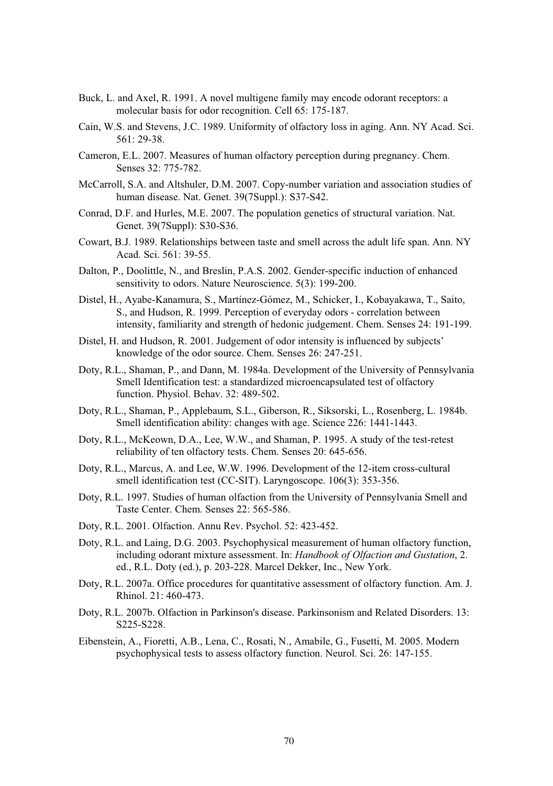- Buck, L. and Axel, R. 1991. A novel multigene family may encode odorant receptors: a molecular basis for odor recognition. Cell 65: 175-187.
- Cain, W.S. and Stevens, J.C. 1989. Uniformity of olfactory loss in aging. Ann. NY Acad. Sci. 561: 29-38.
- Cameron, E.L. 2007. Measures of human olfactory perception during pregnancy. Chem. Senses 32: 775-782.
- McCarroll, S.A. and Altshuler, D.M. 2007. Copy-number variation and association studies of human disease. Nat. Genet. 39(7Suppl.): S37-S42.
- Conrad, D.F. and Hurles, M.E. 2007. The population genetics of structural variation. Nat. Genet. 39(7Suppl): S30-S36.
- Cowart, B.J. 1989. Relationships between taste and smell across the adult life span. Ann. NY Acad. Sci. 561: 39-55.
- Dalton, P., Doolittle, N., and Breslin, P.A.S. 2002. Gender-specific induction of enhanced sensitivity to odors. Nature Neuroscience. 5(3): 199-200.
- Distel, H., Ayabe-Kanamura, S., Martínez-Gómez, M., Schicker, I., Kobayakawa, T., Saito, S., and Hudson, R. 1999. Perception of everyday odors - correlation between intensity, familiarity and strength of hedonic judgement. Chem. Senses 24: 191-199.
- Distel, H. and Hudson, R. 2001. Judgement of odor intensity is influenced by subjects' knowledge of the odor source. Chem. Senses 26: 247-251.
- Doty, R.L., Shaman, P., and Dann, M. 1984a. Development of the University of Pennsylvania Smell Identification test: a standardized microencapsulated test of olfactory function. Physiol. Behav. 32: 489-502.
- Doty, R.L., Shaman, P., Applebaum, S.L., Giberson, R., Siksorski, L., Rosenberg, L. 1984b. Smell identification ability: changes with age. Science 226: 1441-1443.
- Doty, R.L., McKeown, D.A., Lee, W.W., and Shaman, P. 1995. A study of the test-retest reliability of ten olfactory tests. Chem. Senses 20: 645-656.
- Doty, R.L., Marcus, A. and Lee, W.W. 1996. Development of the 12-item cross-cultural smell identification test (CC-SIT). Laryngoscope. 106(3): 353-356.
- Doty, R.L. 1997. Studies of human olfaction from the University of Pennsylvania Smell and Taste Center. Chem. Senses 22: 565-586.
- Doty, R.L. 2001. Olfaction. Annu Rev. Psychol. 52: 423-452.
- Doty, R.L. and Laing, D.G. 2003. Psychophysical measurement of human olfactory function, including odorant mixture assessment. In: *Handbook of Olfaction and Gustation*, 2. ed., R.L. Doty (ed.), p. 203-228. Marcel Dekker, Inc., New York.
- Doty, R.L. 2007a. Office procedures for quantitative assessment of olfactory function. Am. J. Rhinol. 21: 460-473.
- Doty, R.L. 2007b. Olfaction in Parkinson's disease. Parkinsonism and Related Disorders. 13: S225-S228.
- Eibenstein, A., Fioretti, A.B., Lena, C., Rosati, N., Amabile, G., Fusetti, M. 2005. Modern psychophysical tests to assess olfactory function. Neurol. Sci. 26: 147-155.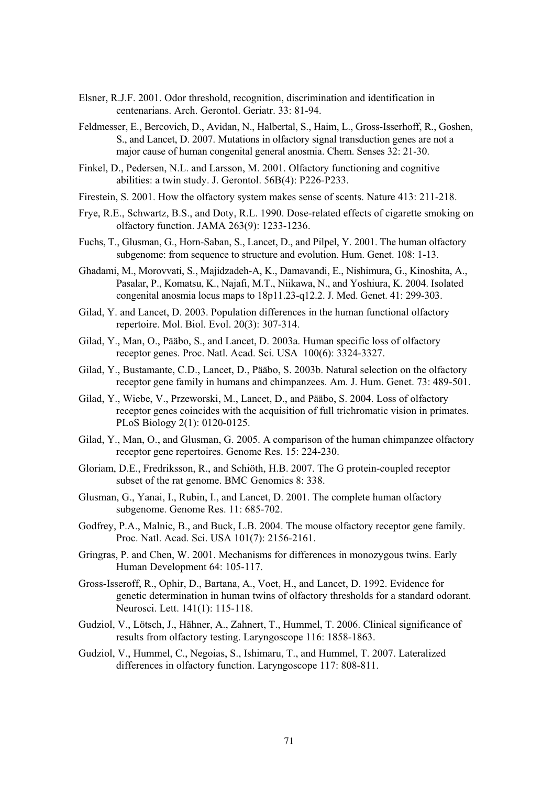- Elsner, R.J.F. 2001. Odor threshold, recognition, discrimination and identification in centenarians. Arch. Gerontol. Geriatr. 33: 81-94.
- Feldmesser, E., Bercovich, D., Avidan, N., Halbertal, S., Haim, L., Gross-Isserhoff, R., Goshen, S., and Lancet, D. 2007. Mutations in olfactory signal transduction genes are not a major cause of human congenital general anosmia. Chem. Senses 32: 21-30.
- Finkel, D., Pedersen, N.L. and Larsson, M. 2001. Olfactory functioning and cognitive abilities: a twin study. J. Gerontol. 56B(4): P226-P233.
- Firestein, S. 2001. How the olfactory system makes sense of scents. Nature 413: 211-218.
- Frye, R.E., Schwartz, B.S., and Doty, R.L. 1990. Dose-related effects of cigarette smoking on olfactory function. JAMA 263(9): 1233-1236.
- Fuchs, T., Glusman, G., Horn-Saban, S., Lancet, D., and Pilpel, Y. 2001. The human olfactory subgenome: from sequence to structure and evolution. Hum. Genet. 108: 1-13.
- Ghadami, M., Morovvati, S., Majidzadeh-A, K., Damavandi, E., Nishimura, G., Kinoshita, A., Pasalar, P., Komatsu, K., Najafi, M.T., Niikawa, N., and Yoshiura, K. 2004. Isolated congenital anosmia locus maps to 18p11.23-q12.2. J. Med. Genet. 41: 299-303.
- Gilad, Y. and Lancet, D. 2003. Population differences in the human functional olfactory repertoire. Mol. Biol. Evol. 20(3): 307-314.
- Gilad, Y., Man, O., Pääbo, S., and Lancet, D. 2003a. Human specific loss of olfactory receptor genes. Proc. Natl. Acad. Sci. USA 100(6): 3324-3327.
- Gilad, Y., Bustamante, C.D., Lancet, D., Pääbo, S. 2003b. Natural selection on the olfactory receptor gene family in humans and chimpanzees. Am. J. Hum. Genet. 73: 489-501.
- Gilad, Y., Wiebe, V., Przeworski, M., Lancet, D., and Pääbo, S. 2004. Loss of olfactory receptor genes coincides with the acquisition of full trichromatic vision in primates. PLoS Biology 2(1): 0120-0125.
- Gilad, Y., Man, O., and Glusman, G. 2005. A comparison of the human chimpanzee olfactory receptor gene repertoires. Genome Res. 15: 224-230.
- Gloriam, D.E., Fredriksson, R., and Schiöth, H.B. 2007. The G protein-coupled receptor subset of the rat genome. BMC Genomics 8: 338.
- Glusman, G., Yanai, I., Rubin, I., and Lancet, D. 2001. The complete human olfactory subgenome. Genome Res. 11: 685-702.
- Godfrey, P.A., Malnic, B., and Buck, L.B. 2004. The mouse olfactory receptor gene family. Proc. Natl. Acad. Sci. USA 101(7): 2156-2161.
- Gringras, P. and Chen, W. 2001. Mechanisms for differences in monozygous twins. Early Human Development 64: 105-117.
- Gross-Isseroff, R., Ophir, D., Bartana, A., Voet, H., and Lancet, D. 1992. Evidence for genetic determination in human twins of olfactory thresholds for a standard odorant. Neurosci. Lett. 141(1): 115-118.
- Gudziol, V., Lötsch, J., Hähner, A., Zahnert, T., Hummel, T. 2006. Clinical significance of results from olfactory testing. Laryngoscope 116: 1858-1863.
- Gudziol, V., Hummel, C., Negoias, S., Ishimaru, T., and Hummel, T. 2007. Lateralized differences in olfactory function. Laryngoscope 117: 808-811.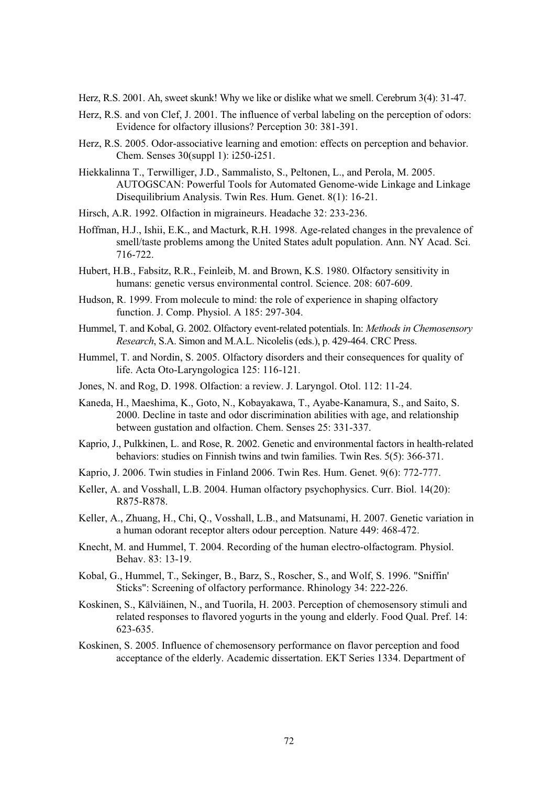Herz, R.S. 2001. Ah, sweet skunk! Why we like or dislike what we smell. Cerebrum 3(4): 31-47.

- Herz, R.S. and von Clef, J. 2001. The influence of verbal labeling on the perception of odors: Evidence for olfactory illusions? Perception 30: 381-391.
- Herz, R.S. 2005. Odor-associative learning and emotion: effects on perception and behavior. Chem. Senses 30(suppl 1): i250-i251.
- Hiekkalinna T., Terwilliger, J.D., Sammalisto, S., Peltonen, L., and Perola, M. 2005. AUTOGSCAN: Powerful Tools for Automated Genome-wide Linkage and Linkage Disequilibrium Analysis. Twin Res. Hum. Genet. 8(1): 16-21.
- Hirsch, A.R. 1992. Olfaction in migraineurs. Headache 32: 233-236.
- Hoffman, H.J., Ishii, E.K., and Macturk, R.H. 1998. Age-related changes in the prevalence of smell/taste problems among the United States adult population. Ann. NY Acad. Sci. 716-722.
- Hubert, H.B., Fabsitz, R.R., Feinleib, M. and Brown, K.S. 1980. Olfactory sensitivity in humans: genetic versus environmental control. Science. 208: 607-609.
- Hudson, R. 1999. From molecule to mind: the role of experience in shaping olfactory function. J. Comp. Physiol. A 185: 297-304.
- Hummel, T. and Kobal, G. 2002. Olfactory event-related potentials. In: *Methods in Chemosensory Research*, S.A. Simon and M.A.L. Nicolelis (eds.), p. 429-464. CRC Press.
- Hummel, T. and Nordin, S. 2005. Olfactory disorders and their consequences for quality of life. Acta Oto-Laryngologica 125: 116-121.
- Jones, N. and Rog, D. 1998. Olfaction: a review. J. Laryngol. Otol. 112: 11-24.
- Kaneda, H., Maeshima, K., Goto, N., Kobayakawa, T., Ayabe-Kanamura, S., and Saito, S. 2000. Decline in taste and odor discrimination abilities with age, and relationship between gustation and olfaction. Chem. Senses 25: 331-337.
- Kaprio, J., Pulkkinen, L. and Rose, R. 2002. Genetic and environmental factors in health-related behaviors: studies on Finnish twins and twin families. Twin Res. 5(5): 366-371.
- Kaprio, J. 2006. Twin studies in Finland 2006. Twin Res. Hum. Genet. 9(6): 772-777.
- Keller, A. and Vosshall, L.B. 2004. Human olfactory psychophysics. Curr. Biol. 14(20): R875-R878.
- Keller, A., Zhuang, H., Chi, Q., Vosshall, L.B., and Matsunami, H. 2007. Genetic variation in a human odorant receptor alters odour perception. Nature 449: 468-472.
- Knecht, M. and Hummel, T. 2004. Recording of the human electro-olfactogram. Physiol. Behav. 83: 13-19.
- Kobal, G., Hummel, T., Sekinger, B., Barz, S., Roscher, S., and Wolf, S. 1996. "Sniffin' Sticks": Screening of olfactory performance. Rhinology 34: 222-226.
- Koskinen, S., Kälviäinen, N., and Tuorila, H. 2003. Perception of chemosensory stimuli and related responses to flavored yogurts in the young and elderly. Food Qual. Pref. 14: 623-635.
- Koskinen, S. 2005. Influence of chemosensory performance on flavor perception and food acceptance of the elderly. Academic dissertation. EKT Series 1334. Department of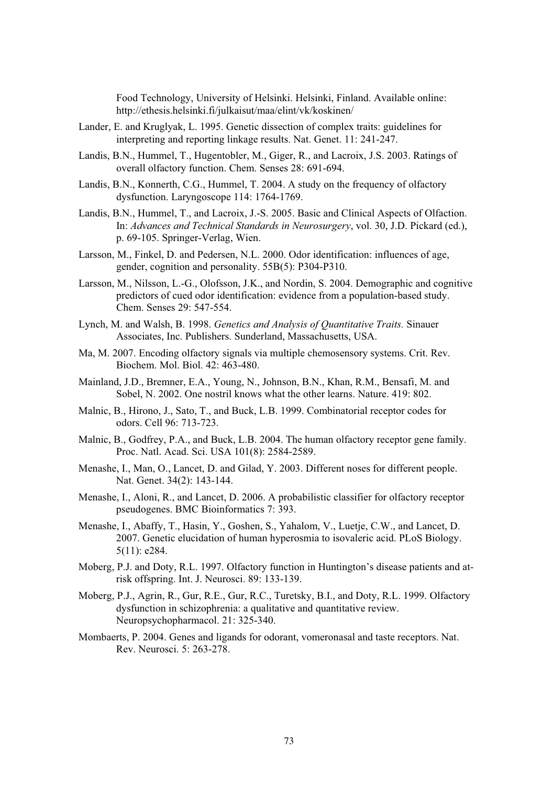Food Technology, University of Helsinki. Helsinki, Finland. Available online: http://ethesis.helsinki.fi/julkaisut/maa/elint/vk/koskinen/

- Lander, E. and Kruglyak, L. 1995. Genetic dissection of complex traits: guidelines for interpreting and reporting linkage results. Nat. Genet. 11: 241-247.
- Landis, B.N., Hummel, T., Hugentobler, M., Giger, R., and Lacroix, J.S. 2003. Ratings of overall olfactory function. Chem. Senses 28: 691-694.
- Landis, B.N., Konnerth, C.G., Hummel, T. 2004. A study on the frequency of olfactory dysfunction. Laryngoscope 114: 1764-1769.
- Landis, B.N., Hummel, T., and Lacroix, J.-S. 2005. Basic and Clinical Aspects of Olfaction. In: *Advances and Technical Standards in Neurosurgery*, vol. 30, J.D. Pickard (ed.), p. 69-105. Springer-Verlag, Wien.
- Larsson, M., Finkel, D. and Pedersen, N.L. 2000. Odor identification: influences of age, gender, cognition and personality. 55B(5): P304-P310.
- Larsson, M., Nilsson, L.-G., Olofsson, J.K., and Nordin, S. 2004. Demographic and cognitive predictors of cued odor identification: evidence from a population-based study. Chem. Senses 29: 547-554.
- Lynch, M. and Walsh, B. 1998. *Genetics and Analysis of Quantitative Traits.* Sinauer Associates, Inc. Publishers. Sunderland, Massachusetts, USA.
- Ma, M. 2007. Encoding olfactory signals via multiple chemosensory systems. Crit. Rev. Biochem. Mol. Biol. 42: 463-480.
- Mainland, J.D., Bremner, E.A., Young, N., Johnson, B.N., Khan, R.M., Bensafi, M. and Sobel, N. 2002. One nostril knows what the other learns. Nature. 419: 802.
- Malnic, B., Hirono, J., Sato, T., and Buck, L.B. 1999. Combinatorial receptor codes for odors. Cell 96: 713-723.
- Malnic, B., Godfrey, P.A., and Buck, L.B. 2004. The human olfactory receptor gene family. Proc. Natl. Acad. Sci. USA 101(8): 2584-2589.
- Menashe, I., Man, O., Lancet, D. and Gilad, Y. 2003. Different noses for different people. Nat. Genet. 34(2): 143-144.
- Menashe, I., Aloni, R., and Lancet, D. 2006. A probabilistic classifier for olfactory receptor pseudogenes. BMC Bioinformatics 7: 393.
- Menashe, I., Abaffy, T., Hasin, Y., Goshen, S., Yahalom, V., Luetje, C.W., and Lancet, D. 2007. Genetic elucidation of human hyperosmia to isovaleric acid. PLoS Biology. 5(11): e284.
- Moberg, P.J. and Doty, R.L. 1997. Olfactory function in Huntington's disease patients and atrisk offspring. Int. J. Neurosci. 89: 133-139.
- Moberg, P.J., Agrin, R., Gur, R.E., Gur, R.C., Turetsky, B.I., and Doty, R.L. 1999. Olfactory dysfunction in schizophrenia: a qualitative and quantitative review. Neuropsychopharmacol. 21: 325-340.
- Mombaerts, P. 2004. Genes and ligands for odorant, vomeronasal and taste receptors. Nat. Rev. Neurosci. 5: 263-278.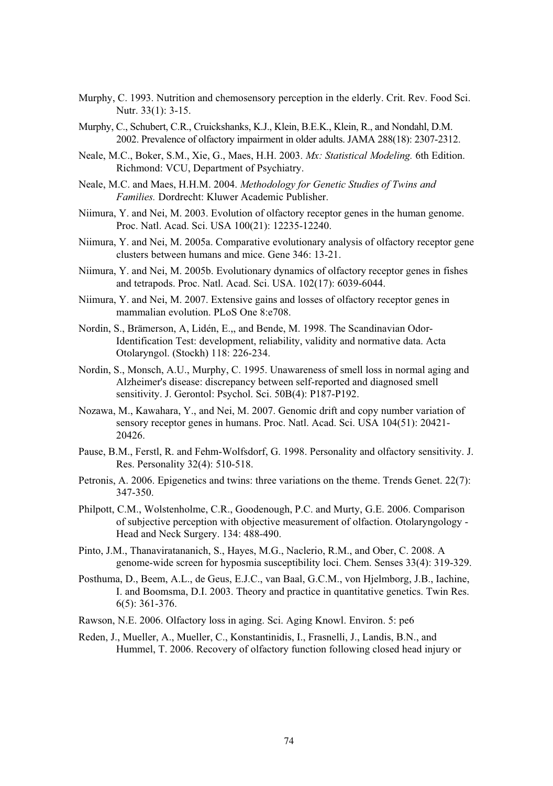- Murphy, C. 1993. Nutrition and chemosensory perception in the elderly. Crit. Rev. Food Sci. Nutr. 33(1): 3-15.
- Murphy, C., Schubert, C.R., Cruickshanks, K.J., Klein, B.E.K., Klein, R., and Nondahl, D.M. 2002. Prevalence of olfactory impairment in older adults. JAMA 288(18): 2307-2312.
- Neale, M.C., Boker, S.M., Xie, G., Maes, H.H. 2003. *Mx: Statistical Modeling.* 6th Edition. Richmond: VCU, Department of Psychiatry.
- Neale, M.C. and Maes, H.H.M. 2004. *Methodology for Genetic Studies of Twins and Families.* Dordrecht: Kluwer Academic Publisher.
- Niimura, Y. and Nei, M. 2003. Evolution of olfactory receptor genes in the human genome. Proc. Natl. Acad. Sci. USA 100(21): 12235-12240.
- Niimura, Y. and Nei, M. 2005a. Comparative evolutionary analysis of olfactory receptor gene clusters between humans and mice. Gene 346: 13-21.
- Niimura, Y. and Nei, M. 2005b. Evolutionary dynamics of olfactory receptor genes in fishes and tetrapods. Proc. Natl. Acad. Sci. USA. 102(17): 6039-6044.
- Niimura, Y. and Nei, M. 2007. Extensive gains and losses of olfactory receptor genes in mammalian evolution. PLoS One 8:e708.
- Nordin, S., Brämerson, A, Lidén, E.,, and Bende, M. 1998. The Scandinavian Odor-Identification Test: development, reliability, validity and normative data. Acta Otolaryngol. (Stockh) 118: 226-234.
- Nordin, S., Monsch, A.U., Murphy, C. 1995. Unawareness of smell loss in normal aging and Alzheimer's disease: discrepancy between self-reported and diagnosed smell sensitivity. J. Gerontol: Psychol. Sci. 50B(4): P187-P192.
- Nozawa, M., Kawahara, Y., and Nei, M. 2007. Genomic drift and copy number variation of sensory receptor genes in humans. Proc. Natl. Acad. Sci. USA 104(51): 20421- 20426.
- Pause, B.M., Ferstl, R. and Fehm-Wolfsdorf, G. 1998. Personality and olfactory sensitivity. J. Res. Personality 32(4): 510-518.
- Petronis, A. 2006. Epigenetics and twins: three variations on the theme. Trends Genet. 22(7): 347-350.
- Philpott, C.M., Wolstenholme, C.R., Goodenough, P.C. and Murty, G.E. 2006. Comparison of subjective perception with objective measurement of olfaction. Otolaryngology - Head and Neck Surgery. 134: 488-490.
- Pinto, J.M., Thanaviratananich, S., Hayes, M.G., Naclerio, R.M., and Ober, C. 2008. A genome-wide screen for hyposmia susceptibility loci. Chem. Senses 33(4): 319-329.
- Posthuma, D., Beem, A.L., de Geus, E.J.C., van Baal, G.C.M., von Hjelmborg, J.B., Iachine, I. and Boomsma, D.I. 2003. Theory and practice in quantitative genetics. Twin Res. 6(5): 361-376.
- Rawson, N.E. 2006. Olfactory loss in aging. Sci. Aging Knowl. Environ. 5: pe6
- Reden, J., Mueller, A., Mueller, C., Konstantinidis, I., Frasnelli, J., Landis, B.N., and Hummel, T. 2006. Recovery of olfactory function following closed head injury or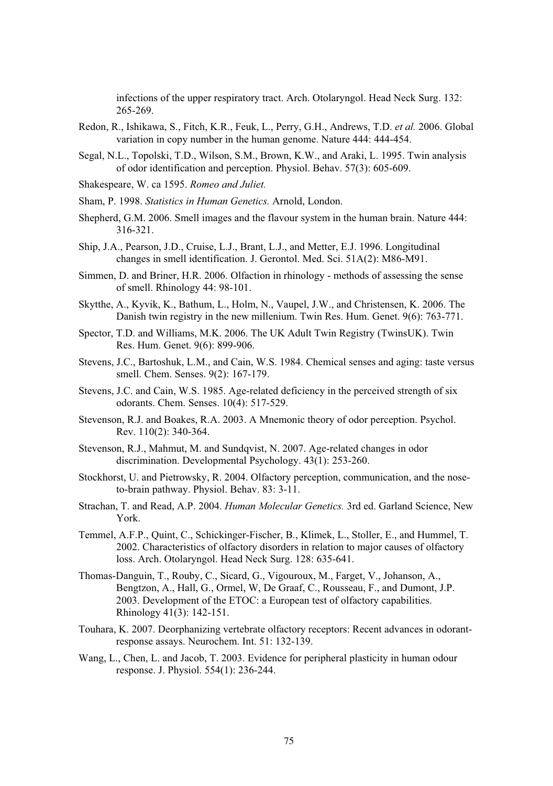infections of the upper respiratory tract. Arch. Otolaryngol. Head Neck Surg. 132: 265-269.

- Redon, R., Ishikawa, S., Fitch, K.R., Feuk, L., Perry, G.H., Andrews, T.D. *et al.* 2006. Global variation in copy number in the human genome. Nature 444: 444-454.
- Segal, N.L., Topolski, T.D., Wilson, S.M., Brown, K.W., and Araki, L. 1995. Twin analysis of odor identification and perception. Physiol. Behav. 57(3): 605-609.
- Shakespeare, W. ca 1595. *Romeo and Juliet.*
- Sham, P. 1998. *Statistics in Human Genetics.* Arnold, London.
- Shepherd, G.M. 2006. Smell images and the flavour system in the human brain. Nature 444: 316-321.
- Ship, J.A., Pearson, J.D., Cruise, L.J., Brant, L.J., and Metter, E.J. 1996. Longitudinal changes in smell identification. J. Gerontol. Med. Sci. 51A(2): M86-M91.
- Simmen, D. and Briner, H.R. 2006. Olfaction in rhinology methods of assessing the sense of smell. Rhinology 44: 98-101.
- Skytthe, A., Kyvik, K., Bathum, L., Holm, N., Vaupel, J.W., and Christensen, K. 2006. The Danish twin registry in the new millenium. Twin Res. Hum. Genet. 9(6): 763-771.
- Spector, T.D. and Williams, M.K. 2006. The UK Adult Twin Registry (TwinsUK). Twin Res. Hum. Genet. 9(6): 899-906.
- Stevens, J.C., Bartoshuk, L.M., and Cain, W.S. 1984. Chemical senses and aging: taste versus smell. Chem. Senses. 9(2): 167-179.
- Stevens, J.C. and Cain, W.S. 1985. Age-related deficiency in the perceived strength of six odorants. Chem. Senses. 10(4): 517-529.
- Stevenson, R.J. and Boakes, R.A. 2003. A Mnemonic theory of odor perception. Psychol. Rev. 110(2): 340-364.
- Stevenson, R.J., Mahmut, M. and Sundqvist, N. 2007. Age-related changes in odor discrimination. Developmental Psychology. 43(1): 253-260.
- Stockhorst, U. and Pietrowsky, R. 2004. Olfactory perception, communication, and the noseto-brain pathway. Physiol. Behav. 83: 3-11.
- Strachan, T. and Read, A.P. 2004. *Human Molecular Genetics.* 3rd ed. Garland Science, New York.
- Temmel, A.F.P., Quint, C., Schickinger-Fischer, B., Klimek, L., Stoller, E., and Hummel, T. 2002. Characteristics of olfactory disorders in relation to major causes of olfactory loss. Arch. Otolaryngol. Head Neck Surg. 128: 635-641.
- Thomas-Danguin, T., Rouby, C., Sicard, G., Vigouroux, M., Farget, V., Johanson, A., Bengtzon, A., Hall, G., Ormel, W, De Graaf, C., Rousseau, F., and Dumont, J.P. 2003. Development of the ETOC: a European test of olfactory capabilities. Rhinology  $41(3)$ : 142-151.
- Touhara, K. 2007. Deorphanizing vertebrate olfactory receptors: Recent advances in odorantresponse assays. Neurochem. Int. 51: 132-139.
- Wang, L., Chen, L. and Jacob, T. 2003. Evidence for peripheral plasticity in human odour response. J. Physiol. 554(1): 236-244.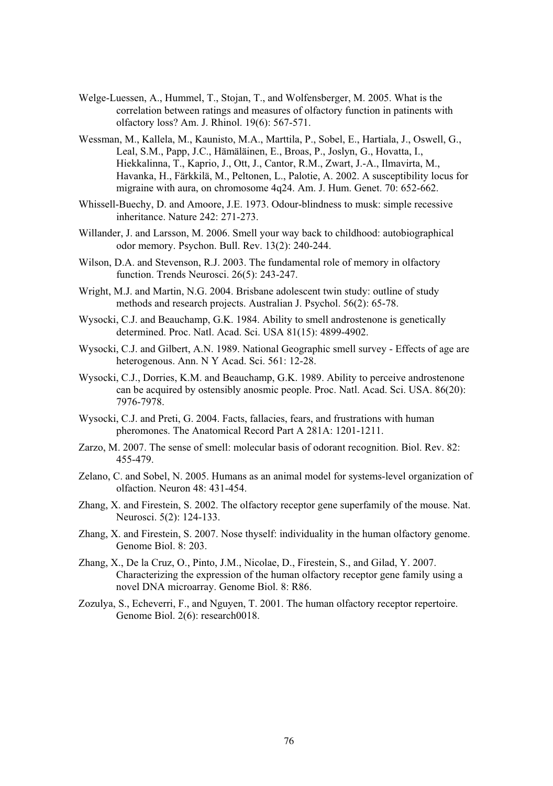- Welge-Luessen, A., Hummel, T., Stojan, T., and Wolfensberger, M. 2005. What is the correlation between ratings and measures of olfactory function in patinents with olfactory loss? Am. J. Rhinol. 19(6): 567-571.
- Wessman, M., Kallela, M., Kaunisto, M.A., Marttila, P., Sobel, E., Hartiala, J., Oswell, G., Leal, S.M., Papp, J.C., Hämäläinen, E., Broas, P., Joslyn, G., Hovatta, I., Hiekkalinna, T., Kaprio, J., Ott, J., Cantor, R.M., Zwart, J.-A., Ilmavirta, M., Havanka, H., Färkkilä, M., Peltonen, L., Palotie, A. 2002. A susceptibility locus for migraine with aura, on chromosome 4q24. Am. J. Hum. Genet. 70: 652-662.
- Whissell-Buechy, D. and Amoore, J.E. 1973. Odour-blindness to musk: simple recessive inheritance. Nature 242: 271-273.
- Willander, J. and Larsson, M. 2006. Smell your way back to childhood: autobiographical odor memory. Psychon. Bull. Rev. 13(2): 240-244.
- Wilson, D.A. and Stevenson, R.J. 2003. The fundamental role of memory in olfactory function. Trends Neurosci. 26(5): 243-247.
- Wright, M.J. and Martin, N.G. 2004. Brisbane adolescent twin study: outline of study methods and research projects. Australian J. Psychol. 56(2): 65-78.
- Wysocki, C.J. and Beauchamp, G.K. 1984. Ability to smell androstenone is genetically determined. Proc. Natl. Acad. Sci. USA 81(15): 4899-4902.
- Wysocki, C.J. and Gilbert, A.N. 1989. National Geographic smell survey Effects of age are heterogenous. Ann. N Y Acad. Sci. 561: 12-28.
- Wysocki, C.J., Dorries, K.M. and Beauchamp, G.K. 1989. Ability to perceive androstenone can be acquired by ostensibly anosmic people. Proc. Natl. Acad. Sci. USA. 86(20): 7976-7978.
- Wysocki, C.J. and Preti, G. 2004. Facts, fallacies, fears, and frustrations with human pheromones. The Anatomical Record Part A 281A: 1201-1211.
- Zarzo, M. 2007. The sense of smell: molecular basis of odorant recognition. Biol. Rev. 82: 455-479.
- Zelano, C. and Sobel, N. 2005. Humans as an animal model for systems-level organization of olfaction. Neuron 48: 431-454.
- Zhang, X. and Firestein, S. 2002. The olfactory receptor gene superfamily of the mouse. Nat. Neurosci. 5(2): 124-133.
- Zhang, X. and Firestein, S. 2007. Nose thyself: individuality in the human olfactory genome. Genome Biol. 8: 203.
- Zhang, X., De la Cruz, O., Pinto, J.M., Nicolae, D., Firestein, S., and Gilad, Y. 2007. Characterizing the expression of the human olfactory receptor gene family using a novel DNA microarray. Genome Biol. 8: R86.
- Zozulya, S., Echeverri, F., and Nguyen, T. 2001. The human olfactory receptor repertoire. Genome Biol. 2(6): research0018.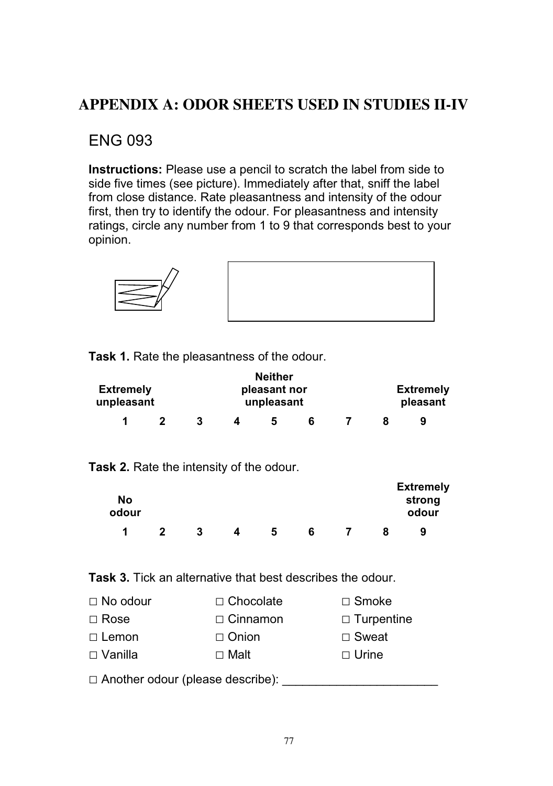## **APPENDIX A: ODOR SHEETS USED IN STUDIES II-IV**

### ENG 093

**Instructions:** Please use a pencil to scratch the label from side to side five times (see picture). Immediately after that, sniff the label from close distance. Rate pleasantness and intensity of the odour first, then try to identify the odour. For pleasantness and intensity ratings, circle any number from 1 to 9 that corresponds best to your opinion.



| Task 1. Rate the pleasantness of the odour. |  |
|---------------------------------------------|--|
|---------------------------------------------|--|

| <b>Extremely</b><br>unpleasant |  | <b>Neither</b><br>pleasant nor<br>unpleasant |   |  |  |  | <b>Extremely</b><br>pleasant |  |  |
|--------------------------------|--|----------------------------------------------|---|--|--|--|------------------------------|--|--|
|                                |  |                                              | h |  |  |  | 9                            |  |  |

**Task 2.** Rate the intensity of the odour.

| No<br>odour |  |   |   |  | <b>Extremely</b><br>strong<br>odour |
|-------------|--|---|---|--|-------------------------------------|
| 1           |  | b | 6 |  | 9                                   |

**Task 3.** Tick an alternative that best describes the odour.

| $\Box$ No odour | $\Box$ Chocolate | $\Box$ Smoke      |
|-----------------|------------------|-------------------|
| $\Box$ Rose     | $\Box$ Cinnamon  | $\Box$ Turpentine |
| $\Box$ Lemon    | $\Box$ Onion     | $\Box$ Sweat      |
| $\Box$ Vanilla  | $\Box$ Malt      | $\Box$ Urine      |
|                 |                  |                   |

- Another odour (please describe): \_\_\_\_\_\_\_\_\_\_\_\_\_\_\_\_\_\_\_\_\_\_\_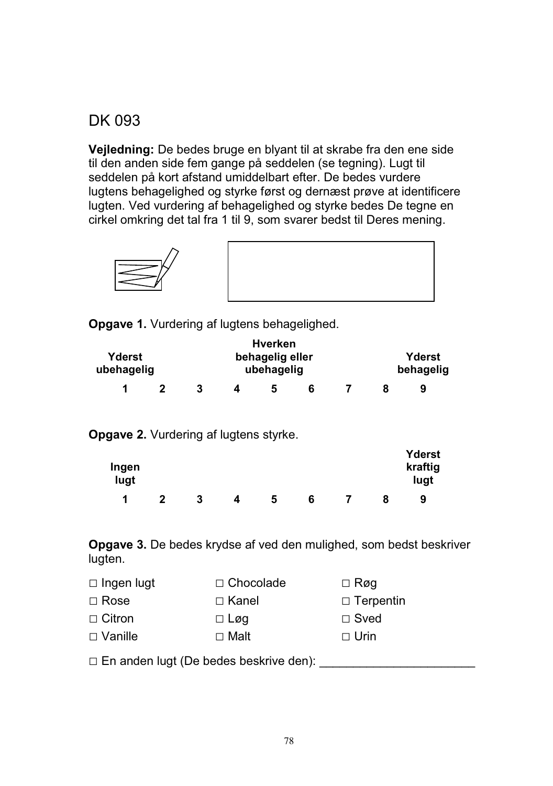### DK 093

**Vejledning:** De bedes bruge en blyant til at skrabe fra den ene side til den anden side fem gange på seddelen (se tegning). Lugt til seddelen på kort afstand umiddelbart efter. De bedes vurdere lugtens behagelighed og styrke først og dernæst prøve at identificere lugten. Ved vurdering af behagelighed og styrke bedes De tegne en cirkel omkring det tal fra 1 til 9, som svarer bedst til Deres mening.



**Opgave 1.** Vurdering af lugtens behagelighed.

|                      |  |  |                               |  | <b>Hverken</b> |   |                     |   |  |
|----------------------|--|--|-------------------------------|--|----------------|---|---------------------|---|--|
| Yderst<br>ubehagelig |  |  | behagelig eller<br>ubehagelig |  |                |   | Yderst<br>behagelig |   |  |
|                      |  |  |                               |  |                | 6 |                     | 9 |  |

**Opgave 2.** Vurdering af lugtens styrke.

| Ingen<br>lugt |   |   |   |   |   |   | Yderst<br>kraftig<br>lugt |
|---------------|---|---|---|---|---|---|---------------------------|
| и             | 2 | 3 | 4 | C | 6 | 8 | 9                         |

**Opgave 3.** De bedes krydse af ved den mulighed, som bedst beskriver lugten.

| $\Box$ Ingen lugt | $\Box$ Chocolade | $\Box$ Røg       |
|-------------------|------------------|------------------|
| $\Box$ Rose       | $\Box$ Kanel     | $\Box$ Terpentin |
| $\Box$ Citron     | $\Box$ Løg       | $\Box$ Sved      |
| $\Box$ Vanille    | $\Box$ Malt      | $\Box$ Urin      |
|                   |                  |                  |

- En anden lugt (De bedes beskrive den): \_\_\_\_\_\_\_\_\_\_\_\_\_\_\_\_\_\_\_\_\_\_\_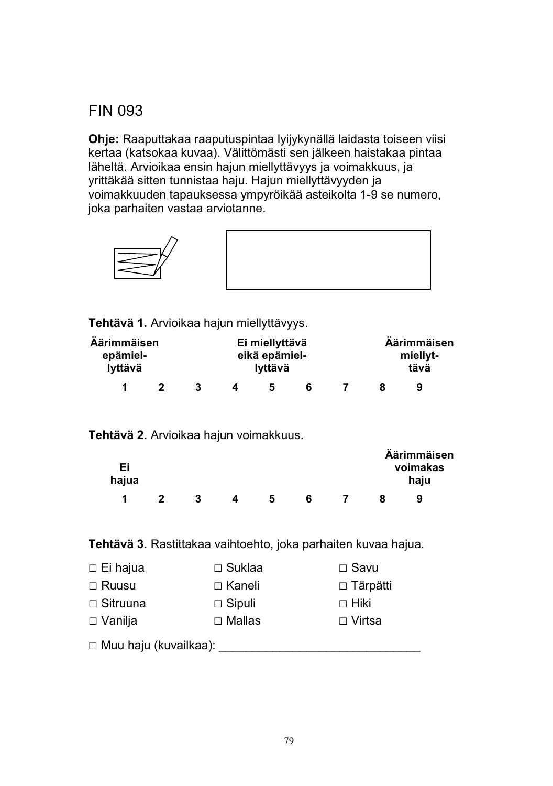# FIN 093

**Ohje:** Raaputtakaa raaputuspintaa lyijykynällä laidasta toiseen viisi kertaa (katsokaa kuvaa). Välittömästi sen jälkeen haistakaa pintaa läheltä. Arvioikaa ensin hajun miellyttävyys ja voimakkuus, ja yrittäkää sitten tunnistaa haju. Hajun miellyttävyyden ja voimakkuuden tapauksessa ympyröikää asteikolta 1-9 se numero, joka parhaiten vastaa arviotanne.



**Tehtävä 1.** Arvioikaa hajun miellyttävyys.

| Äärimmäisen<br>epämiel-<br>lyttävä |  |  | Ei miellyttävä<br>eikä epämiel-<br>lyttävä |   |  | Äärimmäisen<br>miellyt-<br>tävä |  |
|------------------------------------|--|--|--------------------------------------------|---|--|---------------------------------|--|
| 1                                  |  |  | 5                                          | 6 |  | 9                               |  |

#### **Tehtävä 2.** Arvioikaa hajun voimakkuus.

| Ei<br>hajua |   |   |  | Äärimmäisen<br>voimakas<br>haju |  |
|-------------|---|---|--|---------------------------------|--|
|             | 3 | 5 |  | 9                               |  |

#### **Tehtävä 3.** Rastittakaa vaihtoehto, joka parhaiten kuvaa hajua.

| $\Box$ Ei hajua         | $\Box$ Suklaa | $\Box$ Savu     |  |  |  |  |
|-------------------------|---------------|-----------------|--|--|--|--|
| $\Box$ Ruusu            | $\Box$ Kaneli | $\Box$ Tärpätti |  |  |  |  |
| $\Box$ Sitruuna         | $\Box$ Sipuli | $\Box$ Hiki     |  |  |  |  |
| $\Box$ Vanilja          | $\Box$ Mallas | □ Virtsa        |  |  |  |  |
| □ Muu haju (kuvailkaa): |               |                 |  |  |  |  |